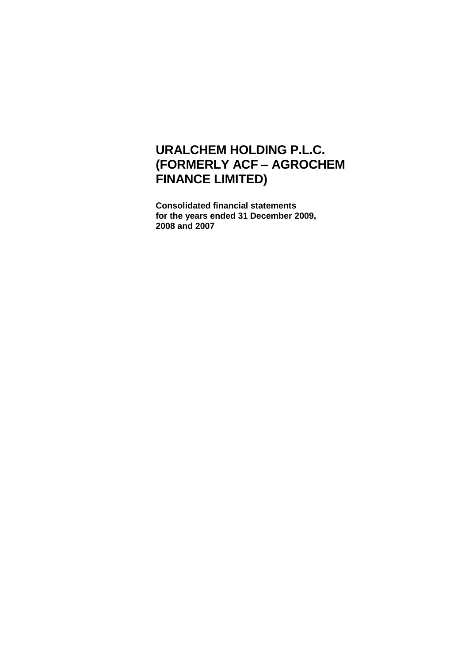**Consolidated financial statements for the years ended 31 December 2009, 2008 and 2007**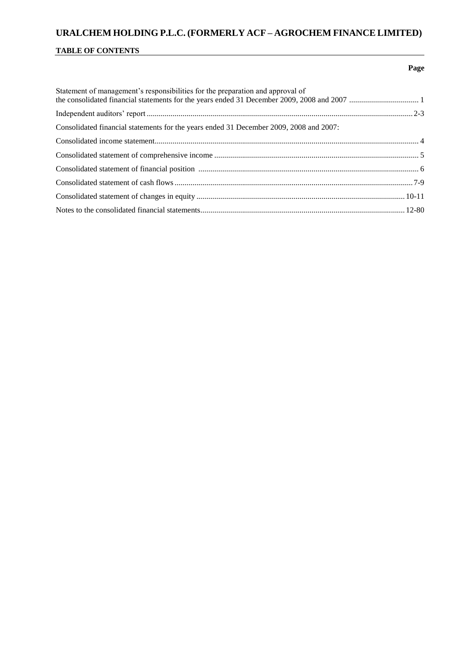### **TABLE OF CONTENTS**

### **Page**

| Statement of management's responsibilities for the preparation and approval of         |  |
|----------------------------------------------------------------------------------------|--|
|                                                                                        |  |
| Consolidated financial statements for the years ended 31 December 2009, 2008 and 2007: |  |
|                                                                                        |  |
|                                                                                        |  |
|                                                                                        |  |
|                                                                                        |  |
|                                                                                        |  |
|                                                                                        |  |
|                                                                                        |  |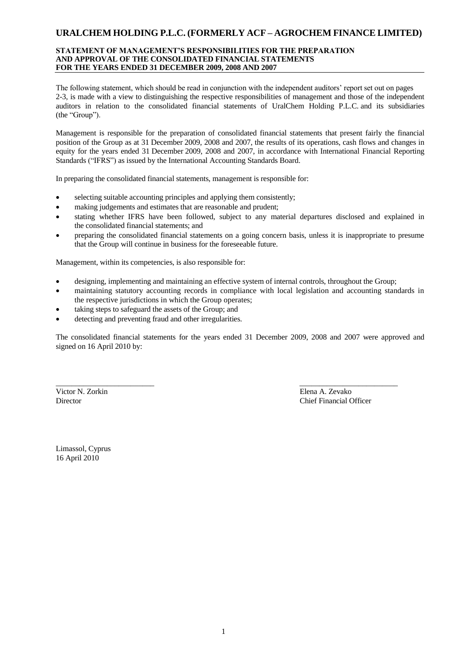### **STATEMENT OF MANAGEMENT'S RESPONSIBILITIES FOR THE PREPARATION AND APPROVAL OF THE CONSOLIDATED FINANCIAL STATEMENTS FOR THE YEARS ENDED 31 DECEMBER 2009, 2008 AND 2007**

The following statement, which should be read in conjunction with the independent auditors' report set out on pages 2-3, is made with a view to distinguishing the respective responsibilities of management and those of the independent auditors in relation to the consolidated financial statements of UralChem Holding P.L.C. and its subsidiaries (the "Group").

Management is responsible for the preparation of consolidated financial statements that present fairly the financial position of the Group as at 31 December 2009, 2008 and 2007, the results of its operations, cash flows and changes in equity for the years ended 31 December 2009, 2008 and 2007, in accordance with International Financial Reporting Standards ("IFRS") as issued by the International Accounting Standards Board.

In preparing the consolidated financial statements, management is responsible for:

- selecting suitable accounting principles and applying them consistently;
- making judgements and estimates that are reasonable and prudent;
- stating whether IFRS have been followed, subject to any material departures disclosed and explained in the consolidated financial statements; and
- preparing the consolidated financial statements on a going concern basis, unless it is inappropriate to presume that the Group will continue in business for the foreseeable future.

Management, within its competencies, is also responsible for:

designing, implementing and maintaining an effective system of internal controls, throughout the Group;

\_\_\_\_\_\_\_\_\_\_\_\_\_\_\_\_\_\_\_\_\_\_\_\_\_ \_\_\_\_\_\_\_\_\_\_\_\_\_\_\_\_\_\_\_\_\_\_\_\_\_

- maintaining statutory accounting records in compliance with local legislation and accounting standards in the respective jurisdictions in which the Group operates;
- taking steps to safeguard the assets of the Group; and
- detecting and preventing fraud and other irregularities.

The consolidated financial statements for the years ended 31 December 2009, 2008 and 2007 were approved and signed on 16 April 2010 by:

Victor N. Zorkin Elena A. Zevako

Director Chief Financial Officer

Limassol, Cyprus 16 April 2010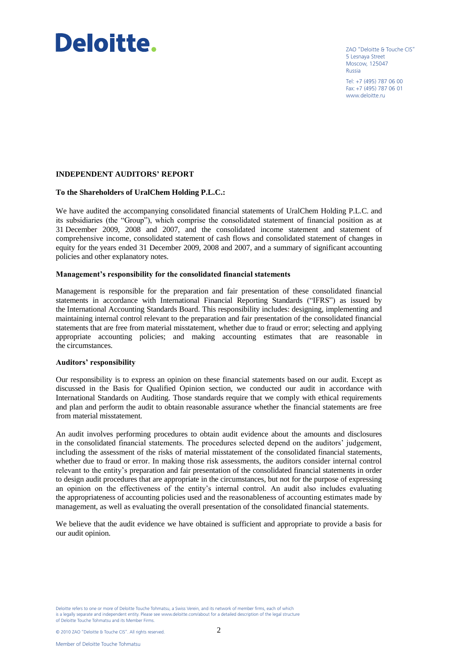# Deloitte.

ZAO "Deloitte & Touche CIS" 5 Lesnaya Street Moscow, 125047 Russia Tel: +7 (495) 787 06 00

Fax: +7 (495) 787 06 01 www.deloitte.ru

### **INDEPENDENT AUDITORS' REPORT**

### **To the Shareholders of UralChem Holding P.L.C.:**

We have audited the accompanying consolidated financial statements of UralChem Holding P.L.C. and its subsidiaries (the "Group"), which comprise the consolidated statement of financial position as at 31 December 2009, 2008 and 2007, and the consolidated income statement and statement of comprehensive income, consolidated statement of cash flows and consolidated statement of changes in equity for the years ended 31 December 2009, 2008 and 2007, and a summary of significant accounting policies and other explanatory notes.

#### **Management's responsibility for the consolidated financial statements**

Management is responsible for the preparation and fair presentation of these consolidated financial statements in accordance with International Financial Reporting Standards ("IFRS") as issued by the International Accounting Standards Board. This responsibility includes: designing, implementing and maintaining internal control relevant to the preparation and fair presentation of the consolidated financial statements that are free from material misstatement, whether due to fraud or error; selecting and applying appropriate accounting policies; and making accounting estimates that are reasonable in the circumstances.

#### **Auditors' responsibility**

Our responsibility is to express an opinion on these financial statements based on our audit. Except as discussed in the Basis for Qualified Opinion section, we conducted our audit in accordance with International Standards on Auditing. Those standards require that we comply with ethical requirements and plan and perform the audit to obtain reasonable assurance whether the financial statements are free from material misstatement.

An audit involves performing procedures to obtain audit evidence about the amounts and disclosures in the consolidated financial statements. The procedures selected depend on the auditors' judgement, including the assessment of the risks of material misstatement of the consolidated financial statements, whether due to fraud or error. In making those risk assessments, the auditors consider internal control relevant to the entity's preparation and fair presentation of the consolidated financial statements in order to design audit procedures that are appropriate in the circumstances, but not for the purpose of expressing an opinion on the effectiveness of the entity's internal control. An audit also includes evaluating the appropriateness of accounting policies used and the reasonableness of accounting estimates made by management, as well as evaluating the overall presentation of the consolidated financial statements.

We believe that the audit evidence we have obtained is sufficient and appropriate to provide a basis for our audit opinion.

Deloitte refers to one or more of Deloitte Touche Tohmatsu, a Swiss Verein, and its network of member firms, each of which is a legally separate and independent entity. Please see www.deloitte.com/about for a detailed description of the legal structure of Deloitte Touche Tohmatsu and its Member Firms.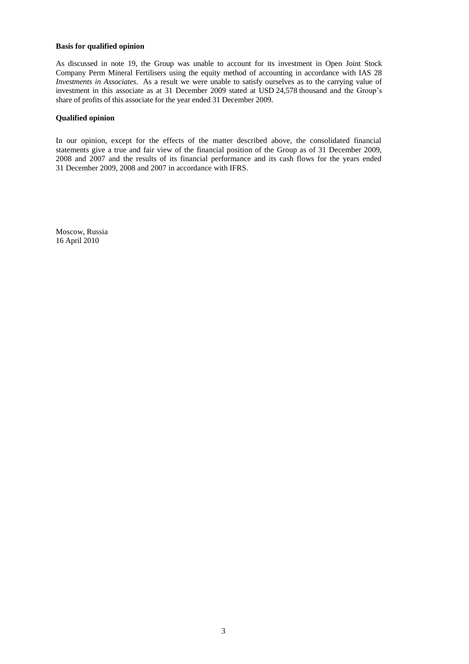### **Basis for qualified opinion**

As discussed in note 19, the Group was unable to account for its investment in Open Joint Stock Company Perm Mineral Fertilisers using the equity method of accounting in accordance with IAS 28 *Investments in Associates*. As a result we were unable to satisfy ourselves as to the carrying value of investment in this associate as at 31 December 2009 stated at USD 24,578 thousand and the Group's share of profits of this associate for the year ended 31 December 2009.

### **Qualified opinion**

In our opinion, except for the effects of the matter described above, the consolidated financial statements give a true and fair view of the financial position of the Group as of 31 December 2009, 2008 and 2007 and the results of its financial performance and its cash flows for the years ended 31 December 2009, 2008 and 2007 in accordance with IFRS.

Moscow, Russia 16 April 2010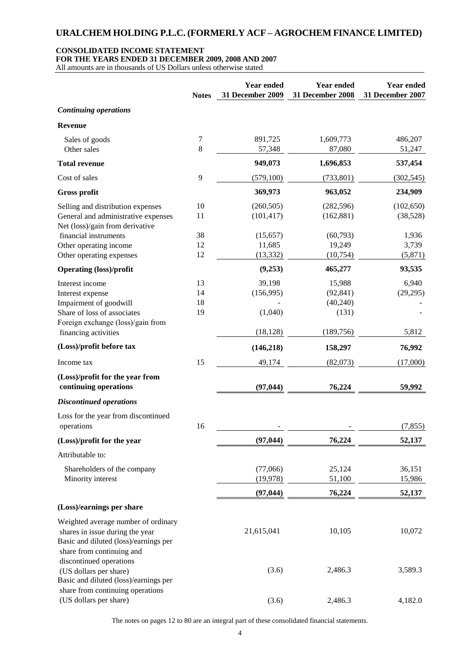### **CONSOLIDATED INCOME STATEMENT**

**FOR THE YEARS ENDED 31 DECEMBER 2009, 2008 AND 2007**

All amounts are in thousands of US Dollars unless otherwise stated

|                                                                          | <b>Notes</b> | <b>Year ended</b><br>31 December 2009 | <b>Year ended</b><br>31 December 2008 | <b>Year ended</b><br>31 December 2007 |
|--------------------------------------------------------------------------|--------------|---------------------------------------|---------------------------------------|---------------------------------------|
| <b>Continuing operations</b>                                             |              |                                       |                                       |                                       |
| <b>Revenue</b>                                                           |              |                                       |                                       |                                       |
| Sales of goods<br>Other sales                                            | 7<br>8       | 891,725<br>57,348                     | 1,609,773<br>87,080                   | 486,207<br>51,247                     |
| <b>Total revenue</b>                                                     |              | 949,073                               | 1,696,853                             | 537,454                               |
| Cost of sales                                                            | 9            | (579, 100)                            | (733, 801)                            | (302, 545)                            |
| <b>Gross profit</b>                                                      |              | 369,973                               | 963,052                               | 234,909                               |
| Selling and distribution expenses                                        | 10           | (260, 505)                            | (282, 596)                            | (102, 650)                            |
| General and administrative expenses<br>Net (loss)/gain from derivative   | 11           | (101, 417)                            | (162, 881)                            | (38,528)                              |
| financial instruments                                                    | 38           | (15, 657)                             | (60, 793)                             | 1,936                                 |
| Other operating income                                                   | 12<br>12     | 11,685<br>(13, 332)                   | 19,249<br>(10, 754)                   | 3,739                                 |
| Other operating expenses<br><b>Operating (loss)/profit</b>               |              | (9,253)                               | 465,277                               | (5,871)<br>93,535                     |
|                                                                          |              |                                       |                                       |                                       |
| Interest income                                                          | 13<br>14     | 39,198<br>(156,995)                   | 15,988<br>(92, 841)                   | 6,940<br>(29, 295)                    |
| Interest expense<br>Impairment of goodwill                               | 18           |                                       | (40,240)                              |                                       |
| Share of loss of associates                                              | 19           | (1,040)                               | (131)                                 |                                       |
| Foreign exchange (loss)/gain from<br>financing activities                |              | (18, 128)                             | (189, 756)                            | 5,812                                 |
| (Loss)/profit before tax                                                 |              | (146, 218)                            | 158,297                               | 76,992                                |
| Income tax                                                               | 15           | 49,174                                | (82,073)                              | (17,000)                              |
| (Loss)/profit for the year from<br>continuing operations                 |              | (97, 044)                             | 76,224                                | 59,992                                |
| <b>Discontinued operations</b>                                           |              |                                       |                                       |                                       |
| Loss for the year from discontinued<br>operations                        | 16           |                                       |                                       | (7, 855)                              |
| (Loss)/profit for the year                                               |              | (97, 044)                             | 76,224                                | 52,137                                |
| Attributable to:                                                         |              |                                       |                                       |                                       |
| Shareholders of the company                                              |              | (77,066)                              | 25,124                                | 36,151                                |
| Minority interest                                                        |              | (19, 978)                             | 51,100                                | 15,986                                |
|                                                                          |              | (97, 044)                             | 76,224                                | 52,137                                |
| (Loss)/earnings per share                                                |              |                                       |                                       |                                       |
| Weighted average number of ordinary                                      |              |                                       |                                       |                                       |
| shares in issue during the year<br>Basic and diluted (loss)/earnings per |              | 21,615,041                            | 10,105                                | 10,072                                |
| share from continuing and<br>discontinued operations                     |              |                                       |                                       |                                       |
| (US dollars per share)<br>Basic and diluted (loss)/earnings per          |              | (3.6)                                 | 2,486.3                               | 3,589.3                               |
| share from continuing operations<br>(US dollars per share)               |              | (3.6)                                 | 2,486.3                               | 4,182.0                               |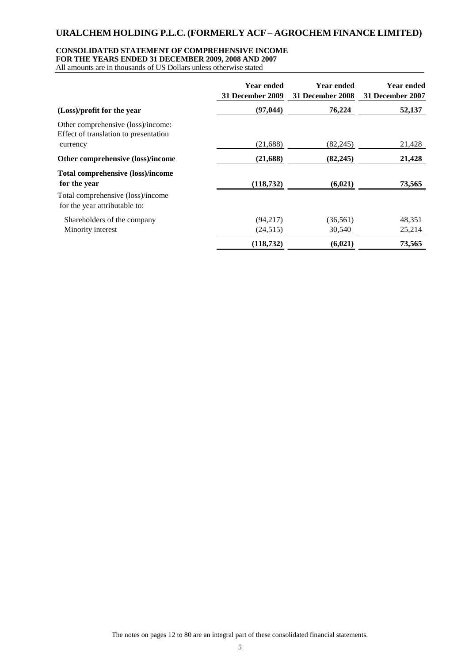### **CONSOLIDATED STATEMENT OF COMPREHENSIVE INCOME**

**FOR THE YEARS ENDED 31 DECEMBER 2009, 2008 AND 2007**

All amounts are in thousands of US Dollars unless otherwise stated

|                                                                             | <b>Year ended</b><br>31 December 2009 | <b>Year ended</b><br>31 December 2008 | <b>Year ended</b><br>31 December 2007 |
|-----------------------------------------------------------------------------|---------------------------------------|---------------------------------------|---------------------------------------|
| (Loss)/profit for the year                                                  | (97, 044)                             | 76,224                                | 52,137                                |
| Other comprehensive (loss)/income:<br>Effect of translation to presentation |                                       |                                       |                                       |
| currency                                                                    | (21,688)                              | (82, 245)                             | 21,428                                |
| Other comprehensive (loss)/income                                           | (21, 688)                             | (82, 245)                             | 21,428                                |
| <b>Total comprehensive (loss)/income</b><br>for the year                    | (118, 732)                            | (6,021)                               | 73,565                                |
| Total comprehensive (loss)/income<br>for the year attributable to:          |                                       |                                       |                                       |
| Shareholders of the company                                                 | (94,217)                              | (36, 561)                             | 48,351                                |
| Minority interest                                                           | (24, 515)                             | 30,540                                | 25,214                                |
|                                                                             | (118, 732)                            | (6,021)                               | 73,565                                |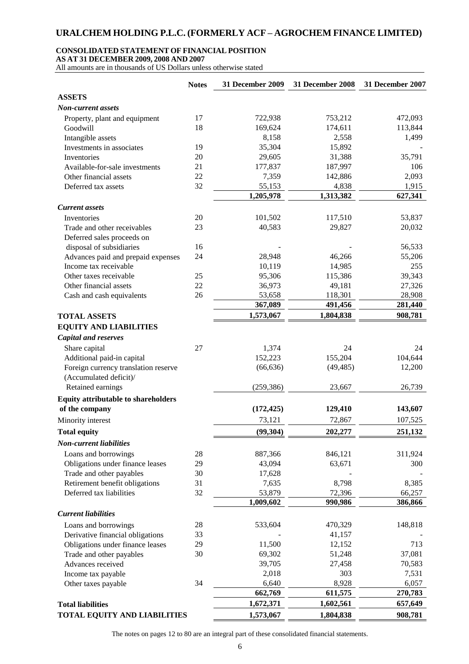### **CONSOLIDATED STATEMENT OF FINANCIAL POSITION**

**AS AT 31 DECEMBER 2009, 2008 AND 2007**

All amounts are in thousands of US Dollars unless otherwise stated

|                                                            | <b>Notes</b> | <b>31 December 2009</b> | <b>31 December 2008</b> | 31 December 2007 |
|------------------------------------------------------------|--------------|-------------------------|-------------------------|------------------|
| <b>ASSETS</b>                                              |              |                         |                         |                  |
| <b>Non-current assets</b>                                  |              |                         |                         |                  |
| Property, plant and equipment                              | 17           | 722,938                 | 753,212                 | 472,093          |
| Goodwill                                                   | 18           | 169,624                 | 174,611                 | 113,844          |
| Intangible assets                                          |              | 8,158                   | 2,558                   | 1,499            |
| Investments in associates                                  | 19           | 35,304                  | 15,892                  |                  |
| Inventories                                                | 20           | 29,605                  | 31,388                  | 35,791           |
| Available-for-sale investments                             | 21           | 177,837                 | 187,997                 | 106              |
| Other financial assets                                     | 22           | 7,359                   | 142,886                 | 2,093            |
| Deferred tax assets                                        | 32           | 55,153                  | 4,838                   | 1,915            |
|                                                            |              | 1,205,978               | 1,313,382               | 627,341          |
| <b>Current assets</b>                                      |              |                         |                         |                  |
| Inventories                                                | 20           | 101,502                 | 117,510                 | 53,837           |
| Trade and other receivables                                | 23           | 40,583                  | 29,827                  | 20,032           |
| Deferred sales proceeds on                                 |              |                         |                         |                  |
| disposal of subsidiaries                                   | 16           |                         |                         | 56,533           |
| Advances paid and prepaid expenses                         | 24           | 28,948                  | 46,266                  | 55,206           |
| Income tax receivable                                      |              | 10,119                  | 14,985                  | 255              |
| Other taxes receivable                                     | 25           | 95,306                  | 115,386                 | 39,343           |
| Other financial assets                                     | 22           | 36,973                  | 49,181                  | 27,326           |
| Cash and cash equivalents                                  | 26           | 53,658                  | 118,301                 | 28,908           |
|                                                            |              | 367,089                 | 491,456                 | 281,440          |
| <b>TOTAL ASSETS</b>                                        |              | 1,573,067               | 1,804,838               | 908,781          |
| <b>EQUITY AND LIABILITIES</b>                              |              |                         |                         |                  |
| <b>Capital and reserves</b>                                |              |                         |                         |                  |
| Share capital                                              | 27           | 1,374                   | 24                      | 24               |
| Additional paid-in capital                                 |              | 152,223                 | 155,204                 | 104,644          |
| Foreign currency translation reserve                       |              | (66, 636)               | (49, 485)               | 12,200           |
| (Accumulated deficit)/                                     |              |                         |                         |                  |
| Retained earnings                                          |              | (259, 386)              | 23,667                  | 26,739           |
| <b>Equity attributable to shareholders</b>                 |              |                         |                         |                  |
| of the company                                             |              | (172, 425)              | 129,410                 | 143,607          |
| Minority interest                                          |              | 73,121                  | 72,867                  | 107,525          |
| <b>Total equity</b>                                        |              | (99, 304)               | 202,277                 | 251,132          |
|                                                            |              |                         |                         |                  |
| <b>Non-current liabilities</b>                             |              |                         |                         |                  |
| Loans and borrowings                                       | 28<br>29     | 887,366<br>43,094       | 846,121<br>63,671       | 311,924<br>300   |
| Obligations under finance leases                           | 30           | 17,628                  |                         |                  |
| Trade and other payables<br>Retirement benefit obligations | 31           | 7,635                   | 8,798                   | 8,385            |
| Deferred tax liabilities                                   | 32           | 53,879                  | 72,396                  | 66,257           |
|                                                            |              | 1,009,602               | 990,986                 | 386,866          |
| <b>Current liabilities</b>                                 |              |                         |                         |                  |
|                                                            |              |                         |                         |                  |
| Loans and borrowings                                       | 28           | 533,604                 | 470,329                 | 148,818          |
| Derivative financial obligations                           | 33           |                         | 41,157                  |                  |
| Obligations under finance leases                           | 29<br>30     | 11,500<br>69,302        | 12,152<br>51,248        | 713<br>37,081    |
| Trade and other payables<br>Advances received              |              | 39,705                  | 27,458                  | 70,583           |
| Income tax payable                                         |              | 2,018                   | 303                     | 7,531            |
| Other taxes payable                                        | 34           | 6,640                   | 8,928                   | 6,057            |
|                                                            |              | 662,769                 | 611,575                 | 270,783          |
| <b>Total liabilities</b>                                   |              | 1,672,371               | 1,602,561               | 657,649          |
| <b>TOTAL EQUITY AND LIABILITIES</b>                        |              | 1,573,067               | 1,804,838               | 908,781          |
|                                                            |              |                         |                         |                  |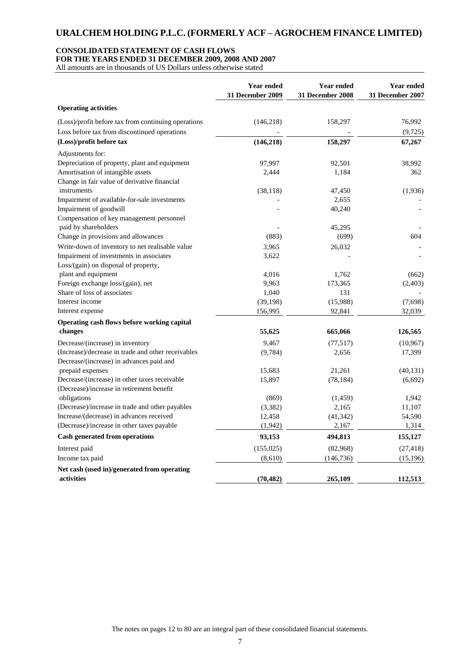### **CONSOLIDATED STATEMENT OF CASH FLOWS**

**FOR THE YEARS ENDED 31 DECEMBER 2009, 2008 AND 2007**

All amounts are in thousands of US Dollars unless otherwise stated

|                                                                                        | <b>Year ended</b><br><b>31 December 2009</b> | <b>Year ended</b><br>31 December 2008 | <b>Year ended</b><br>31 December 2007 |
|----------------------------------------------------------------------------------------|----------------------------------------------|---------------------------------------|---------------------------------------|
| <b>Operating activities</b>                                                            |                                              |                                       |                                       |
| (Loss)/profit before tax from continuing operations                                    | (146,218)                                    | 158,297                               | 76,992                                |
| Loss before tax from discontinued operations                                           |                                              |                                       | (9, 725)                              |
| (Loss)/profit before tax                                                               | (146, 218)                                   | 158,297                               | 67,267                                |
| Adjustments for:                                                                       |                                              |                                       |                                       |
| Depreciation of property, plant and equipment                                          | 97,997                                       | 92,501                                | 38,992                                |
| Amortisation of intangible assets<br>Change in fair value of derivative financial      | 2,444                                        | 1,184                                 | 362                                   |
| instruments                                                                            | (38, 118)                                    | 47,450                                | (1,936)                               |
| Impairment of available-for-sale investments                                           |                                              | 2,655                                 |                                       |
| Impairment of goodwill                                                                 |                                              | 40,240                                |                                       |
| Compensation of key management personnel                                               |                                              |                                       |                                       |
| paid by shareholders                                                                   |                                              | 45,295                                |                                       |
| Change in provisions and allowances                                                    | (883)                                        | (699)                                 | 604                                   |
| Write-down of inventory to net realisable value                                        | 3,965                                        | 26,032                                |                                       |
| Impairment of investments in associates                                                | 3,622                                        |                                       |                                       |
| Loss/(gain) on disposal of property,                                                   |                                              |                                       |                                       |
| plant and equipment<br>Foreign exchange loss/(gain), net                               | 4,016                                        | 1,762                                 | (662)                                 |
| Share of loss of associates                                                            | 9,963<br>1,040                               | 173,365<br>131                        | (2,403)                               |
| Interest income                                                                        | (39, 198)                                    | (15,988)                              | (7,698)                               |
| Interest expense                                                                       | 156,995                                      | 92,841                                | 32,039                                |
|                                                                                        |                                              |                                       |                                       |
| Operating cash flows before working capital<br>changes                                 | 55,625                                       | 665,066                               | 126,565                               |
|                                                                                        | 9.467                                        |                                       |                                       |
| Decrease/(increase) in inventory<br>(Increase)/decrease in trade and other receivables | (9, 784)                                     | (77, 517)<br>2,656                    | (10, 967)<br>17,399                   |
| Decrease/(increase) in advances paid and                                               |                                              |                                       |                                       |
| prepaid expenses                                                                       | 15,683                                       | 21,261                                | (40, 131)                             |
| Decrease/(increase) in other taxes receivable                                          | 15,897                                       | (78, 184)                             | (6,692)                               |
| (Decrease)/increase in retirement benefit                                              |                                              |                                       |                                       |
| obligations                                                                            | (869)                                        | (1,459)                               | 1,942                                 |
| (Decrease)/increase in trade and other payables                                        | (3, 382)                                     | 2,165                                 | 11,107                                |
| Increase/(decrease) in advances received                                               | 12,458                                       | (41, 342)                             | 54,590                                |
| (Decrease)/increase in other taxes payable                                             | (1, 942)                                     | 2,167                                 | 1,314                                 |
| <b>Cash generated from operations</b>                                                  | 93,153                                       | 494,813                               | 155,127                               |
| Interest paid                                                                          | (155, 025)                                   | (82,968)                              | (27, 418)                             |
| Income tax paid                                                                        | (8,610)                                      | (146, 736)                            | (15, 196)                             |
| Net cash (used in)/generated from operating<br>activities                              | (70, 482)                                    | 265,109                               | 112,513                               |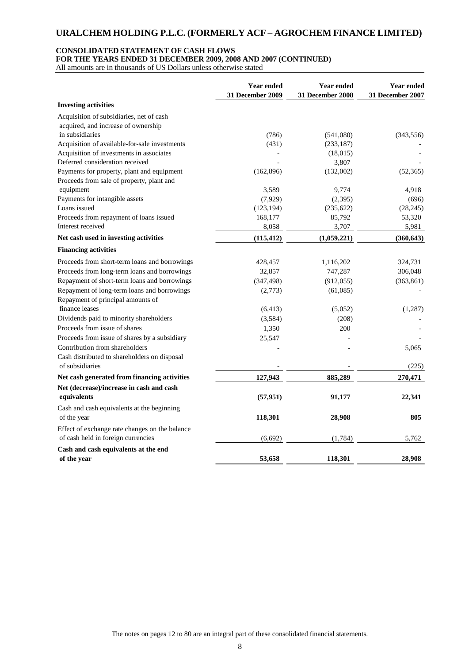#### **CONSOLIDATED STATEMENT OF CASH FLOWS**

**FOR THE YEARS ENDED 31 DECEMBER 2009, 2008 AND 2007 (CONTINUED)** 

All amounts are in thousands of US Dollars unless otherwise stated

|                                                | <b>Year ended</b><br><b>31 December 2009</b> | <b>Year ended</b><br>31 December 2008 | Year ended<br>31 December 2007 |
|------------------------------------------------|----------------------------------------------|---------------------------------------|--------------------------------|
| <b>Investing activities</b>                    |                                              |                                       |                                |
| Acquisition of subsidiaries, net of cash       |                                              |                                       |                                |
| acquired, and increase of ownership            |                                              |                                       |                                |
| in subsidiaries                                | (786)                                        | (541,080)                             | (343, 556)                     |
| Acquisition of available-for-sale investments  | (431)                                        | (233, 187)                            |                                |
| Acquisition of investments in associates       |                                              | (18,015)                              |                                |
| Deferred consideration received                |                                              | 3,807                                 |                                |
| Payments for property, plant and equipment     | (162,896)                                    | (132,002)                             | (52, 365)                      |
| Proceeds from sale of property, plant and      |                                              |                                       |                                |
| equipment                                      | 3,589                                        | 9,774                                 | 4,918                          |
| Payments for intangible assets                 | (7,929)                                      | (2, 395)                              | (696)                          |
| Loans issued                                   | (123, 194)                                   | (235, 622)                            | (28, 245)                      |
| Proceeds from repayment of loans issued        | 168,177                                      | 85,792                                | 53,320                         |
| Interest received                              | 8,058                                        | 3,707                                 | 5,981                          |
| Net cash used in investing activities          | (115, 412)                                   | (1,059,221)                           | (360, 643)                     |
| <b>Financing activities</b>                    |                                              |                                       |                                |
| Proceeds from short-term loans and borrowings  | 428,457                                      | 1,116,202                             | 324,731                        |
| Proceeds from long-term loans and borrowings   | 32,857                                       | 747,287                               | 306,048                        |
| Repayment of short-term loans and borrowings   | (347, 498)                                   | (912, 055)                            | (363, 861)                     |
| Repayment of long-term loans and borrowings    | (2,773)                                      | (61,085)                              |                                |
| Repayment of principal amounts of              |                                              |                                       |                                |
| finance leases                                 | (6, 413)                                     | (5,052)                               | (1,287)                        |
| Dividends paid to minority shareholders        | (3,584)                                      | (208)                                 |                                |
| Proceeds from issue of shares                  | 1,350                                        | 200                                   |                                |
| Proceeds from issue of shares by a subsidiary  | 25,547                                       |                                       |                                |
| Contribution from shareholders                 |                                              |                                       | 5,065                          |
| Cash distributed to shareholders on disposal   |                                              |                                       |                                |
| of subsidiaries                                |                                              |                                       | (225)                          |
| Net cash generated from financing activities   | 127,943                                      | 885,289                               | 270,471                        |
| Net (decrease)/increase in cash and cash       |                                              |                                       |                                |
| equivalents                                    | (57, 951)                                    | 91,177                                | 22,341                         |
| Cash and cash equivalents at the beginning     |                                              |                                       |                                |
| of the year                                    | 118,301                                      | 28,908                                | 805                            |
| Effect of exchange rate changes on the balance |                                              |                                       |                                |
| of cash held in foreign currencies             | (6, 692)                                     | (1,784)                               | 5,762                          |
| Cash and cash equivalents at the end           |                                              |                                       |                                |
| of the year                                    | 53,658                                       | 118,301                               | 28,908                         |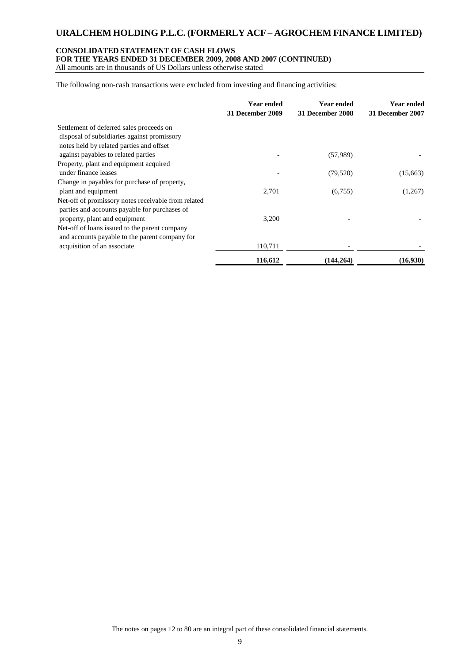### **CONSOLIDATED STATEMENT OF CASH FLOWS**

**FOR THE YEARS ENDED 31 DECEMBER 2009, 2008 AND 2007 (CONTINUED)** 

All amounts are in thousands of US Dollars unless otherwise stated

The following non-cash transactions were excluded from investing and financing activities:

|                                                     | Year ended<br>31 December 2009 | <b>Year ended</b><br>31 December 2008 | <b>Year ended</b><br>31 December 2007 |
|-----------------------------------------------------|--------------------------------|---------------------------------------|---------------------------------------|
| Settlement of deferred sales proceeds on            |                                |                                       |                                       |
| disposal of subsidiaries against promissory         |                                |                                       |                                       |
| notes held by related parties and offset            |                                |                                       |                                       |
| against payables to related parties                 |                                | (57,989)                              |                                       |
| Property, plant and equipment acquired              |                                |                                       |                                       |
| under finance leases                                |                                | (79, 520)                             | (15,663)                              |
| Change in payables for purchase of property,        |                                |                                       |                                       |
| plant and equipment                                 | 2,701                          | (6,755)                               | (1,267)                               |
| Net-off of promissory notes receivable from related |                                |                                       |                                       |
| parties and accounts payable for purchases of       |                                |                                       |                                       |
| property, plant and equipment                       | 3,200                          |                                       |                                       |
| Net-off of loans issued to the parent company       |                                |                                       |                                       |
| and accounts payable to the parent company for      |                                |                                       |                                       |
| acquisition of an associate                         | 110,711                        |                                       |                                       |
|                                                     | 116,612                        | (144.264)                             | (16,930)                              |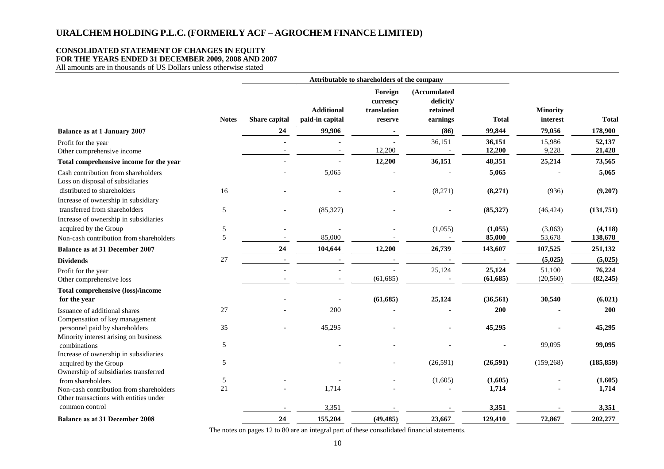### **CONSOLIDATED STATEMENT OF CHANGES IN EQUITY**

**FOR THE YEARS ENDED 31 DECEMBER 2009, 2008 AND 2007**

All amounts are in thousands of US Dollars unless otherwise stated

|                                                                                   |              | Attributable to shareholders of the company |                                      |                                               |                                                   |                     |                             |                     |
|-----------------------------------------------------------------------------------|--------------|---------------------------------------------|--------------------------------------|-----------------------------------------------|---------------------------------------------------|---------------------|-----------------------------|---------------------|
|                                                                                   | <b>Notes</b> | Share capital                               | <b>Additional</b><br>paid-in capital | Foreign<br>currency<br>translation<br>reserve | (Accumulated<br>deficit)/<br>retained<br>earnings | <b>Total</b>        | <b>Minority</b><br>interest | <b>Total</b>        |
| <b>Balance as at 1 January 2007</b>                                               |              | 24                                          | 99,906                               |                                               | (86)                                              | 99,844              | 79,056                      | 178,900             |
| Profit for the year<br>Other comprehensive income                                 |              |                                             |                                      | 12,200                                        | 36,151                                            | 36,151<br>12,200    | 15,986<br>9,228             | 52,137<br>21,428    |
| Total comprehensive income for the year                                           |              |                                             |                                      | 12,200                                        | 36,151                                            | 48,351              | 25,214                      | 73,565              |
| Cash contribution from shareholders<br>Loss on disposal of subsidiaries           |              |                                             | 5,065                                |                                               |                                                   | 5,065               |                             | 5,065               |
| distributed to shareholders<br>Increase of ownership in subsidiary                | 16           |                                             |                                      |                                               | (8,271)                                           | (8,271)             | (936)                       | (9,207)             |
| transferred from shareholders<br>Increase of ownership in subsidiaries            | 5            |                                             | (85, 327)                            |                                               |                                                   | (85, 327)           | (46, 424)                   | (131,751)           |
| acquired by the Group                                                             | 5            |                                             |                                      |                                               | (1,055)                                           | (1,055)             | (3,063)                     | (4,118)             |
| Non-cash contribution from shareholders                                           | 5            |                                             | 85,000                               |                                               |                                                   | 85,000              | 53,678                      | 138,678             |
| <b>Balance as at 31 December 2007</b>                                             |              | 24                                          | 104,644                              | 12,200                                        | 26,739                                            | 143,607             | 107,525                     | 251,132             |
| <b>Dividends</b>                                                                  | 27           | $\sim$                                      |                                      |                                               |                                                   |                     | (5,025)                     | (5,025)             |
| Profit for the year<br>Other comprehensive loss                                   |              |                                             |                                      | (61, 685)                                     | 25,124                                            | 25,124<br>(61, 685) | 51,100<br>(20, 560)         | 76,224<br>(82, 245) |
| Total comprehensive (loss)/income<br>for the year                                 |              |                                             |                                      | (61, 685)                                     | 25,124                                            | (36, 561)           | 30,540                      | (6,021)             |
| Issuance of additional shares<br>Compensation of key management                   | 27           |                                             | 200                                  |                                               |                                                   | 200                 |                             | 200                 |
| personnel paid by shareholders<br>Minority interest arising on business           | 35           |                                             | 45,295                               |                                               |                                                   | 45,295              |                             | 45,295              |
| combinations<br>Increase of ownership in subsidiaries                             | $\sqrt{5}$   |                                             |                                      |                                               |                                                   |                     | 99,095                      | 99,095              |
| acquired by the Group<br>Ownership of subsidiaries transferred                    | 5            |                                             |                                      |                                               | (26,591)                                          | (26,591)            | (159, 268)                  | (185, 859)          |
| from shareholders                                                                 | 5            |                                             |                                      |                                               | (1,605)                                           | (1,605)             |                             | (1,605)             |
| Non-cash contribution from shareholders<br>Other transactions with entities under | 21           |                                             | 1,714                                |                                               |                                                   | 1,714               |                             | 1,714               |
| common control                                                                    |              |                                             | 3,351                                |                                               |                                                   | 3,351               |                             | 3,351               |
| <b>Balance as at 31 December 2008</b>                                             |              | 24                                          | 155,204                              | (49, 485)                                     | 23,667                                            | 129,410             | 72,867                      | 202,277             |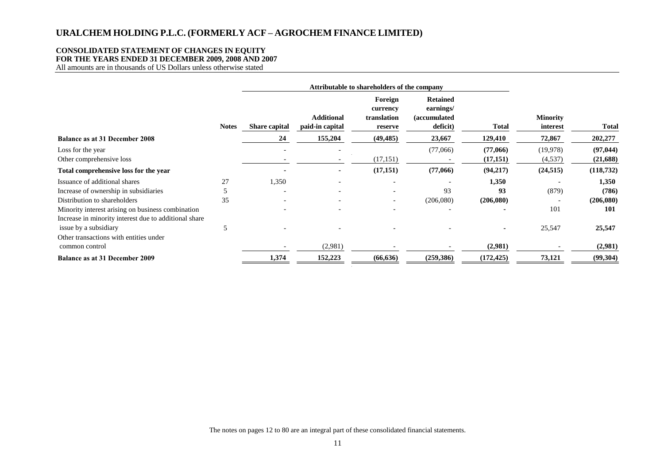### **CONSOLIDATED STATEMENT OF CHANGES IN EQUITY**

**FOR THE YEARS ENDED 31 DECEMBER 2009, 2008 AND 2007**

All amounts are in thousands of US Dollars unless otherwise stated

|                                                                                                            |              |                          | Attributable to shareholders of the company |                                               |                                                                  |                      |                             |                       |
|------------------------------------------------------------------------------------------------------------|--------------|--------------------------|---------------------------------------------|-----------------------------------------------|------------------------------------------------------------------|----------------------|-----------------------------|-----------------------|
|                                                                                                            | <b>Notes</b> | <b>Share capital</b>     | <b>Additional</b><br>paid-in capital        | Foreign<br>currency<br>translation<br>reserve | <b>Retained</b><br>earnings/<br><i>(accumulated)</i><br>deficit) | <b>Total</b>         | <b>Minority</b><br>interest | <b>Total</b>          |
| <b>Balance as at 31 December 2008</b>                                                                      |              | 24                       | 155,204                                     | (49, 485)                                     | 23,667                                                           | 129,410              | 72,867                      | 202,277               |
| Loss for the year<br>Other comprehensive loss                                                              |              |                          |                                             | (17, 151)                                     | (77,066)                                                         | (77,066)<br>(17,151) | (19, 978)<br>(4,537)        | (97, 044)<br>(21,688) |
| Total comprehensive loss for the year                                                                      |              |                          |                                             | (17,151)                                      | (77,066)                                                         | (94,217)             | (24, 515)                   | (118, 732)            |
| Issuance of additional shares                                                                              | 27           | 1,350                    |                                             |                                               |                                                                  | 1,350                |                             | 1,350                 |
| Increase of ownership in subsidiaries                                                                      |              | $\overline{\phantom{a}}$ |                                             | $\overline{\phantom{0}}$                      | 93                                                               | 93                   | (879)                       | (786)                 |
| Distribution to shareholders                                                                               | 35           | $\overline{\phantom{a}}$ |                                             |                                               | (206,080)                                                        | (206,080)            |                             | (206,080)             |
| Minority interest arising on business combination<br>Increase in minority interest due to additional share |              |                          |                                             |                                               |                                                                  |                      | 101                         | 101                   |
| issue by a subsidiary<br>Other transactions with entities under                                            | 5            |                          |                                             |                                               |                                                                  |                      | 25,547                      | 25,547                |
| common control                                                                                             |              |                          | (2,981)                                     |                                               |                                                                  | (2,981)              |                             | (2,981)               |
| <b>Balance as at 31 December 2009</b>                                                                      |              | 1,374                    | 152,223                                     | (66, 636)                                     | (259, 386)                                                       | (172, 425)           | 73,121                      | (99, 304)             |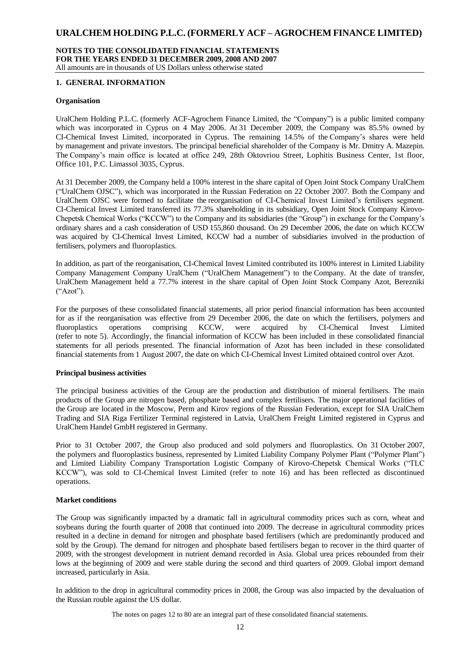### **NOTES TO THE CONSOLIDATED FINANCIAL STATEMENTS FOR THE YEARS ENDED 31 DECEMBER 2009, 2008 AND 2007** All amounts are in thousands of US Dollars unless otherwise stated

### **1. GENERAL INFORMATION**

#### **Organisation**

UralChem Holding P.L.C. (formerly ACF-Agrochem Finance Limited, the "Company") is a public limited company which was incorporated in Cyprus on 4 May 2006. At 31 December 2009, the Company was 85.5% owned by CI-Chemical Invest Limited, incorporated in Cyprus. The remaining 14.5% of the Company's shares were held by management and private investors. The principal beneficial shareholder of the Company is Mr. Dmitry A. Mazepin. The Company's main office is located at office 249, 28th Oktovriou Street, Lophitis Business Center, 1st floor, Office 101, P.C. Limassol 3035, Cyprus.

At 31 December 2009, the Company held a 100% interest in the share capital of Open Joint Stock Company UralChem ("UralChem OJSC"), which was incorporated in the Russian Federation on 22 October 2007. Both the Company and UralChem OJSC were formed to facilitate the reorganisation of CI-Chemical Invest Limited's fertilisers segment. CI-Chemical Invest Limited transferred its 77.3% shareholding in its subsidiary, Open Joint Stock Company Kirovo-Chepetsk Chemical Works ("KCCW") to the Company and its subsidiaries (the "Group") in exchange for the Company's ordinary shares and a cash consideration of USD 155,860 thousand. On 29 December 2006, the date on which KCCW was acquired by CI-Chemical Invest Limited, KCCW had a number of subsidiaries involved in the production of fertilisers, polymers and fluoroplastics.

In addition, as part of the reorganisation, CI-Chemical Invest Limited contributed its 100% interest in Limited Liability Company Management Company UralChem ("UralChem Management") to the Company. At the date of transfer, UralChem Management held a 77.7% interest in the share capital of Open Joint Stock Company Azot, Berezniki ("Azot").

For the purposes of these consolidated financial statements, all prior period financial information has been accounted for as if the reorganisation was effective from 29 December 2006, the date on which the fertilisers, polymers and fluoroplastics operations comprising KCCW, were acquired by CI-Chemical Invest Limited (refer to note 5). Accordingly, the financial information of KCCW has been included in these consolidated financial statements for all periods presented. The financial information of Azot has been included in these consolidated financial statements from 1 August 2007, the date on which CI-Chemical Invest Limited obtained control over Azot.

#### **Principal business activities**

The principal business activities of the Group are the production and distribution of mineral fertilisers. The main products of the Group are nitrogen based, phosphate based and complex fertilisers. The major operational facilities of the Group are located in the Moscow, Perm and Kirov regions of the Russian Federation, except for SIA UralChem Trading and SIA Riga Fertilizer Terminal registered in Latvia, UralChem Freight Limited registered in Cyprus and UralChem Handel GmbH registered in Germany.

Prior to 31 October 2007, the Group also produced and sold polymers and fluoroplastics. On 31 October 2007, the polymers and fluoroplastics business, represented by Limited Liability Company Polymer Plant ("Polymer Plant") and Limited Liability Company Transportation Logistic Company of Kirovo-Chepetsk Chemical Works ("TLC KCCW"), was sold to CI-Chemical Invest Limited (refer to note 16) and has been reflected as discontinued operations.

#### **Market conditions**

The Group was significantly impacted by a dramatic fall in agricultural commodity prices such as corn, wheat and soybeans during the fourth quarter of 2008 that continued into 2009. The decrease in agricultural commodity prices resulted in a decline in demand for nitrogen and phosphate based fertilisers (which are predominantly produced and sold by the Group). The demand for nitrogen and phosphate based fertilisers began to recover in the third quarter of 2009, with the strongest development in nutrient demand recorded in Asia. Global urea prices rebounded from their lows at the beginning of 2009 and were stable during the second and third quarters of 2009. Global import demand increased, particularly in Asia.

In addition to the drop in agricultural commodity prices in 2008, the Group was also impacted by the devaluation of the Russian rouble against the US dollar.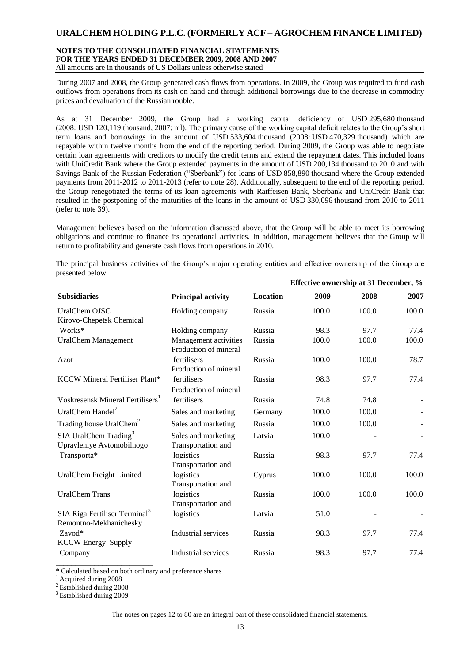### **NOTES TO THE CONSOLIDATED FINANCIAL STATEMENTS FOR THE YEARS ENDED 31 DECEMBER 2009, 2008 AND 2007** All amounts are in thousands of US Dollars unless otherwise stated

During 2007 and 2008, the Group generated cash flows from operations. In 2009, the Group was required to fund cash outflows from operations from its cash on hand and through additional borrowings due to the decrease in commodity prices and devaluation of the Russian rouble.

As at 31 December 2009, the Group had a working capital deficiency of USD 295,680 thousand (2008: USD 120,119 thousand, 2007: nil). The primary cause of the working capital deficit relates to the Group's short term loans and borrowings in the amount of USD 533,604 thousand (2008: USD 470,329 thousand) which are repayable within twelve months from the end of the reporting period. During 2009, the Group was able to negotiate certain loan agreements with creditors to modify the credit terms and extend the repayment dates. This included loans with UniCredit Bank where the Group extended payments in the amount of USD 200,134 thousand to 2010 and with Savings Bank of the Russian Federation ("Sberbank") for loans of USD 858,890 thousand where the Group extended payments from 2011-2012 to 2011-2013 (refer to note 28). Additionally, subsequent to the end of the reporting period, the Group renegotiated the terms of its loan agreements with Raiffeisen Bank, Sberbank and UniCredit Bank that resulted in the postponing of the maturities of the loans in the amount of USD 330,096 thousand from 2010 to 2011 (refer to note 39).

Management believes based on the information discussed above, that the Group will be able to meet its borrowing obligations and continue to finance its operational activities. In addition, management believes that the Group will return to profitability and generate cash flows from operations in 2010.

The principal business activities of the Group's major operating entities and effective ownership of the Group are presented below: **Effective ownership at 31 December, %**

|                                                                     |                                                |          |       | Ellective ownership at 31 December, % |       |
|---------------------------------------------------------------------|------------------------------------------------|----------|-------|---------------------------------------|-------|
| <b>Subsidiaries</b>                                                 | <b>Principal activity</b>                      | Location | 2009  | 2008                                  | 2007  |
| UralChem OJSC<br>Kirovo-Chepetsk Chemical                           | Holding company                                | Russia   | 100.0 | 100.0                                 | 100.0 |
| Works*                                                              | Holding company                                | Russia   | 98.3  | 97.7                                  | 77.4  |
| <b>UralChem Management</b>                                          | Management activities<br>Production of mineral | Russia   | 100.0 | 100.0                                 | 100.0 |
| Azot                                                                | fertilisers<br>Production of mineral           | Russia   | 100.0 | 100.0                                 | 78.7  |
| KCCW Mineral Fertiliser Plant*                                      | fertilisers<br>Production of mineral           | Russia   | 98.3  | 97.7                                  | 77.4  |
| Voskresensk Mineral Fertilisers <sup>1</sup>                        | fertilisers                                    | Russia   | 74.8  | 74.8                                  |       |
| UralChem Handel <sup>2</sup>                                        | Sales and marketing                            | Germany  | 100.0 | 100.0                                 |       |
| Trading house UralChem <sup>2</sup>                                 | Sales and marketing                            | Russia   | 100.0 | 100.0                                 |       |
| SIA UralChem Trading <sup>3</sup><br>Upravleniye Avtomobilnogo      | Sales and marketing<br>Transportation and      | Latvia   | 100.0 |                                       |       |
| Transporta*                                                         | logistics<br>Transportation and                | Russia   | 98.3  | 97.7                                  | 77.4  |
| UralChem Freight Limited                                            | logistics<br>Transportation and                | Cyprus   | 100.0 | 100.0                                 | 100.0 |
| <b>UralChem Trans</b>                                               | logistics<br>Transportation and                | Russia   | 100.0 | 100.0                                 | 100.0 |
| SIA Riga Fertiliser Terminal <sup>3</sup><br>Remontno-Mekhanichesky | logistics                                      | Latvia   | 51.0  |                                       |       |
| $Zavod*$<br><b>KCCW Energy Supply</b>                               | Industrial services                            | Russia   | 98.3  | 97.7                                  | 77.4  |
| Company                                                             | Industrial services                            | Russia   | 98.3  | 97.7                                  | 77.4  |

\* Calculated based on both ordinary and preference shares

<sup>1</sup> Acquired during 2008

 $2$  Established during 2008

<sup>3</sup> Established during 2009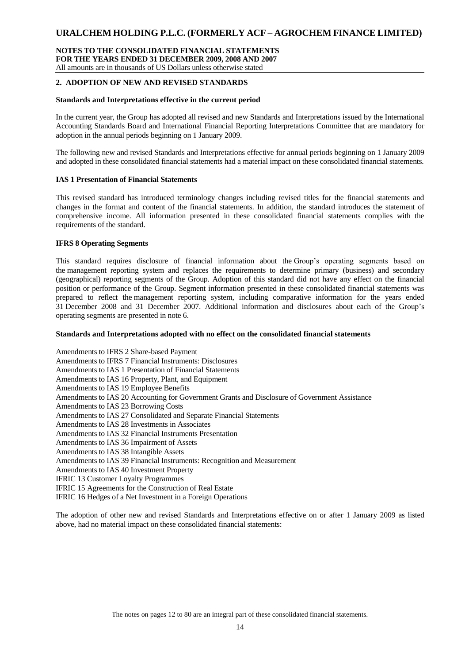### **NOTES TO THE CONSOLIDATED FINANCIAL STATEMENTS FOR THE YEARS ENDED 31 DECEMBER 2009, 2008 AND 2007** All amounts are in thousands of US Dollars unless otherwise stated

### **2. ADOPTION OF NEW AND REVISED STANDARDS**

### **Standards and Interpretations effective in the current period**

In the current year, the Group has adopted all revised and new Standards and Interpretations issued by the International Accounting Standards Board and International Financial Reporting Interpretations Committee that are mandatory for adoption in the annual periods beginning on 1 January 2009.

The following new and revised Standards and Interpretations effective for annual periods beginning on 1 January 2009 and adopted in these consolidated financial statements had a material impact on these consolidated financial statements.

### **IAS 1 Presentation of Financial Statements**

This revised standard has introduced terminology changes including revised titles for the financial statements and changes in the format and content of the financial statements. In addition, the standard introduces the statement of comprehensive income. All information presented in these consolidated financial statements complies with the requirements of the standard.

### **IFRS 8 Operating Segments**

This standard requires disclosure of financial information about the Group's operating segments based on the management reporting system and replaces the requirements to determine primary (business) and secondary (geographical) reporting segments of the Group. Adoption of this standard did not have any effect on the financial position or performance of the Group. Segment information presented in these consolidated financial statements was prepared to reflect the management reporting system, including comparative information for the years ended 31 December 2008 and 31 December 2007. Additional information and disclosures about each of the Group's operating segments are presented in note 6.

### **Standards and Interpretations adopted with no effect on the consolidated financial statements**

Amendments to IFRS 2 Share-based Payment Amendments to IFRS 7 Financial Instruments: Disclosures Amendments to IAS 1 Presentation of Financial Statements Amendments to IAS 16 Property, Plant, and Equipment Amendments to IAS 19 Employee Benefits Amendments to IAS 20 Accounting for Government Grants and Disclosure of Government Assistance Amendments to IAS 23 Borrowing Costs Amendments to IAS 27 Consolidated and Separate Financial Statements Amendments to IAS 28 Investments in Associates Amendments to IAS 32 Financial Instruments Presentation Amendments to IAS 36 Impairment of Assets Amendments to IAS 38 Intangible Assets Amendments to IAS 39 Financial Instruments: Recognition and Measurement Amendments to IAS 40 Investment Property IFRIC 13 Customer Loyalty Programmes IFRIC 15 Agreements for the Construction of Real Estate

IFRIC 16 Hedges of a Net Investment in a Foreign Operations

The adoption of other new and revised Standards and Interpretations effective on or after 1 January 2009 as listed above, had no material impact on these consolidated financial statements: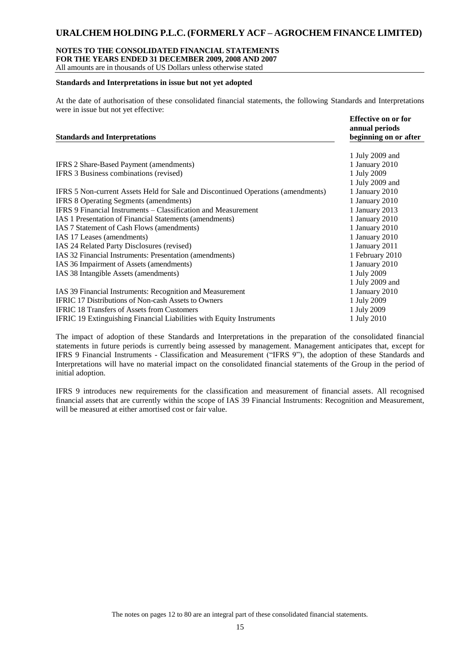### **NOTES TO THE CONSOLIDATED FINANCIAL STATEMENTS**

**FOR THE YEARS ENDED 31 DECEMBER 2009, 2008 AND 2007**

All amounts are in thousands of US Dollars unless otherwise stated

### **Standards and Interpretations in issue but not yet adopted**

At the date of authorisation of these consolidated financial statements, the following Standards and Interpretations were in issue but not yet effective:

|                                                                                  | Effective on or for<br>annual periods |
|----------------------------------------------------------------------------------|---------------------------------------|
| <b>Standards and Interpretations</b>                                             | beginning on or after                 |
|                                                                                  | 1 July 2009 and                       |
| IFRS 2 Share-Based Payment (amendments)                                          | 1 January 2010                        |
| IFRS 3 Business combinations (revised)                                           | 1 July 2009                           |
|                                                                                  | 1 July 2009 and                       |
| IFRS 5 Non-current Assets Held for Sale and Discontinued Operations (amendments) | 1 January 2010                        |
| IFRS 8 Operating Segments (amendments)                                           | 1 January 2010                        |
| <b>IFRS 9 Financial Instruments – Classification and Measurement</b>             | 1 January 2013                        |
| IAS 1 Presentation of Financial Statements (amendments)                          | 1 January 2010                        |
| IAS 7 Statement of Cash Flows (amendments)                                       | 1 January 2010                        |
| IAS 17 Leases (amendments)                                                       | 1 January 2010                        |
| IAS 24 Related Party Disclosures (revised)                                       | 1 January 2011                        |
| IAS 32 Financial Instruments: Presentation (amendments)                          | 1 February 2010                       |
| IAS 36 Impairment of Assets (amendments)                                         | 1 January 2010                        |
| IAS 38 Intangible Assets (amendments)                                            | 1 July 2009                           |
|                                                                                  | 1 July 2009 and                       |
| IAS 39 Financial Instruments: Recognition and Measurement                        | 1 January 2010                        |
| IFRIC 17 Distributions of Non-cash Assets to Owners                              | 1 July 2009                           |
| <b>IFRIC 18 Transfers of Assets from Customers</b>                               | 1 July 2009                           |
| <b>IFRIC 19 Extinguishing Financial Liabilities with Equity Instruments</b>      | 1 July 2010                           |

The impact of adoption of these Standards and Interpretations in the preparation of the consolidated financial statements in future periods is currently being assessed by management. Management anticipates that, except for IFRS 9 Financial Instruments - Classification and Measurement ("IFRS 9"), the adoption of these Standards and Interpretations will have no material impact on the consolidated financial statements of the Group in the period of initial adoption.

IFRS 9 introduces new requirements for the classification and measurement of financial assets. All recognised financial assets that are currently within the scope of IAS 39 Financial Instruments: Recognition and Measurement, will be measured at either amortised cost or fair value.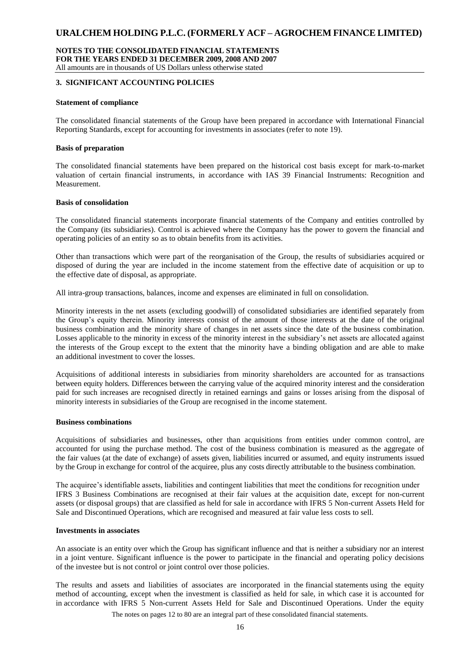### **NOTES TO THE CONSOLIDATED FINANCIAL STATEMENTS FOR THE YEARS ENDED 31 DECEMBER 2009, 2008 AND 2007** All amounts are in thousands of US Dollars unless otherwise stated

### **3. SIGNIFICANT ACCOUNTING POLICIES**

### **Statement of compliance**

The consolidated financial statements of the Group have been prepared in accordance with International Financial Reporting Standards, except for accounting for investments in associates (refer to note 19).

#### **Basis of preparation**

The consolidated financial statements have been prepared on the historical cost basis except for mark-to-market valuation of certain financial instruments, in accordance with IAS 39 Financial Instruments: Recognition and Measurement.

### **Basis of consolidation**

The consolidated financial statements incorporate financial statements of the Company and entities controlled by the Company (its subsidiaries). Control is achieved where the Company has the power to govern the financial and operating policies of an entity so as to obtain benefits from its activities.

Other than transactions which were part of the reorganisation of the Group, the results of subsidiaries acquired or disposed of during the year are included in the income statement from the effective date of acquisition or up to the effective date of disposal, as appropriate.

All intra-group transactions, balances, income and expenses are eliminated in full on consolidation.

Minority interests in the net assets (excluding goodwill) of consolidated subsidiaries are identified separately from the Group's equity therein. Minority interests consist of the amount of those interests at the date of the original business combination and the minority share of changes in net assets since the date of the business combination. Losses applicable to the minority in excess of the minority interest in the subsidiary's net assets are allocated against the interests of the Group except to the extent that the minority have a binding obligation and are able to make an additional investment to cover the losses.

Acquisitions of additional interests in subsidiaries from minority shareholders are accounted for as transactions between equity holders. Differences between the carrying value of the acquired minority interest and the consideration paid for such increases are recognised directly in retained earnings and gains or losses arising from the disposal of minority interests in subsidiaries of the Group are recognised in the income statement.

#### **Business combinations**

Acquisitions of subsidiaries and businesses, other than acquisitions from entities under common control, are accounted for using the purchase method. The cost of the business combination is measured as the aggregate of the fair values (at the date of exchange) of assets given, liabilities incurred or assumed, and equity instruments issued by the Group in exchange for control of the acquiree, plus any costs directly attributable to the business combination.

The acquiree's identifiable assets, liabilities and contingent liabilities that meet the conditions for recognition under IFRS 3 Business Combinations are recognised at their fair values at the acquisition date, except for non-current assets (or disposal groups) that are classified as held for sale in accordance with IFRS 5 Non-current Assets Held for Sale and Discontinued Operations, which are recognised and measured at fair value less costs to sell.

#### **Investments in associates**

An associate is an entity over which the Group has significant influence and that is neither a subsidiary nor an interest in a joint venture. Significant influence is the power to participate in the financial and operating policy decisions of the investee but is not control or joint control over those policies.

The results and assets and liabilities of associates are incorporated in the financial statements using the equity method of accounting, except when the investment is classified as held for sale, in which case it is accounted for in accordance with IFRS 5 Non-current Assets Held for Sale and Discontinued Operations. Under the equity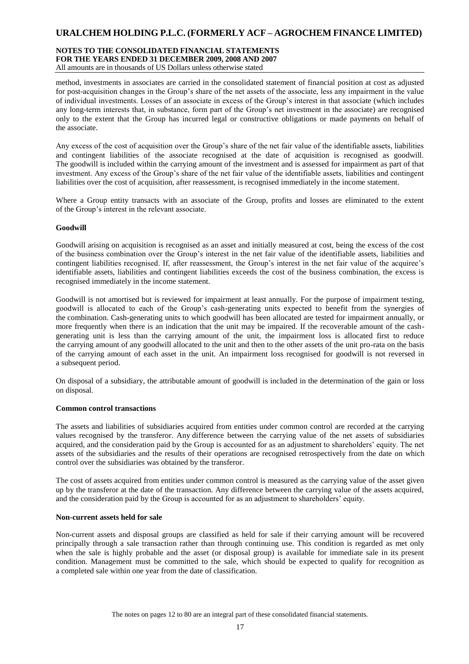#### **NOTES TO THE CONSOLIDATED FINANCIAL STATEMENTS FOR THE YEARS ENDED 31 DECEMBER 2009, 2008 AND 2007** All amounts are in thousands of US Dollars unless otherwise stated

method, investments in associates are carried in the consolidated statement of financial position at cost as adjusted for post-acquisition changes in the Group's share of the net assets of the associate, less any impairment in the value of individual investments. Losses of an associate in excess of the Group's interest in that associate (which includes any long-term interests that, in substance, form part of the Group's net investment in the associate) are recognised only to the extent that the Group has incurred legal or constructive obligations or made payments on behalf of the associate.

Any excess of the cost of acquisition over the Group's share of the net fair value of the identifiable assets, liabilities and contingent liabilities of the associate recognised at the date of acquisition is recognised as goodwill. The goodwill is included within the carrying amount of the investment and is assessed for impairment as part of that investment. Any excess of the Group's share of the net fair value of the identifiable assets, liabilities and contingent liabilities over the cost of acquisition, after reassessment, is recognised immediately in the income statement.

Where a Group entity transacts with an associate of the Group, profits and losses are eliminated to the extent of the Group's interest in the relevant associate.

### **Goodwill**

Goodwill arising on acquisition is recognised as an asset and initially measured at cost, being the excess of the cost of the business combination over the Group's interest in the net fair value of the identifiable assets, liabilities and contingent liabilities recognised. If, after reassessment, the Group's interest in the net fair value of the acquiree's identifiable assets, liabilities and contingent liabilities exceeds the cost of the business combination, the excess is recognised immediately in the income statement.

Goodwill is not amortised but is reviewed for impairment at least annually. For the purpose of impairment testing, goodwill is allocated to each of the Group's cash-generating units expected to benefit from the synergies of the combination. Cash-generating units to which goodwill has been allocated are tested for impairment annually, or more frequently when there is an indication that the unit may be impaired. If the recoverable amount of the cashgenerating unit is less than the carrying amount of the unit, the impairment loss is allocated first to reduce the carrying amount of any goodwill allocated to the unit and then to the other assets of the unit pro-rata on the basis of the carrying amount of each asset in the unit. An impairment loss recognised for goodwill is not reversed in a subsequent period.

On disposal of a subsidiary, the attributable amount of goodwill is included in the determination of the gain or loss on disposal.

### **Common control transactions**

The assets and liabilities of subsidiaries acquired from entities under common control are recorded at the carrying values recognised by the transferor. Any difference between the carrying value of the net assets of subsidiaries acquired, and the consideration paid by the Group is accounted for as an adjustment to shareholders' equity. The net assets of the subsidiaries and the results of their operations are recognised retrospectively from the date on which control over the subsidiaries was obtained by the transferor.

The cost of assets acquired from entities under common control is measured as the carrying value of the asset given up by the transferor at the date of the transaction. Any difference between the carrying value of the assets acquired, and the consideration paid by the Group is accounted for as an adjustment to shareholders' equity.

#### **Non-current assets held for sale**

Non-current assets and disposal groups are classified as held for sale if their carrying amount will be recovered principally through a sale transaction rather than through continuing use. This condition is regarded as met only when the sale is highly probable and the asset (or disposal group) is available for immediate sale in its present condition. Management must be committed to the sale, which should be expected to qualify for recognition as a completed sale within one year from the date of classification.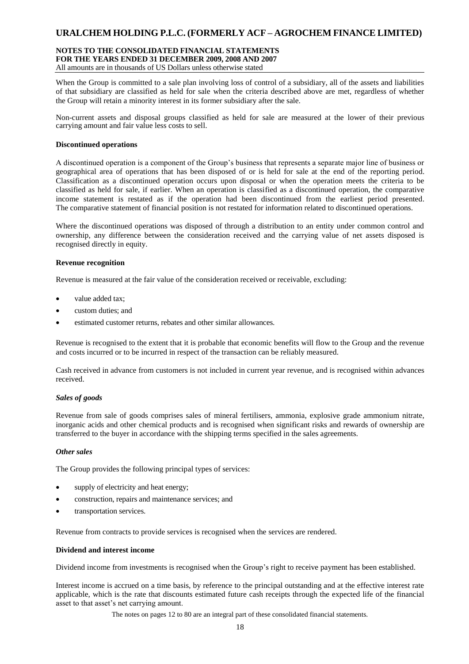### **NOTES TO THE CONSOLIDATED FINANCIAL STATEMENTS FOR THE YEARS ENDED 31 DECEMBER 2009, 2008 AND 2007**

All amounts are in thousands of US Dollars unless otherwise stated

When the Group is committed to a sale plan involving loss of control of a subsidiary, all of the assets and liabilities of that subsidiary are classified as held for sale when the criteria described above are met, regardless of whether the Group will retain a minority interest in its former subsidiary after the sale.

Non-current assets and disposal groups classified as held for sale are measured at the lower of their previous carrying amount and fair value less costs to sell.

#### **Discontinued operations**

A discontinued operation is a component of the Group's business that represents a separate major line of business or geographical area of operations that has been disposed of or is held for sale at the end of the reporting period. Classification as a discontinued operation occurs upon disposal or when the operation meets the criteria to be classified as held for sale, if earlier. When an operation is classified as a discontinued operation, the comparative income statement is restated as if the operation had been discontinued from the earliest period presented. The comparative statement of financial position is not restated for information related to discontinued operations.

Where the discontinued operations was disposed of through a distribution to an entity under common control and ownership, any difference between the consideration received and the carrying value of net assets disposed is recognised directly in equity.

### **Revenue recognition**

Revenue is measured at the fair value of the consideration received or receivable, excluding:

- value added tax;
- custom duties; and
- estimated customer returns, rebates and other similar allowances.

Revenue is recognised to the extent that it is probable that economic benefits will flow to the Group and the revenue and costs incurred or to be incurred in respect of the transaction can be reliably measured.

Cash received in advance from customers is not included in current year revenue, and is recognised within advances received.

#### *Sales of goods*

Revenue from sale of goods comprises sales of mineral fertilisers, ammonia, explosive grade ammonium nitrate, inorganic acids and other chemical products and is recognised when significant risks and rewards of ownership are transferred to the buyer in accordance with the shipping terms specified in the sales agreements.

#### *Other sales*

The Group provides the following principal types of services:

- supply of electricity and heat energy;
- construction, repairs and maintenance services; and
- transportation services.

Revenue from contracts to provide services is recognised when the services are rendered.

### **Dividend and interest income**

Dividend income from investments is recognised when the Group's right to receive payment has been established.

Interest income is accrued on a time basis, by reference to the principal outstanding and at the effective interest rate applicable, which is the rate that discounts estimated future cash receipts through the expected life of the financial asset to that asset's net carrying amount.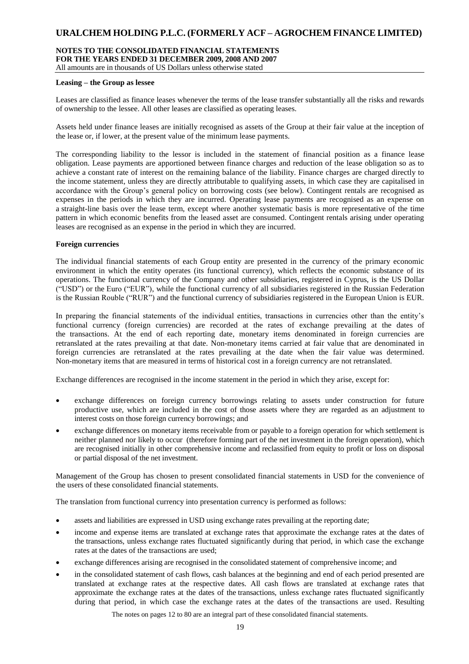### **NOTES TO THE CONSOLIDATED FINANCIAL STATEMENTS FOR THE YEARS ENDED 31 DECEMBER 2009, 2008 AND 2007**

All amounts are in thousands of US Dollars unless otherwise stated

### **Leasing – the Group as lessee**

Leases are classified as finance leases whenever the terms of the lease transfer substantially all the risks and rewards of ownership to the lessee. All other leases are classified as operating leases.

Assets held under finance leases are initially recognised as assets of the Group at their fair value at the inception of the lease or, if lower, at the present value of the minimum lease payments.

The corresponding liability to the lessor is included in the statement of financial position as a finance lease obligation. Lease payments are apportioned between finance charges and reduction of the lease obligation so as to achieve a constant rate of interest on the remaining balance of the liability. Finance charges are charged directly to the income statement, unless they are directly attributable to qualifying assets, in which case they are capitalised in accordance with the Group's general policy on borrowing costs (see below). Contingent rentals are recognised as expenses in the periods in which they are incurred. Operating lease payments are recognised as an expense on a straight-line basis over the lease term, except where another systematic basis is more representative of the time pattern in which economic benefits from the leased asset are consumed. Contingent rentals arising under operating leases are recognised as an expense in the period in which they are incurred.

### **Foreign currencies**

The individual financial statements of each Group entity are presented in the currency of the primary economic environment in which the entity operates (its functional currency), which reflects the economic substance of its operations. The functional currency of the Company and other subsidiaries, registered in Cyprus, is the US Dollar ("USD") or the Euro ("EUR"), while the functional currency of all subsidiaries registered in the Russian Federation is the Russian Rouble ("RUR") and the functional currency of subsidiaries registered in the European Union is EUR.

In preparing the financial statements of the individual entities, transactions in currencies other than the entity's functional currency (foreign currencies) are recorded at the rates of exchange prevailing at the dates of the transactions. At the end of each reporting date, monetary items denominated in foreign currencies are retranslated at the rates prevailing at that date. Non-monetary items carried at fair value that are denominated in foreign currencies are retranslated at the rates prevailing at the date when the fair value was determined. Non-monetary items that are measured in terms of historical cost in a foreign currency are not retranslated.

Exchange differences are recognised in the income statement in the period in which they arise, except for:

- exchange differences on foreign currency borrowings relating to assets under construction for future productive use, which are included in the cost of those assets where they are regarded as an adjustment to interest costs on those foreign currency borrowings; and
- exchange differences on monetary items receivable from or payable to a foreign operation for which settlement is neither planned nor likely to occur (therefore forming part of the net investment in the foreign operation), which are recognised initially in other comprehensive income and reclassified from equity to profit or loss on disposal or partial disposal of the net investment.

Management of the Group has chosen to present consolidated financial statements in USD for the convenience of the users of these consolidated financial statements.

The translation from functional currency into presentation currency is performed as follows:

- assets and liabilities are expressed in USD using exchange rates prevailing at the reporting date;
- income and expense items are translated at exchange rates that approximate the exchange rates at the dates of the transactions, unless exchange rates fluctuated significantly during that period, in which case the exchange rates at the dates of the transactions are used;
- exchange differences arising are recognised in the consolidated statement of comprehensive income; and
- in the consolidated statement of cash flows, cash balances at the beginning and end of each period presented are translated at exchange rates at the respective dates. All cash flows are translated at exchange rates that approximate the exchange rates at the dates of the transactions, unless exchange rates fluctuated significantly during that period, in which case the exchange rates at the dates of the transactions are used. Resulting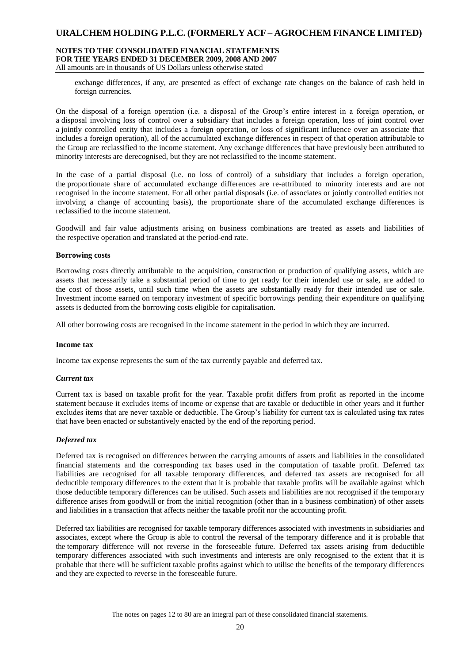### **NOTES TO THE CONSOLIDATED FINANCIAL STATEMENTS FOR THE YEARS ENDED 31 DECEMBER 2009, 2008 AND 2007**

All amounts are in thousands of US Dollars unless otherwise stated

exchange differences, if any, are presented as effect of exchange rate changes on the balance of cash held in foreign currencies.

On the disposal of a foreign operation (i.e. a disposal of the Group's entire interest in a foreign operation, or a disposal involving loss of control over a subsidiary that includes a foreign operation, loss of joint control over a jointly controlled entity that includes a foreign operation, or loss of significant influence over an associate that includes a foreign operation), all of the accumulated exchange differences in respect of that operation attributable to the Group are reclassified to the income statement. Any exchange differences that have previously been attributed to minority interests are derecognised, but they are not reclassified to the income statement.

In the case of a partial disposal (i.e. no loss of control) of a subsidiary that includes a foreign operation, the proportionate share of accumulated exchange differences are re-attributed to minority interests and are not recognised in the income statement. For all other partial disposals (i.e. of associates or jointly controlled entities not involving a change of accounting basis), the proportionate share of the accumulated exchange differences is reclassified to the income statement.

Goodwill and fair value adjustments arising on business combinations are treated as assets and liabilities of the respective operation and translated at the period-end rate.

### **Borrowing costs**

Borrowing costs directly attributable to the acquisition, construction or production of qualifying assets, which are assets that necessarily take a substantial period of time to get ready for their intended use or sale, are added to the cost of those assets, until such time when the assets are substantially ready for their intended use or sale. Investment income earned on temporary investment of specific borrowings pending their expenditure on qualifying assets is deducted from the borrowing costs eligible for capitalisation.

All other borrowing costs are recognised in the income statement in the period in which they are incurred.

#### **Income tax**

Income tax expense represents the sum of the tax currently payable and deferred tax.

#### *Current tax*

Current tax is based on taxable profit for the year. Taxable profit differs from profit as reported in the income statement because it excludes items of income or expense that are taxable or deductible in other years and it further excludes items that are never taxable or deductible. The Group's liability for current tax is calculated using tax rates that have been enacted or substantively enacted by the end of the reporting period.

### *Deferred tax*

Deferred tax is recognised on differences between the carrying amounts of assets and liabilities in the consolidated financial statements and the corresponding tax bases used in the computation of taxable profit. Deferred tax liabilities are recognised for all taxable temporary differences, and deferred tax assets are recognised for all deductible temporary differences to the extent that it is probable that taxable profits will be available against which those deductible temporary differences can be utilised. Such assets and liabilities are not recognised if the temporary difference arises from goodwill or from the initial recognition (other than in a business combination) of other assets and liabilities in a transaction that affects neither the taxable profit nor the accounting profit.

Deferred tax liabilities are recognised for taxable temporary differences associated with investments in subsidiaries and associates, except where the Group is able to control the reversal of the temporary difference and it is probable that the temporary difference will not reverse in the foreseeable future. Deferred tax assets arising from deductible temporary differences associated with such investments and interests are only recognised to the extent that it is probable that there will be sufficient taxable profits against which to utilise the benefits of the temporary differences and they are expected to reverse in the foreseeable future.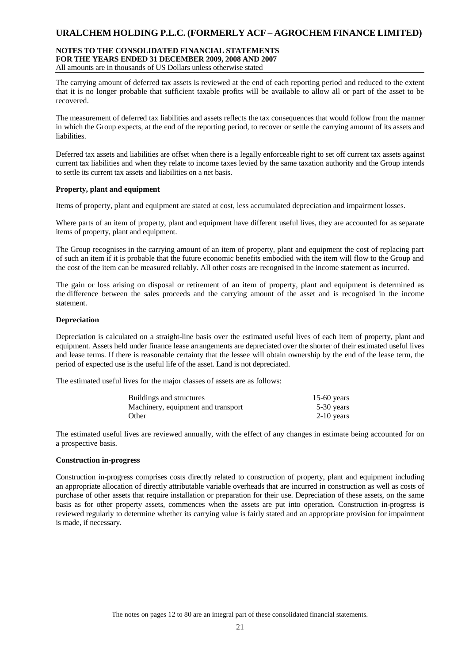#### **NOTES TO THE CONSOLIDATED FINANCIAL STATEMENTS FOR THE YEARS ENDED 31 DECEMBER 2009, 2008 AND 2007** All amounts are in thousands of US Dollars unless otherwise stated

The carrying amount of deferred tax assets is reviewed at the end of each reporting period and reduced to the extent that it is no longer probable that sufficient taxable profits will be available to allow all or part of the asset to be recovered.

The measurement of deferred tax liabilities and assets reflects the tax consequences that would follow from the manner in which the Group expects, at the end of the reporting period, to recover or settle the carrying amount of its assets and liabilities.

Deferred tax assets and liabilities are offset when there is a legally enforceable right to set off current tax assets against current tax liabilities and when they relate to income taxes levied by the same taxation authority and the Group intends to settle its current tax assets and liabilities on a net basis.

### **Property, plant and equipment**

Items of property, plant and equipment are stated at cost, less accumulated depreciation and impairment losses.

Where parts of an item of property, plant and equipment have different useful lives, they are accounted for as separate items of property, plant and equipment.

The Group recognises in the carrying amount of an item of property, plant and equipment the cost of replacing part of such an item if it is probable that the future economic benefits embodied with the item will flow to the Group and the cost of the item can be measured reliably. All other costs are recognised in the income statement as incurred.

The gain or loss arising on disposal or retirement of an item of property, plant and equipment is determined as the difference between the sales proceeds and the carrying amount of the asset and is recognised in the income statement.

### **Depreciation**

Depreciation is calculated on a straight-line basis over the estimated useful lives of each item of property, plant and equipment. Assets held under finance lease arrangements are depreciated over the shorter of their estimated useful lives and lease terms. If there is reasonable certainty that the lessee will obtain ownership by the end of the lease term, the period of expected use is the useful life of the asset. Land is not depreciated.

The estimated useful lives for the major classes of assets are as follows:

| Buildings and structures           | 15-60 years  |
|------------------------------------|--------------|
| Machinery, equipment and transport | $5-30$ years |
| Other                              | $2-10$ years |

The estimated useful lives are reviewed annually, with the effect of any changes in estimate being accounted for on a prospective basis.

### **Construction in-progress**

Construction in-progress comprises costs directly related to construction of property, plant and equipment including an appropriate allocation of directly attributable variable overheads that are incurred in construction as well as costs of purchase of other assets that require installation or preparation for their use. Depreciation of these assets, on the same basis as for other property assets, commences when the assets are put into operation. Construction in-progress is reviewed regularly to determine whether its carrying value is fairly stated and an appropriate provision for impairment is made, if necessary.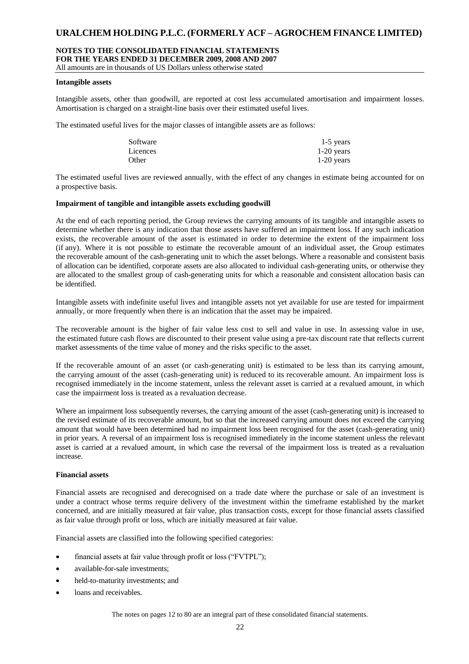### **NOTES TO THE CONSOLIDATED FINANCIAL STATEMENTS FOR THE YEARS ENDED 31 DECEMBER 2009, 2008 AND 2007** All amounts are in thousands of US Dollars unless otherwise stated

#### **Intangible assets**

Intangible assets, other than goodwill, are reported at cost less accumulated amortisation and impairment losses. Amortisation is charged on a straight-line basis over their estimated useful lives.

The estimated useful lives for the major classes of intangible assets are as follows:

| $1-5$ years  |
|--------------|
| $1-20$ years |
| $1-20$ years |
|              |

The estimated useful lives are reviewed annually, with the effect of any changes in estimate being accounted for on a prospective basis.

### **Impairment of tangible and intangible assets excluding goodwill**

At the end of each reporting period, the Group reviews the carrying amounts of its tangible and intangible assets to determine whether there is any indication that those assets have suffered an impairment loss. If any such indication exists, the recoverable amount of the asset is estimated in order to determine the extent of the impairment loss (if any). Where it is not possible to estimate the recoverable amount of an individual asset, the Group estimates the recoverable amount of the cash-generating unit to which the asset belongs. Where a reasonable and consistent basis of allocation can be identified, corporate assets are also allocated to individual cash-generating units, or otherwise they are allocated to the smallest group of cash-generating units for which a reasonable and consistent allocation basis can be identified.

Intangible assets with indefinite useful lives and intangible assets not yet available for use are tested for impairment annually, or more frequently when there is an indication that the asset may be impaired.

The recoverable amount is the higher of fair value less cost to sell and value in use. In assessing value in use, the estimated future cash flows are discounted to their present value using a pre-tax discount rate that reflects current market assessments of the time value of money and the risks specific to the asset.

If the recoverable amount of an asset (or cash-generating unit) is estimated to be less than its carrying amount, the carrying amount of the asset (cash-generating unit) is reduced to its recoverable amount. An impairment loss is recognised immediately in the income statement, unless the relevant asset is carried at a revalued amount, in which case the impairment loss is treated as a revaluation decrease.

Where an impairment loss subsequently reverses, the carrying amount of the asset (cash-generating unit) is increased to the revised estimate of its recoverable amount, but so that the increased carrying amount does not exceed the carrying amount that would have been determined had no impairment loss been recognised for the asset (cash-generating unit) in prior years. A reversal of an impairment loss is recognised immediately in the income statement unless the relevant asset is carried at a revalued amount, in which case the reversal of the impairment loss is treated as a revaluation increase.

#### **Financial assets**

Financial assets are recognised and derecognised on a trade date where the purchase or sale of an investment is under a contract whose terms require delivery of the investment within the timeframe established by the market concerned, and are initially measured at fair value, plus transaction costs, except for those financial assets classified as fair value through profit or loss, which are initially measured at fair value.

Financial assets are classified into the following specified categories:

- financial assets at fair value through profit or loss ("FVTPL");
- available-for-sale investments;
- held-to-maturity investments; and
- loans and receivables.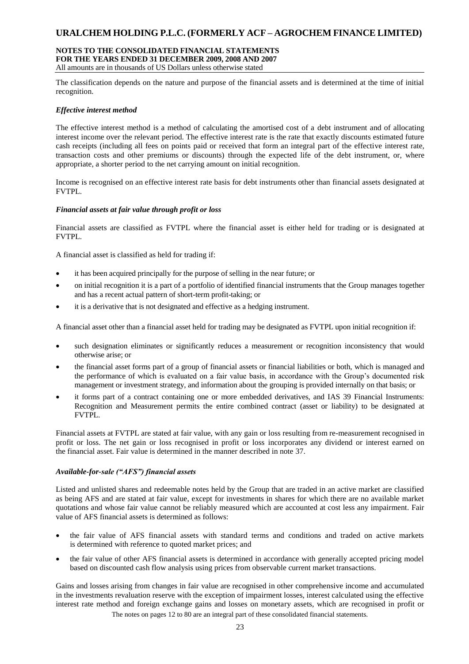### **NOTES TO THE CONSOLIDATED FINANCIAL STATEMENTS FOR THE YEARS ENDED 31 DECEMBER 2009, 2008 AND 2007**

All amounts are in thousands of US Dollars unless otherwise stated

The classification depends on the nature and purpose of the financial assets and is determined at the time of initial recognition.

### *Effective interest method*

The effective interest method is a method of calculating the amortised cost of a debt instrument and of allocating interest income over the relevant period. The effective interest rate is the rate that exactly discounts estimated future cash receipts (including all fees on points paid or received that form an integral part of the effective interest rate, transaction costs and other premiums or discounts) through the expected life of the debt instrument, or, where appropriate, a shorter period to the net carrying amount on initial recognition.

Income is recognised on an effective interest rate basis for debt instruments other than financial assets designated at FVTPL.

### *Financial assets at fair value through profit or loss*

Financial assets are classified as FVTPL where the financial asset is either held for trading or is designated at FVTPL.

A financial asset is classified as held for trading if:

- it has been acquired principally for the purpose of selling in the near future; or
- on initial recognition it is a part of a portfolio of identified financial instruments that the Group manages together and has a recent actual pattern of short-term profit-taking; or
- it is a derivative that is not designated and effective as a hedging instrument.

A financial asset other than a financial asset held for trading may be designated as FVTPL upon initial recognition if:

- such designation eliminates or significantly reduces a measurement or recognition inconsistency that would otherwise arise; or
- the financial asset forms part of a group of financial assets or financial liabilities or both, which is managed and the performance of which is evaluated on a fair value basis, in accordance with the Group's documented risk management or investment strategy, and information about the grouping is provided internally on that basis; or
- it forms part of a contract containing one or more embedded derivatives, and IAS 39 Financial Instruments: Recognition and Measurement permits the entire combined contract (asset or liability) to be designated at FVTPL.

Financial assets at FVTPL are stated at fair value, with any gain or loss resulting from re-measurement recognised in profit or loss. The net gain or loss recognised in profit or loss incorporates any dividend or interest earned on the financial asset. Fair value is determined in the manner described in note 37.

### *Available-for-sale ("AFS") financial assets*

Listed and unlisted shares and redeemable notes held by the Group that are traded in an active market are classified as being AFS and are stated at fair value, except for investments in shares for which there are no available market quotations and whose fair value cannot be reliably measured which are accounted at cost less any impairment. Fair value of AFS financial assets is determined as follows:

- the fair value of AFS financial assets with standard terms and conditions and traded on active markets is determined with reference to quoted market prices; and
- the fair value of other AFS financial assets is determined in accordance with generally accepted pricing model based on discounted cash flow analysis using prices from observable current market transactions.

The notes on pages 12 to 80 are an integral part of these consolidated financial statements. Gains and losses arising from changes in fair value are recognised in other comprehensive income and accumulated in the investments revaluation reserve with the exception of impairment losses, interest calculated using the effective interest rate method and foreign exchange gains and losses on monetary assets, which are recognised in profit or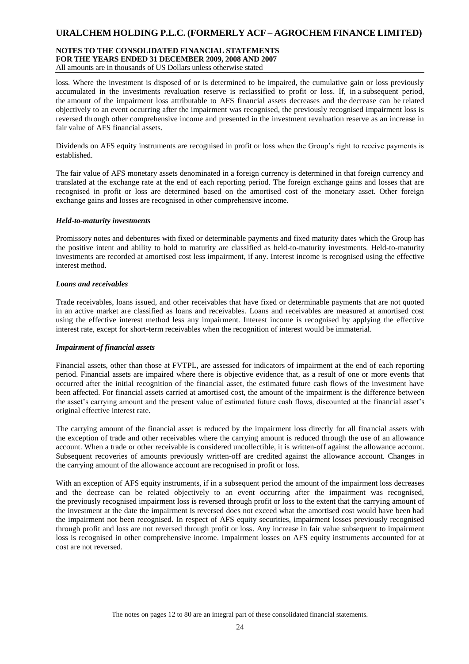### **NOTES TO THE CONSOLIDATED FINANCIAL STATEMENTS FOR THE YEARS ENDED 31 DECEMBER 2009, 2008 AND 2007** All amounts are in thousands of US Dollars unless otherwise stated

loss. Where the investment is disposed of or is determined to be impaired, the cumulative gain or loss previously accumulated in the investments revaluation reserve is reclassified to profit or loss. If, in a subsequent period, the amount of the impairment loss attributable to AFS financial assets decreases and the decrease can be related objectively to an event occurring after the impairment was recognised, the previously recognised impairment loss is reversed through other comprehensive income and presented in the investment revaluation reserve as an increase in fair value of AFS financial assets.

Dividends on AFS equity instruments are recognised in profit or loss when the Group's right to receive payments is established.

The fair value of AFS monetary assets denominated in a foreign currency is determined in that foreign currency and translated at the exchange rate at the end of each reporting period. The foreign exchange gains and losses that are recognised in profit or loss are determined based on the amortised cost of the monetary asset. Other foreign exchange gains and losses are recognised in other comprehensive income.

### *Held-to-maturity investments*

Promissory notes and debentures with fixed or determinable payments and fixed maturity dates which the Group has the positive intent and ability to hold to maturity are classified as held-to-maturity investments. Held-to-maturity investments are recorded at amortised cost less impairment, if any. Interest income is recognised using the effective interest method.

### *Loans and receivables*

Trade receivables, loans issued, and other receivables that have fixed or determinable payments that are not quoted in an active market are classified as loans and receivables. Loans and receivables are measured at amortised cost using the effective interest method less any impairment. Interest income is recognised by applying the effective interest rate, except for short-term receivables when the recognition of interest would be immaterial.

### *Impairment of financial assets*

Financial assets, other than those at FVTPL, are assessed for indicators of impairment at the end of each reporting period. Financial assets are impaired where there is objective evidence that, as a result of one or more events that occurred after the initial recognition of the financial asset, the estimated future cash flows of the investment have been affected. For financial assets carried at amortised cost, the amount of the impairment is the difference between the asset's carrying amount and the present value of estimated future cash flows, discounted at the financial asset's original effective interest rate.

The carrying amount of the financial asset is reduced by the impairment loss directly for all financial assets with the exception of trade and other receivables where the carrying amount is reduced through the use of an allowance account. When a trade or other receivable is considered uncollectible, it is written-off against the allowance account. Subsequent recoveries of amounts previously written-off are credited against the allowance account. Changes in the carrying amount of the allowance account are recognised in profit or loss.

With an exception of AFS equity instruments, if in a subsequent period the amount of the impairment loss decreases and the decrease can be related objectively to an event occurring after the impairment was recognised, the previously recognised impairment loss is reversed through profit or loss to the extent that the carrying amount of the investment at the date the impairment is reversed does not exceed what the amortised cost would have been had the impairment not been recognised. In respect of AFS equity securities, impairment losses previously recognised through profit and loss are not reversed through profit or loss. Any increase in fair value subsequent to impairment loss is recognised in other comprehensive income. Impairment losses on AFS equity instruments accounted for at cost are not reversed.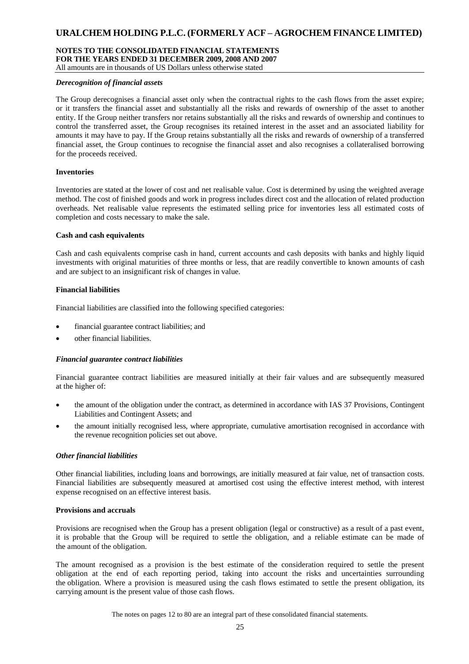### **NOTES TO THE CONSOLIDATED FINANCIAL STATEMENTS FOR THE YEARS ENDED 31 DECEMBER 2009, 2008 AND 2007**

All amounts are in thousands of US Dollars unless otherwise stated

#### *Derecognition of financial assets*

The Group derecognises a financial asset only when the contractual rights to the cash flows from the asset expire; or it transfers the financial asset and substantially all the risks and rewards of ownership of the asset to another entity. If the Group neither transfers nor retains substantially all the risks and rewards of ownership and continues to control the transferred asset, the Group recognises its retained interest in the asset and an associated liability for amounts it may have to pay. If the Group retains substantially all the risks and rewards of ownership of a transferred financial asset, the Group continues to recognise the financial asset and also recognises a collateralised borrowing for the proceeds received.

### **Inventories**

Inventories are stated at the lower of cost and net realisable value. Cost is determined by using the weighted average method. The cost of finished goods and work in progress includes direct cost and the allocation of related production overheads. Net realisable value represents the estimated selling price for inventories less all estimated costs of completion and costs necessary to make the sale.

### **Cash and cash equivalents**

Cash and cash equivalents comprise cash in hand, current accounts and cash deposits with banks and highly liquid investments with original maturities of three months or less, that are readily convertible to known amounts of cash and are subject to an insignificant risk of changes in value.

### **Financial liabilities**

Financial liabilities are classified into the following specified categories:

- financial guarantee contract liabilities; and
- other financial liabilities.

#### *Financial guarantee contract liabilities*

Financial guarantee contract liabilities are measured initially at their fair values and are subsequently measured at the higher of:

- the amount of the obligation under the contract, as determined in accordance with IAS 37 Provisions, Contingent Liabilities and Contingent Assets; and
- the amount initially recognised less, where appropriate, cumulative amortisation recognised in accordance with the revenue recognition policies set out above.

#### *Other financial liabilities*

Other financial liabilities, including loans and borrowings, are initially measured at fair value, net of transaction costs. Financial liabilities are subsequently measured at amortised cost using the effective interest method, with interest expense recognised on an effective interest basis.

#### **Provisions and accruals**

Provisions are recognised when the Group has a present obligation (legal or constructive) as a result of a past event, it is probable that the Group will be required to settle the obligation, and a reliable estimate can be made of the amount of the obligation.

The amount recognised as a provision is the best estimate of the consideration required to settle the present obligation at the end of each reporting period, taking into account the risks and uncertainties surrounding the obligation. Where a provision is measured using the cash flows estimated to settle the present obligation, its carrying amount is the present value of those cash flows.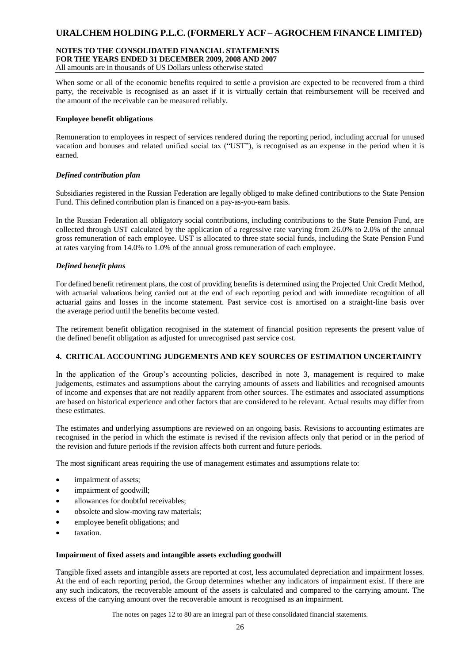### **NOTES TO THE CONSOLIDATED FINANCIAL STATEMENTS FOR THE YEARS ENDED 31 DECEMBER 2009, 2008 AND 2007**

All amounts are in thousands of US Dollars unless otherwise stated

When some or all of the economic benefits required to settle a provision are expected to be recovered from a third party, the receivable is recognised as an asset if it is virtually certain that reimbursement will be received and the amount of the receivable can be measured reliably.

### **Employee benefit obligations**

Remuneration to employees in respect of services rendered during the reporting period, including accrual for unused vacation and bonuses and related unified social tax ("UST"), is recognised as an expense in the period when it is earned.

### *Defined contribution plan*

Subsidiaries registered in the Russian Federation are legally obliged to make defined contributions to the State Pension Fund. This defined contribution plan is financed on a pay-as-you-earn basis.

In the Russian Federation all obligatory social contributions, including contributions to the State Pension Fund, are collected through UST calculated by the application of a regressive rate varying from 26.0% to 2.0% of the annual gross remuneration of each employee. UST is allocated to three state social funds, including the State Pension Fund at rates varying from 14.0% to 1.0% of the annual gross remuneration of each employee.

### *Defined benefit plans*

For defined benefit retirement plans, the cost of providing benefits is determined using the Projected Unit Credit Method, with actuarial valuations being carried out at the end of each reporting period and with immediate recognition of all actuarial gains and losses in the income statement. Past service cost is amortised on a straight-line basis over the average period until the benefits become vested.

The retirement benefit obligation recognised in the statement of financial position represents the present value of the defined benefit obligation as adjusted for unrecognised past service cost.

### **4. CRITICAL ACCOUNTING JUDGEMENTS AND KEY SOURCES OF ESTIMATION UNCERTAINTY**

In the application of the Group's accounting policies, described in note 3, management is required to make judgements, estimates and assumptions about the carrying amounts of assets and liabilities and recognised amounts of income and expenses that are not readily apparent from other sources. The estimates and associated assumptions are based on historical experience and other factors that are considered to be relevant. Actual results may differ from these estimates.

The estimates and underlying assumptions are reviewed on an ongoing basis. Revisions to accounting estimates are recognised in the period in which the estimate is revised if the revision affects only that period or in the period of the revision and future periods if the revision affects both current and future periods.

The most significant areas requiring the use of management estimates and assumptions relate to:

- impairment of assets;
- impairment of goodwill;
- allowances for doubtful receivables;
- obsolete and slow-moving raw materials;
- employee benefit obligations; and
- taxation.

#### **Impairment of fixed assets and intangible assets excluding goodwill**

Tangible fixed assets and intangible assets are reported at cost, less accumulated depreciation and impairment losses. At the end of each reporting period, the Group determines whether any indicators of impairment exist. If there are any such indicators, the recoverable amount of the assets is calculated and compared to the carrying amount. The excess of the carrying amount over the recoverable amount is recognised as an impairment.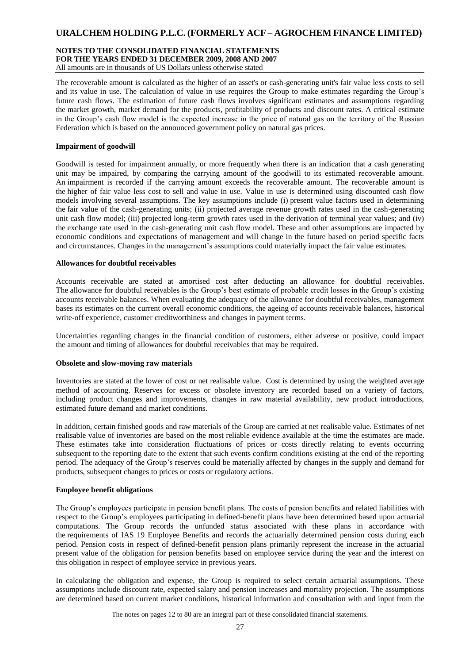### **NOTES TO THE CONSOLIDATED FINANCIAL STATEMENTS FOR THE YEARS ENDED 31 DECEMBER 2009, 2008 AND 2007** All amounts are in thousands of US Dollars unless otherwise stated

The recoverable amount is calculated as the higher of an asset's or cash-generating unit's fair value less costs to sell and its value in use. The calculation of value in use requires the Group to make estimates regarding the Group's future cash flows. The estimation of future cash flows involves significant estimates and assumptions regarding the market growth, market demand for the products, profitability of products and discount rates. A critical estimate in the Group's cash flow model is the expected increase in the price of natural gas on the territory of the Russian Federation which is based on the announced government policy on natural gas prices.

### **Impairment of goodwill**

Goodwill is tested for impairment annually, or more frequently when there is an indication that a cash generating unit may be impaired, by comparing the carrying amount of the goodwill to its estimated recoverable amount. An impairment is recorded if the carrying amount exceeds the recoverable amount. The recoverable amount is the higher of fair value less cost to sell and value in use. Value in use is determined using discounted cash flow models involving several assumptions. The key assumptions include (i) present value factors used in determining the fair value of the cash-generating units; (ii) projected average revenue growth rates used in the cash-generating unit cash flow model; (iii) projected long-term growth rates used in the derivation of terminal year values; and (iv) the exchange rate used in the cash-generating unit cash flow model. These and other assumptions are impacted by economic conditions and expectations of management and will change in the future based on period specific facts and circumstances. Changes in the management's assumptions could materially impact the fair value estimates.

### **Allowances for doubtful receivables**

Accounts receivable are stated at amortised cost after deducting an allowance for doubtful receivables. The allowance for doubtful receivables is the Group's best estimate of probable credit losses in the Group's existing accounts receivable balances. When evaluating the adequacy of the allowance for doubtful receivables, management bases its estimates on the current overall economic conditions, the ageing of accounts receivable balances, historical write-off experience, customer creditworthiness and changes in payment terms.

Uncertainties regarding changes in the financial condition of customers, either adverse or positive, could impact the amount and timing of allowances for doubtful receivables that may be required.

#### **Obsolete and slow-moving raw materials**

Inventories are stated at the lower of cost or net realisable value. Cost is determined by using the weighted average method of accounting. Reserves for excess or obsolete inventory are recorded based on a variety of factors, including product changes and improvements, changes in raw material availability, new product introductions, estimated future demand and market conditions.

In addition, certain finished goods and raw materials of the Group are carried at net realisable value. Estimates of net realisable value of inventories are based on the most reliable evidence available at the time the estimates are made. These estimates take into consideration fluctuations of prices or costs directly relating to events occurring subsequent to the reporting date to the extent that such events confirm conditions existing at the end of the reporting period. The adequacy of the Group's reserves could be materially affected by changes in the supply and demand for products, subsequent changes to prices or costs or regulatory actions.

#### **Employee benefit obligations**

The Group's employees participate in pension benefit plans. The costs of pension benefits and related liabilities with respect to the Group's employees participating in defined-benefit plans have been determined based upon actuarial computations. The Group records the unfunded status associated with these plans in accordance with the requirements of IAS 19 Employee Benefits and records the actuarially determined pension costs during each period. Pension costs in respect of defined-benefit pension plans primarily represent the increase in the actuarial present value of the obligation for pension benefits based on employee service during the year and the interest on this obligation in respect of employee service in previous years.

In calculating the obligation and expense, the Group is required to select certain actuarial assumptions. These assumptions include discount rate, expected salary and pension increases and mortality projection. The assumptions are determined based on current market conditions, historical information and consultation with and input from the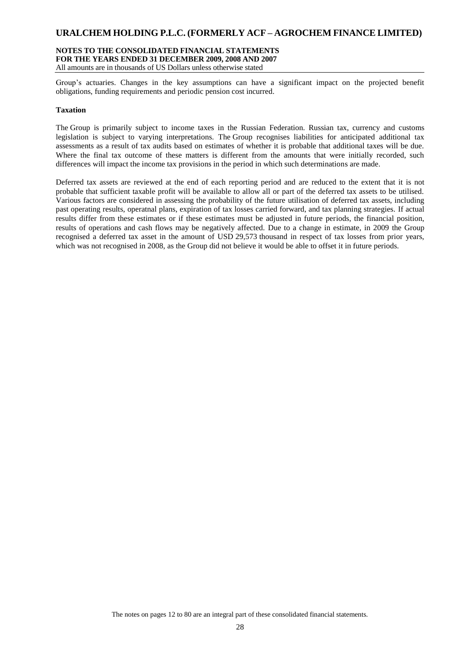#### **NOTES TO THE CONSOLIDATED FINANCIAL STATEMENTS FOR THE YEARS ENDED 31 DECEMBER 2009, 2008 AND 2007** All amounts are in thousands of US Dollars unless otherwise stated

Group's actuaries. Changes in the key assumptions can have a significant impact on the projected benefit obligations, funding requirements and periodic pension cost incurred.

### **Taxation**

The Group is primarily subject to income taxes in the Russian Federation. Russian tax, currency and customs legislation is subject to varying interpretations. The Group recognises liabilities for anticipated additional tax assessments as a result of tax audits based on estimates of whether it is probable that additional taxes will be due. Where the final tax outcome of these matters is different from the amounts that were initially recorded, such differences will impact the income tax provisions in the period in which such determinations are made.

Deferred tax assets are reviewed at the end of each reporting period and are reduced to the extent that it is not probable that sufficient taxable profit will be available to allow all or part of the deferred tax assets to be utilised. Various factors are considered in assessing the probability of the future utilisation of deferred tax assets, including past operating results, operatnal plans, expiration of tax losses carried forward, and tax planning strategies. If actual results differ from these estimates or if these estimates must be adjusted in future periods, the financial position, results of operations and cash flows may be negatively affected. Due to a change in estimate, in 2009 the Group recognised a deferred tax asset in the amount of USD 29,573 thousand in respect of tax losses from prior years, which was not recognised in 2008, as the Group did not believe it would be able to offset it in future periods.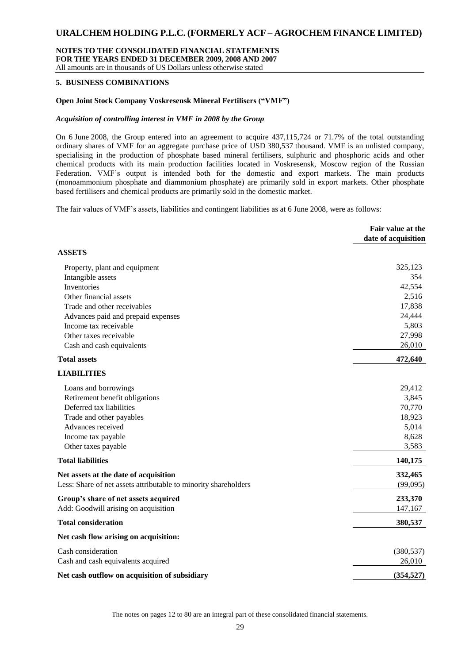#### **NOTES TO THE CONSOLIDATED FINANCIAL STATEMENTS FOR THE YEARS ENDED 31 DECEMBER 2009, 2008 AND 2007** All amounts are in thousands of US Dollars unless otherwise stated

### **5. BUSINESS COMBINATIONS**

### **Open Joint Stock Company Voskresensk Mineral Fertilisers ("VMF")**

#### *Acquisition of controlling interest in VMF in 2008 by the Group*

On 6 June 2008, the Group entered into an agreement to acquire 437,115,724 or 71.7% of the total outstanding ordinary shares of VMF for an aggregate purchase price of USD 380,537 thousand. VMF is an unlisted company, specialising in the production of phosphate based mineral fertilisers, sulphuric and phosphoric acids and other chemical products with its main production facilities located in Voskresensk, Moscow region of the Russian Federation. VMF's output is intended both for the domestic and export markets. The main products (monoammonium phosphate and diammonium phosphate) are primarily sold in export markets. Other phosphate based fertilisers and chemical products are primarily sold in the domestic market.

The fair values of VMF's assets, liabilities and contingent liabilities as at 6 June 2008, were as follows:

|                                                                 | Fair value at the<br>date of acquisition |
|-----------------------------------------------------------------|------------------------------------------|
| <b>ASSETS</b>                                                   |                                          |
| Property, plant and equipment                                   | 325,123                                  |
| Intangible assets                                               | 354                                      |
| Inventories                                                     | 42,554                                   |
| Other financial assets                                          | 2,516                                    |
| Trade and other receivables                                     | 17,838                                   |
| Advances paid and prepaid expenses                              | 24,444                                   |
| Income tax receivable                                           | 5,803                                    |
| Other taxes receivable                                          | 27,998                                   |
| Cash and cash equivalents                                       | 26,010                                   |
| <b>Total assets</b>                                             | 472,640                                  |
| <b>LIABILITIES</b>                                              |                                          |
| Loans and borrowings                                            | 29,412                                   |
| Retirement benefit obligations                                  | 3,845                                    |
| Deferred tax liabilities                                        | 70,770                                   |
| Trade and other payables                                        | 18,923                                   |
| Advances received                                               | 5,014                                    |
| Income tax payable                                              | 8,628                                    |
| Other taxes payable                                             | 3,583                                    |
| <b>Total liabilities</b>                                        | 140,175                                  |
| Net assets at the date of acquisition                           | 332,465                                  |
| Less: Share of net assets attributable to minority shareholders | (99,095)                                 |
| Group's share of net assets acquired                            | 233,370                                  |
| Add: Goodwill arising on acquisition                            | 147,167                                  |
| <b>Total consideration</b>                                      | 380,537                                  |
| Net cash flow arising on acquisition:                           |                                          |
| Cash consideration                                              | (380, 537)                               |
| Cash and cash equivalents acquired                              | 26,010                                   |
| Net cash outflow on acquisition of subsidiary                   | (354, 527)                               |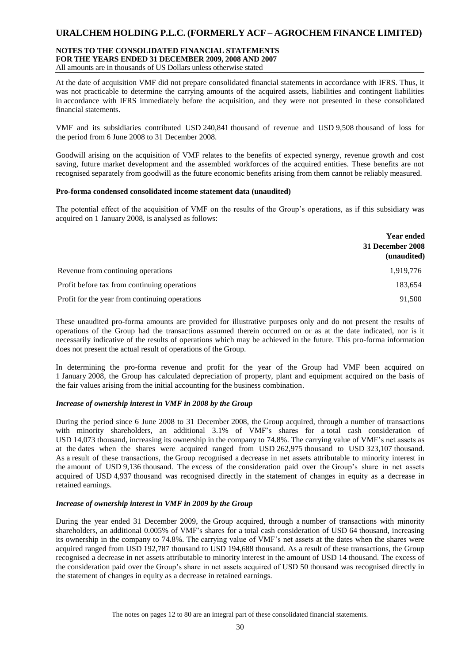### **NOTES TO THE CONSOLIDATED FINANCIAL STATEMENTS FOR THE YEARS ENDED 31 DECEMBER 2009, 2008 AND 2007** All amounts are in thousands of US Dollars unless otherwise stated

At the date of acquisition VMF did not prepare consolidated financial statements in accordance with IFRS. Thus, it was not practicable to determine the carrying amounts of the acquired assets, liabilities and contingent liabilities in accordance with IFRS immediately before the acquisition, and they were not presented in these consolidated financial statements.

VMF and its subsidiaries contributed USD 240,841 thousand of revenue and USD 9,508 thousand of loss for the period from 6 June 2008 to 31 December 2008.

Goodwill arising on the acquisition of VMF relates to the benefits of expected synergy, revenue growth and cost saving, future market development and the assembled workforces of the acquired entities. These benefits are not recognised separately from goodwill as the future economic benefits arising from them cannot be reliably measured.

### **Pro-forma condensed consolidated income statement data (unaudited)**

The potential effect of the acquisition of VMF on the results of the Group's operations, as if this subsidiary was acquired on 1 January 2008, is analysed as follows:

|                                                | <b>Year ended</b><br>31 December 2008 |
|------------------------------------------------|---------------------------------------|
|                                                | (unaudited)                           |
| Revenue from continuing operations             | 1,919,776                             |
| Profit before tax from continuing operations   | 183,654                               |
| Profit for the year from continuing operations | 91.500                                |

These unaudited pro-forma amounts are provided for illustrative purposes only and do not present the results of operations of the Group had the transactions assumed therein occurred on or as at the date indicated, nor is it necessarily indicative of the results of operations which may be achieved in the future. This pro-forma information does not present the actual result of operations of the Group.

In determining the pro-forma revenue and profit for the year of the Group had VMF been acquired on 1 January 2008, the Group has calculated depreciation of property, plant and equipment acquired on the basis of the fair values arising from the initial accounting for the business combination.

### *Increase of ownership interest in VMF in 2008 by the Group*

During the period since 6 June 2008 to 31 December 2008, the Group acquired, through a number of transactions with minority shareholders, an additional 3.1% of VMF's shares for a total cash consideration of USD 14,073 thousand, increasing its ownership in the company to 74.8%. The carrying value of VMF's net assets as at the dates when the shares were acquired ranged from USD 262,975 thousand to USD 323,107 thousand. As a result of these transactions, the Group recognised a decrease in net assets attributable to minority interest in the amount of USD 9,136 thousand. The excess of the consideration paid over the Group's share in net assets acquired of USD 4,937 thousand was recognised directly in the statement of changes in equity as a decrease in retained earnings.

### *Increase of ownership interest in VMF in 2009 by the Group*

During the year ended 31 December 2009, the Group acquired, through a number of transactions with minority shareholders, an additional 0.005% of VMF's shares for a total cash consideration of USD 64 thousand, increasing its ownership in the company to 74.8%. The carrying value of VMF's net assets at the dates when the shares were acquired ranged from USD 192,787 thousand to USD 194,688 thousand. As a result of these transactions, the Group recognised a decrease in net assets attributable to minority interest in the amount of USD 14 thousand. The excess of the consideration paid over the Group's share in net assets acquired of USD 50 thousand was recognised directly in the statement of changes in equity as a decrease in retained earnings.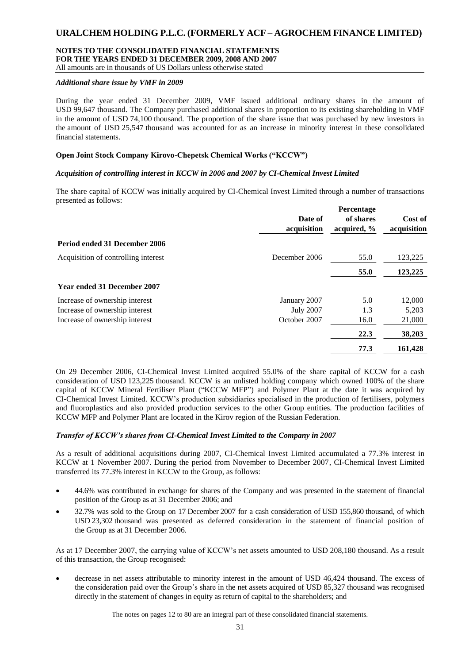### **NOTES TO THE CONSOLIDATED FINANCIAL STATEMENTS FOR THE YEARS ENDED 31 DECEMBER 2009, 2008 AND 2007**

All amounts are in thousands of US Dollars unless otherwise stated

### *Additional share issue by VMF in 2009*

During the year ended 31 December 2009, VMF issued additional ordinary shares in the amount of USD 99,647 thousand. The Company purchased additional shares in proportion to its existing shareholding in VMF in the amount of USD 74,100 thousand. The proportion of the share issue that was purchased by new investors in the amount of USD 25,547 thousand was accounted for as an increase in minority interest in these consolidated financial statements.

### **Open Joint Stock Company Kirovo-Chepetsk Chemical Works ("KCCW")**

### *Acquisition of controlling interest in KCCW in 2006 and 2007 by CI-Chemical Invest Limited*

The share capital of KCCW was initially acquired by CI-Chemical Invest Limited through a number of transactions presented as follows:

|                                     | Date of<br>acquisition | Percentage<br>of shares<br>acquired, % | Cost of<br>acquisition |
|-------------------------------------|------------------------|----------------------------------------|------------------------|
| Period ended 31 December 2006       |                        |                                        |                        |
| Acquisition of controlling interest | December 2006          | 55.0                                   | 123,225                |
|                                     |                        | 55.0                                   | 123,225                |
| <b>Year ended 31 December 2007</b>  |                        |                                        |                        |
| Increase of ownership interest      | January 2007           | 5.0                                    | 12,000                 |
| Increase of ownership interest      | <b>July 2007</b>       | 1.3                                    | 5,203                  |
| Increase of ownership interest      | October 2007           | 16.0                                   | 21,000                 |
|                                     |                        | 22.3                                   | 38,203                 |
|                                     |                        | 77.3                                   | 161,428                |
|                                     |                        |                                        |                        |

On 29 December 2006, CI-Chemical Invest Limited acquired 55.0% of the share capital of KCCW for a cash consideration of USD 123,225 thousand. KCCW is an unlisted holding company which owned 100% of the share capital of KCCW Mineral Fertiliser Plant ("KCCW MFP") and Polymer Plant at the date it was acquired by CI-Chemical Invest Limited. KCCW's production subsidiaries specialised in the production of fertilisers, polymers and fluoroplastics and also provided production services to the other Group entities. The production facilities of KCCW MFP and Polymer Plant are located in the Kirov region of the Russian Federation.

### *Transfer of KCCW's shares from CI-Chemical Invest Limited to the Company in 2007*

As a result of additional acquisitions during 2007, CI-Chemical Invest Limited accumulated a 77.3% interest in KCCW at 1 November 2007. During the period from November to December 2007, CI-Chemical Invest Limited transferred its 77.3% interest in KCCW to the Group, as follows:

- 44.6% was contributed in exchange for shares of the Company and was presented in the statement of financial position of the Group as at 31 December 2006; and
- 32.7% was sold to the Group on 17 December 2007 for a cash consideration of USD 155,860 thousand, of which USD 23,302 thousand was presented as deferred consideration in the statement of financial position of the Group as at 31 December 2006.

As at 17 December 2007, the carrying value of KCCW's net assets amounted to USD 208,180 thousand. As a result of this transaction, the Group recognised:

 decrease in net assets attributable to minority interest in the amount of USD 46,424 thousand. The excess of the consideration paid over the Group's share in the net assets acquired of USD 85,327 thousand was recognised directly in the statement of changes in equity as return of capital to the shareholders; and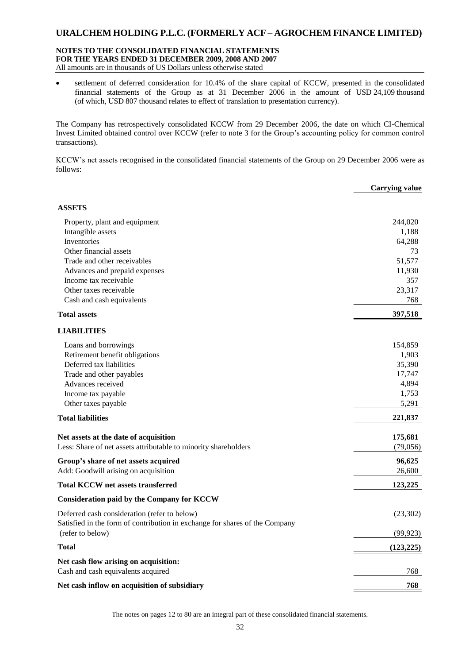### **NOTES TO THE CONSOLIDATED FINANCIAL STATEMENTS FOR THE YEARS ENDED 31 DECEMBER 2009, 2008 AND 2007** All amounts are in thousands of US Dollars unless otherwise stated

 settlement of deferred consideration for 10.4% of the share capital of KCCW, presented in the consolidated financial statements of the Group as at 31 December 2006 in the amount of USD 24,109 thousand (of which, USD 807 thousand relates to effect of translation to presentation currency).

The Company has retrospectively consolidated KCCW from 29 December 2006, the date on which CI-Chemical Invest Limited obtained control over KCCW (refer to note 3 for the Group's accounting policy for common control transactions).

KCCW's net assets recognised in the consolidated financial statements of the Group on 29 December 2006 were as follows:

|                                                                             | <b>Carrying value</b> |
|-----------------------------------------------------------------------------|-----------------------|
| <b>ASSETS</b>                                                               |                       |
| Property, plant and equipment                                               | 244,020               |
| Intangible assets                                                           | 1,188                 |
| Inventories                                                                 | 64,288                |
| Other financial assets                                                      | 73                    |
| Trade and other receivables                                                 | 51,577                |
| Advances and prepaid expenses                                               | 11,930                |
| Income tax receivable                                                       | 357                   |
| Other taxes receivable                                                      | 23,317                |
| Cash and cash equivalents                                                   | 768                   |
| <b>Total assets</b>                                                         | 397,518               |
| <b>LIABILITIES</b>                                                          |                       |
| Loans and borrowings                                                        | 154,859               |
| Retirement benefit obligations                                              | 1,903                 |
| Deferred tax liabilities                                                    | 35,390                |
| Trade and other payables                                                    | 17,747                |
| Advances received                                                           | 4,894                 |
| Income tax payable                                                          | 1,753                 |
| Other taxes payable                                                         | 5,291                 |
| <b>Total liabilities</b>                                                    | 221,837               |
| Net assets at the date of acquisition                                       | 175,681               |
| Less: Share of net assets attributable to minority shareholders             | (79,056)              |
| Group's share of net assets acquired                                        | 96,625                |
| Add: Goodwill arising on acquisition                                        | 26,600                |
| <b>Total KCCW net assets transferred</b>                                    | 123,225               |
| <b>Consideration paid by the Company for KCCW</b>                           |                       |
| Deferred cash consideration (refer to below)                                | (23, 302)             |
| Satisfied in the form of contribution in exchange for shares of the Company |                       |
| (refer to below)                                                            | (99, 923)             |
| <b>Total</b>                                                                | (123, 225)            |
| Net cash flow arising on acquisition:                                       |                       |
| Cash and cash equivalents acquired                                          | 768                   |
| Net cash inflow on acquisition of subsidiary                                | 768                   |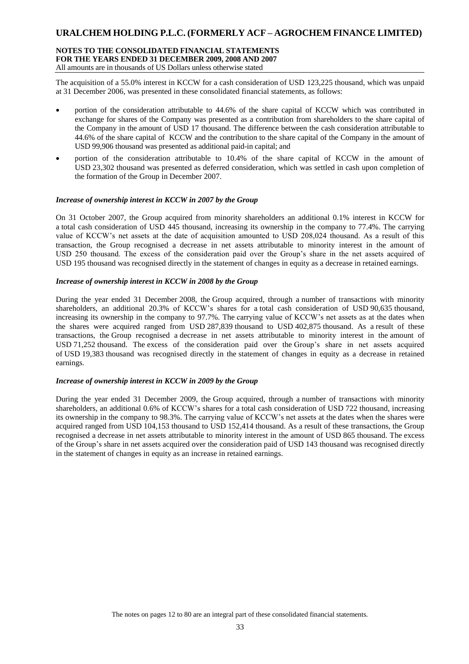### **NOTES TO THE CONSOLIDATED FINANCIAL STATEMENTS FOR THE YEARS ENDED 31 DECEMBER 2009, 2008 AND 2007** All amounts are in thousands of US Dollars unless otherwise stated

The acquisition of a 55.0% interest in KCCW for a cash consideration of USD 123,225 thousand, which was unpaid at 31 December 2006, was presented in these consolidated financial statements, as follows:

- portion of the consideration attributable to 44.6% of the share capital of KCCW which was contributed in exchange for shares of the Company was presented as a contribution from shareholders to the share capital of the Company in the amount of USD 17 thousand. The difference between the cash consideration attributable to 44.6% of the share capital of KCCW and the contribution to the share capital of the Company in the amount of USD 99,906 thousand was presented as additional paid-in capital; and
- portion of the consideration attributable to 10.4% of the share capital of KCCW in the amount of USD 23,302 thousand was presented as deferred consideration, which was settled in cash upon completion of the formation of the Group in December 2007.

### *Increase of ownership interest in KCCW in 2007 by the Group*

On 31 October 2007, the Group acquired from minority shareholders an additional 0.1% interest in KCCW for a total cash consideration of USD 445 thousand, increasing its ownership in the company to 77.4%. The carrying value of KCCW's net assets at the date of acquisition amounted to USD 208,024 thousand. As a result of this transaction, the Group recognised a decrease in net assets attributable to minority interest in the amount of USD 250 thousand. The excess of the consideration paid over the Group's share in the net assets acquired of USD 195 thousand was recognised directly in the statement of changes in equity as a decrease in retained earnings.

### *Increase of ownership interest in KCCW in 2008 by the Group*

During the year ended 31 December 2008, the Group acquired, through a number of transactions with minority shareholders, an additional 20.3% of KCCW's shares for a total cash consideration of USD 90,635 thousand, increasing its ownership in the company to 97.7%. The carrying value of KCCW's net assets as at the dates when the shares were acquired ranged from USD 287,839 thousand to USD 402,875 thousand. As a result of these transactions, the Group recognised a decrease in net assets attributable to minority interest in the amount of USD 71,252 thousand. The excess of the consideration paid over the Group's share in net assets acquired of USD 19,383 thousand was recognised directly in the statement of changes in equity as a decrease in retained earnings.

### *Increase of ownership interest in KCCW in 2009 by the Group*

During the year ended 31 December 2009, the Group acquired, through a number of transactions with minority shareholders, an additional 0.6% of KCCW's shares for a total cash consideration of USD 722 thousand, increasing its ownership in the company to 98.3%. The carrying value of KCCW's net assets at the dates when the shares were acquired ranged from USD 104,153 thousand to USD 152,414 thousand. As a result of these transactions, the Group recognised a decrease in net assets attributable to minority interest in the amount of USD 865 thousand. The excess of the Group's share in net assets acquired over the consideration paid of USD 143 thousand was recognised directly in the statement of changes in equity as an increase in retained earnings.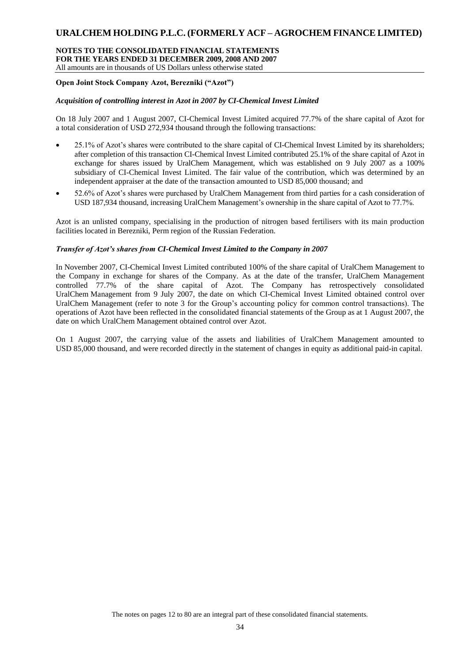#### **NOTES TO THE CONSOLIDATED FINANCIAL STATEMENTS FOR THE YEARS ENDED 31 DECEMBER 2009, 2008 AND 2007** All amounts are in thousands of US Dollars unless otherwise stated

### **Open Joint Stock Company Azot, Berezniki ("Azot")**

### *Acquisition of controlling interest in Azot in 2007 by CI-Chemical Invest Limited*

On 18 July 2007 and 1 August 2007, CI-Chemical Invest Limited acquired 77.7% of the share capital of Azot for a total consideration of USD 272,934 thousand through the following transactions:

- 25.1% of Azot's shares were contributed to the share capital of CI-Chemical Invest Limited by its shareholders; after completion of this transaction CI-Chemical Invest Limited contributed 25.1% of the share capital of Azot in exchange for shares issued by UralChem Management, which was established on 9 July 2007 as a 100% subsidiary of CI-Chemical Invest Limited. The fair value of the contribution, which was determined by an independent appraiser at the date of the transaction amounted to USD 85,000 thousand; and
- 52.6% of Azot's shares were purchased by UralChem Management from third parties for a cash consideration of USD 187,934 thousand, increasing UralChem Management's ownership in the share capital of Azot to 77.7%.

Azot is an unlisted company, specialising in the production of nitrogen based fertilisers with its main production facilities located in Berezniki, Perm region of the Russian Federation.

#### *Transfer of Azot's shares from CI-Chemical Invest Limited to the Company in 2007*

In November 2007, CI-Chemical Invest Limited contributed 100% of the share capital of UralChem Management to the Company in exchange for shares of the Company. As at the date of the transfer, UralChem Management controlled 77.7% of the share capital of Azot. The Company has retrospectively consolidated UralChem Management from 9 July 2007, the date on which CI-Chemical Invest Limited obtained control over UralChem Management (refer to note 3 for the Group's accounting policy for common control transactions). The operations of Azot have been reflected in the consolidated financial statements of the Group as at 1 August 2007, the date on which UralChem Management obtained control over Azot.

On 1 August 2007, the carrying value of the assets and liabilities of UralChem Management amounted to USD 85,000 thousand, and were recorded directly in the statement of changes in equity as additional paid-in capital.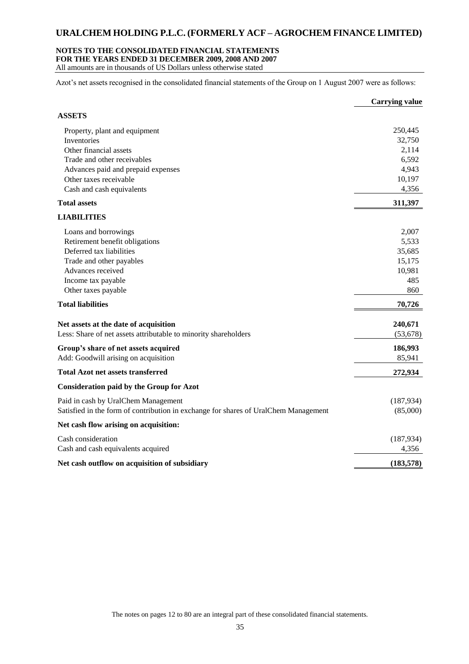### **NOTES TO THE CONSOLIDATED FINANCIAL STATEMENTS**

**FOR THE YEARS ENDED 31 DECEMBER 2009, 2008 AND 2007**

All amounts are in thousands of US Dollars unless otherwise stated

Azot's net assets recognised in the consolidated financial statements of the Group on 1 August 2007 were as follows:

|                                                                                     | <b>Carrying value</b> |
|-------------------------------------------------------------------------------------|-----------------------|
| <b>ASSETS</b>                                                                       |                       |
| Property, plant and equipment                                                       | 250,445               |
| Inventories                                                                         | 32,750                |
| Other financial assets                                                              | 2,114                 |
| Trade and other receivables                                                         | 6,592                 |
| Advances paid and prepaid expenses                                                  | 4,943                 |
| Other taxes receivable                                                              | 10,197                |
| Cash and cash equivalents                                                           | 4,356                 |
| <b>Total assets</b>                                                                 | 311,397               |
| <b>LIABILITIES</b>                                                                  |                       |
| Loans and borrowings                                                                | 2,007                 |
| Retirement benefit obligations                                                      | 5,533                 |
| Deferred tax liabilities                                                            | 35,685                |
| Trade and other payables                                                            | 15,175                |
| Advances received                                                                   | 10,981                |
| Income tax payable                                                                  | 485                   |
| Other taxes payable                                                                 | 860                   |
| <b>Total liabilities</b>                                                            | 70,726                |
| Net assets at the date of acquisition                                               | 240,671               |
| Less: Share of net assets attributable to minority shareholders                     | (53, 678)             |
| Group's share of net assets acquired                                                | 186,993               |
| Add: Goodwill arising on acquisition                                                | 85,941                |
| <b>Total Azot net assets transferred</b>                                            | 272,934               |
| <b>Consideration paid by the Group for Azot</b>                                     |                       |
| Paid in cash by UralChem Management                                                 | (187, 934)            |
| Satisfied in the form of contribution in exchange for shares of UralChem Management | (85,000)              |
| Net cash flow arising on acquisition:                                               |                       |
| Cash consideration                                                                  | (187, 934)            |
| Cash and cash equivalents acquired                                                  | 4,356                 |
| Net cash outflow on acquisition of subsidiary                                       | (183, 578)            |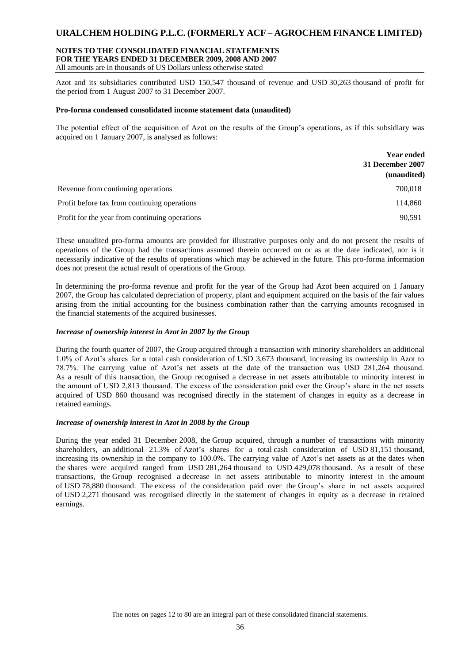### **NOTES TO THE CONSOLIDATED FINANCIAL STATEMENTS FOR THE YEARS ENDED 31 DECEMBER 2009, 2008 AND 2007**

All amounts are in thousands of US Dollars unless otherwise stated

Azot and its subsidiaries contributed USD 150,547 thousand of revenue and USD 30,263 thousand of profit for the period from 1 August 2007 to 31 December 2007.

#### **Pro-forma condensed consolidated income statement data (unaudited)**

The potential effect of the acquisition of Azot on the results of the Group's operations, as if this subsidiary was acquired on 1 January 2007, is analysed as follows:

|                                                | <b>Year ended</b><br>31 December 2007<br>(unaudited) |
|------------------------------------------------|------------------------------------------------------|
| Revenue from continuing operations             | 700,018                                              |
| Profit before tax from continuing operations   | 114,860                                              |
| Profit for the year from continuing operations | 90.591                                               |

These unaudited pro-forma amounts are provided for illustrative purposes only and do not present the results of operations of the Group had the transactions assumed therein occurred on or as at the date indicated, nor is it necessarily indicative of the results of operations which may be achieved in the future. This pro-forma information does not present the actual result of operations of the Group.

In determining the pro-forma revenue and profit for the year of the Group had Azot been acquired on 1 January 2007, the Group has calculated depreciation of property, plant and equipment acquired on the basis of the fair values arising from the initial accounting for the business combination rather than the carrying amounts recognised in the financial statements of the acquired businesses.

#### *Increase of ownership interest in Azot in 2007 by the Group*

During the fourth quarter of 2007, the Group acquired through a transaction with minority shareholders an additional 1.0% of Azot's shares for a total cash consideration of USD 3,673 thousand, increasing its ownership in Azot to 78.7%. The carrying value of Azot's net assets at the date of the transaction was USD 281,264 thousand. As a result of this transaction, the Group recognised a decrease in net assets attributable to minority interest in the amount of USD 2,813 thousand. The excess of the consideration paid over the Group's share in the net assets acquired of USD 860 thousand was recognised directly in the statement of changes in equity as a decrease in retained earnings.

#### *Increase of ownership interest in Azot in 2008 by the Group*

During the year ended 31 December 2008, the Group acquired, through a number of transactions with minority shareholders, an additional 21.3% of Azot's shares for a total cash consideration of USD 81,151 thousand, increasing its ownership in the company to 100.0%. The carrying value of Azot's net assets as at the dates when the shares were acquired ranged from USD 281,264 thousand to USD 429,078 thousand. As a result of these transactions, the Group recognised a decrease in net assets attributable to minority interest in the amount of USD 78,880 thousand. The excess of the consideration paid over the Group's share in net assets acquired of USD 2,271 thousand was recognised directly in the statement of changes in equity as a decrease in retained earnings.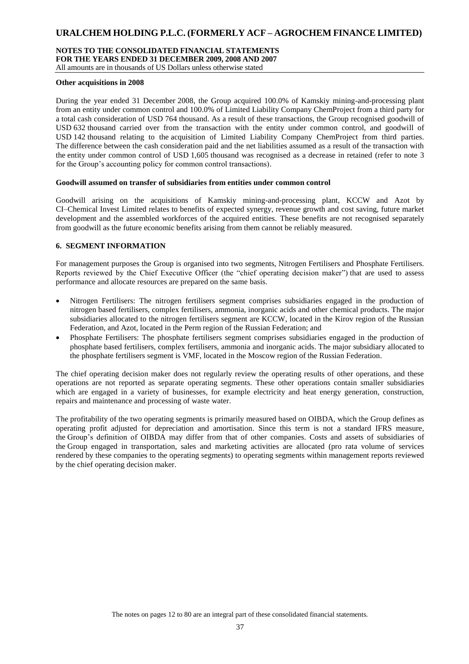#### **NOTES TO THE CONSOLIDATED FINANCIAL STATEMENTS FOR THE YEARS ENDED 31 DECEMBER 2009, 2008 AND 2007** All amounts are in thousands of US Dollars unless otherwise stated

#### **Other acquisitions in 2008**

During the year ended 31 December 2008, the Group acquired 100.0% of Kamskiy mining-and-processing plant from an entity under common control and 100.0% of Limited Liability Company ChemProject from a third party for a total cash consideration of USD 764 thousand. As a result of these transactions, the Group recognised goodwill of USD 632 thousand carried over from the transaction with the entity under common control, and goodwill of USD 142 thousand relating to the acquisition of Limited Liability Company ChemProject from third parties. The difference between the cash consideration paid and the net liabilities assumed as a result of the transaction with the entity under common control of USD 1,605 thousand was recognised as a decrease in retained (refer to note 3 for the Group's accounting policy for common control transactions).

#### **Goodwill assumed on transfer of subsidiaries from entities under common control**

Goodwill arising on the acquisitions of Kamskiy mining-and-processing plant, KCCW and Azot by CI–Chemical Invest Limited relates to benefits of expected synergy, revenue growth and cost saving, future market development and the assembled workforces of the acquired entities. These benefits are not recognised separately from goodwill as the future economic benefits arising from them cannot be reliably measured.

#### **6. SEGMENT INFORMATION**

For management purposes the Group is organised into two segments, Nitrogen Fertilisers and Phosphate Fertilisers. Reports reviewed by the Chief Executive Officer (the "chief operating decision maker") that are used to assess performance and allocate resources are prepared on the same basis.

- Nitrogen Fertilisers: The nitrogen fertilisers segment comprises subsidiaries engaged in the production of nitrogen based fertilisers, complex fertilisers, ammonia, inorganic acids and other chemical products. The major subsidiaries allocated to the nitrogen fertilisers segment are KCCW, located in the Kirov region of the Russian Federation, and Azot, located in the Perm region of the Russian Federation; and
- Phosphate Fertilisers: The phosphate fertilisers segment comprises subsidiaries engaged in the production of phosphate based fertilisers, complex fertilisers, ammonia and inorganic acids. The major subsidiary allocated to the phosphate fertilisers segment is VMF, located in the Moscow region of the Russian Federation.

The chief operating decision maker does not regularly review the operating results of other operations, and these operations are not reported as separate operating segments. These other operations contain smaller subsidiaries which are engaged in a variety of businesses, for example electricity and heat energy generation, construction, repairs and maintenance and processing of waste water.

The profitability of the two operating segments is primarily measured based on OIBDA, which the Group defines as operating profit adjusted for depreciation and amortisation. Since this term is not a standard IFRS measure, the Group's definition of OIBDA may differ from that of other companies. Costs and assets of subsidiaries of the Group engaged in transportation, sales and marketing activities are allocated (pro rata volume of services rendered by these companies to the operating segments) to operating segments within management reports reviewed by the chief operating decision maker.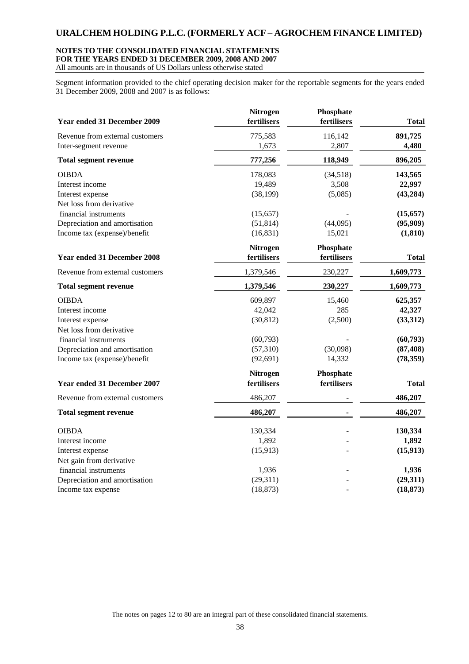### **NOTES TO THE CONSOLIDATED FINANCIAL STATEMENTS FOR THE YEARS ENDED 31 DECEMBER 2009, 2008 AND 2007**

All amounts are in thousands of US Dollars unless otherwise stated

Segment information provided to the chief operating decision maker for the reportable segments for the years ended 31 December 2009, 2008 and 2007 is as follows:

| Year ended 31 December 2009        | Nitrogen<br>fertilisers | Phosphate<br>fertilisers | <b>Total</b> |
|------------------------------------|-------------------------|--------------------------|--------------|
| Revenue from external customers    | 775,583                 | 116,142                  | 891,725      |
| Inter-segment revenue              | 1,673                   | 2,807                    | 4,480        |
| <b>Total segment revenue</b>       | 777,256                 | 118,949                  | 896,205      |
| <b>OIBDA</b>                       | 178,083                 | (34,518)                 | 143,565      |
| Interest income                    | 19,489                  | 3,508                    | 22,997       |
| Interest expense                   | (38, 199)               | (5,085)                  | (43, 284)    |
| Net loss from derivative           |                         |                          |              |
| financial instruments              | (15, 657)               |                          | (15, 657)    |
| Depreciation and amortisation      | (51, 814)               | (44,095)                 | (95,909)     |
| Income tax (expense)/benefit       | (16, 831)               | 15,021                   | (1, 810)     |
|                                    | <b>Nitrogen</b>         | Phosphate                |              |
| <b>Year ended 31 December 2008</b> | fertilisers             | fertilisers              | <b>Total</b> |
| Revenue from external customers    | 1,379,546               | 230,227                  | 1,609,773    |
| <b>Total segment revenue</b>       | 1,379,546               | 230,227                  | 1,609,773    |
| <b>OIBDA</b>                       | 609,897                 | 15,460                   | 625,357      |
| Interest income                    | 42,042                  | 285                      | 42,327       |
| Interest expense                   | (30, 812)               | (2,500)                  | (33,312)     |
| Net loss from derivative           |                         |                          |              |
| financial instruments              | (60, 793)               |                          | (60, 793)    |
| Depreciation and amortisation      | (57,310)                | (30,098)                 | (87, 408)    |
| Income tax (expense)/benefit       | (92, 691)               | 14,332                   | (78, 359)    |
|                                    | Nitrogen                | Phosphate                |              |
| <b>Year ended 31 December 2007</b> | fertilisers             | fertilisers              | <b>Total</b> |
| Revenue from external customers    | 486,207                 |                          | 486,207      |
| <b>Total segment revenue</b>       | 486,207                 |                          | 486,207      |
| <b>OIBDA</b>                       | 130,334                 |                          | 130,334      |
| Interest income                    | 1,892                   |                          | 1,892        |
| Interest expense                   | (15, 913)               |                          | (15, 913)    |
| Net gain from derivative           |                         |                          |              |
| financial instruments              | 1,936                   |                          | 1,936        |
| Depreciation and amortisation      | (29,311)                |                          | (29,311)     |
| Income tax expense                 | (18, 873)               |                          | (18, 873)    |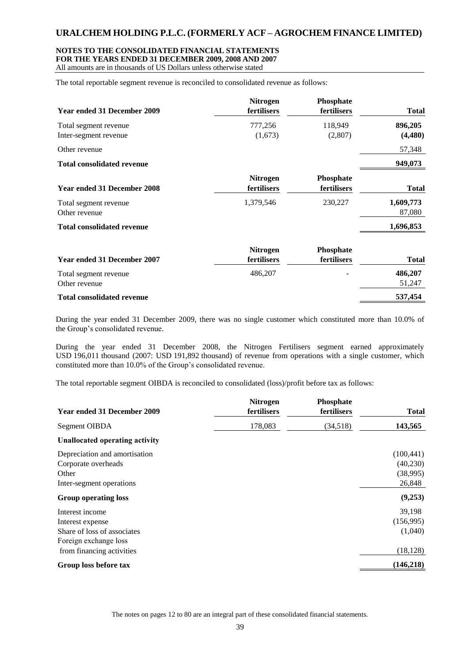#### **NOTES TO THE CONSOLIDATED FINANCIAL STATEMENTS FOR THE YEARS ENDED 31 DECEMBER 2009, 2008 AND 2007**

All amounts are in thousands of US Dollars unless otherwise stated

The total reportable segment revenue is reconciled to consolidated revenue as follows:

|                                    | <b>Nitrogen</b> | Phosphate   |              |
|------------------------------------|-----------------|-------------|--------------|
| Year ended 31 December 2009        | fertilisers     | fertilisers | <b>Total</b> |
| Total segment revenue              | 777,256         | 118,949     | 896,205      |
| Inter-segment revenue              | (1,673)         | (2,807)     | (4,480)      |
| Other revenue                      |                 |             | 57,348       |
| <b>Total consolidated revenue</b>  |                 |             | 949,073      |
|                                    | <b>Nitrogen</b> | Phosphate   |              |
| Year ended 31 December 2008        | fertilisers     | fertilisers | <b>Total</b> |
| Total segment revenue              | 1,379,546       | 230,227     | 1,609,773    |
| Other revenue                      |                 |             | 87,080       |
| <b>Total consolidated revenue</b>  |                 |             | 1,696,853    |
|                                    | <b>Nitrogen</b> | Phosphate   |              |
| <b>Year ended 31 December 2007</b> | fertilisers     | fertilisers | <b>Total</b> |
| Total segment revenue              | 486,207         |             | 486,207      |
| Other revenue                      |                 |             | 51,247       |
| <b>Total consolidated revenue</b>  |                 |             | 537,454      |

During the year ended 31 December 2009, there was no single customer which constituted more than 10.0% of the Group's consolidated revenue.

During the year ended 31 December 2008, the Nitrogen Fertilisers segment earned approximately USD 196,011 thousand (2007: USD 191,892 thousand) of revenue from operations with a single customer, which constituted more than 10.0% of the Group's consolidated revenue.

The total reportable segment OIBDA is reconciled to consolidated (loss)/profit before tax as follows:

| Year ended 31 December 2009                                                                 | <b>Nitrogen</b><br>fertilisers | Phosphate<br>fertilisers | <b>Total</b>                                  |
|---------------------------------------------------------------------------------------------|--------------------------------|--------------------------|-----------------------------------------------|
| Segment OIBDA                                                                               | 178,083                        | (34,518)                 | 143,565                                       |
| Unallocated operating activity                                                              |                                |                          |                                               |
| Depreciation and amortisation<br>Corporate overheads<br>Other<br>Inter-segment operations   |                                |                          | (100, 441)<br>(40, 230)<br>(38,995)<br>26,848 |
| <b>Group operating loss</b>                                                                 |                                |                          | (9,253)                                       |
| Interest income<br>Interest expense<br>Share of loss of associates<br>Foreign exchange loss |                                |                          | 39,198<br>(156,995)<br>(1,040)                |
| from financing activities                                                                   |                                |                          | (18, 128)<br>(146, 218)                       |
| Group loss before tax                                                                       |                                |                          |                                               |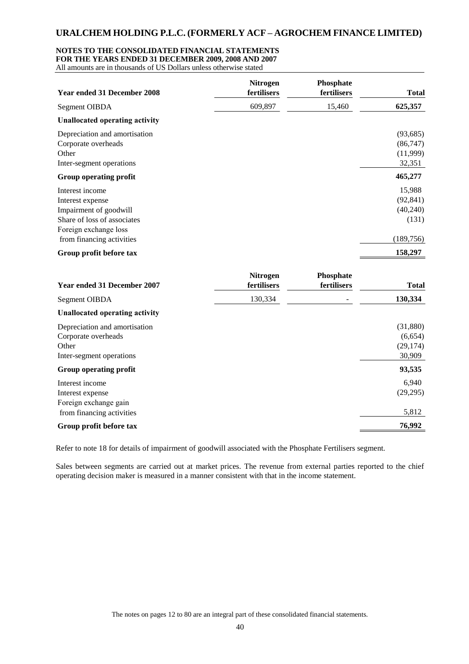#### **NOTES TO THE CONSOLIDATED FINANCIAL STATEMENTS**

**FOR THE YEARS ENDED 31 DECEMBER 2009, 2008 AND 2007**

All amounts are in thousands of US Dollars unless otherwise stated

| 609,897<br>15,460<br><b>Segment OIBDA</b><br><b>Unallocated operating activity</b><br>Depreciation and amortisation   | 625,357<br>(93, 685)<br>(86, 747)<br>(11,999) |
|-----------------------------------------------------------------------------------------------------------------------|-----------------------------------------------|
|                                                                                                                       |                                               |
|                                                                                                                       |                                               |
| Corporate overheads<br>Other<br>Inter-segment operations                                                              | 32,351                                        |
| Group operating profit                                                                                                | 465,277                                       |
| Interest income<br>Interest expense<br>Impairment of goodwill<br>Share of loss of associates<br>Foreign exchange loss | 15,988<br>(92, 841)<br>(40, 240)<br>(131)     |
| from financing activities                                                                                             | (189, 756)                                    |
| Group profit before tax                                                                                               | 158,297                                       |
| Phosphate<br><b>Nitrogen</b><br>Year ended 31 December 2007<br>fertilisers<br>fertilisers                             | <b>Total</b>                                  |
| 130,334<br>Segment OIBDA                                                                                              | 130,334                                       |
| <b>Unallocated operating activity</b>                                                                                 |                                               |
| Depreciation and amortisation<br>Corporate overheads<br>Other<br>Inter-segment operations                             | (31, 880)<br>(6,654)<br>(29, 174)<br>30,909   |
| Group operating profit                                                                                                | 93,535                                        |
| Interest income<br>Interest expense<br>Foreign exchange gain                                                          | 6,940<br>(29, 295)                            |
| from financing activities<br>Group profit before tax                                                                  | 5,812<br>76,992                               |

Refer to note 18 for details of impairment of goodwill associated with the Phosphate Fertilisers segment.

Sales between segments are carried out at market prices. The revenue from external parties reported to the chief operating decision maker is measured in a manner consistent with that in the income statement.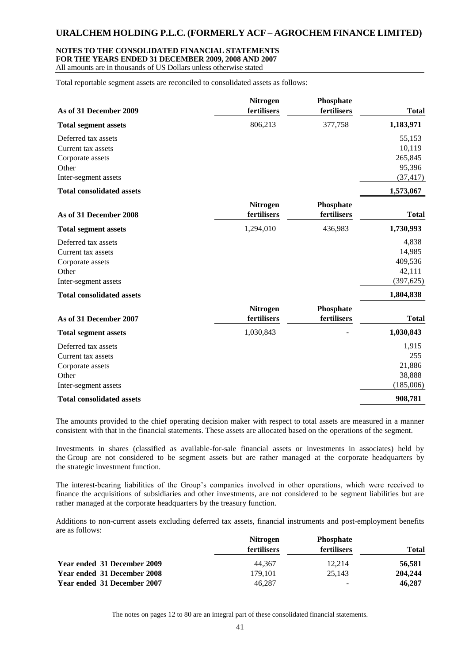#### **NOTES TO THE CONSOLIDATED FINANCIAL STATEMENTS FOR THE YEARS ENDED 31 DECEMBER 2009, 2008 AND 2007**

All amounts are in thousands of US Dollars unless otherwise stated

Total reportable segment assets are reconciled to consolidated assets as follows:

| As of 31 December 2009           | <b>Nitrogen</b><br>fertilisers | Phosphate<br>fertilisers | <b>Total</b> |
|----------------------------------|--------------------------------|--------------------------|--------------|
| <b>Total segment assets</b>      | 806,213                        | 377,758                  | 1,183,971    |
| Deferred tax assets              |                                |                          | 55,153       |
| Current tax assets               |                                |                          | 10,119       |
| Corporate assets                 |                                |                          | 265,845      |
| Other                            |                                |                          | 95,396       |
| Inter-segment assets             |                                |                          | (37, 417)    |
| <b>Total consolidated assets</b> |                                |                          | 1,573,067    |
| As of 31 December 2008           | <b>Nitrogen</b><br>fertilisers | Phosphate<br>fertilisers | <b>Total</b> |
| <b>Total segment assets</b>      | 1,294,010                      | 436,983                  | 1,730,993    |
| Deferred tax assets              |                                |                          | 4,838        |
| Current tax assets               |                                |                          | 14,985       |
| Corporate assets                 |                                |                          | 409,536      |
| Other                            |                                |                          | 42,111       |
| Inter-segment assets             |                                |                          | (397, 625)   |
| <b>Total consolidated assets</b> |                                |                          | 1,804,838    |
|                                  | <b>Nitrogen</b>                | Phosphate                |              |
| As of 31 December 2007           | fertilisers                    | fertilisers              | <b>Total</b> |
| <b>Total segment assets</b>      | 1,030,843                      |                          | 1,030,843    |
| Deferred tax assets              |                                |                          | 1,915        |
| Current tax assets               |                                |                          | 255          |
| Corporate assets                 |                                |                          | 21,886       |
| Other                            |                                |                          | 38,888       |
| Inter-segment assets             |                                |                          | (185,006)    |
| <b>Total consolidated assets</b> |                                |                          | 908,781      |

The amounts provided to the chief operating decision maker with respect to total assets are measured in a manner consistent with that in the financial statements. These assets are allocated based on the operations of the segment.

Investments in shares (classified as available-for-sale financial assets or investments in associates) held by the Group are not considered to be segment assets but are rather managed at the corporate headquarters by the strategic investment function.

The interest-bearing liabilities of the Group's companies involved in other operations, which were received to finance the acquisitions of subsidiaries and other investments, are not considered to be segment liabilities but are rather managed at the corporate headquarters by the treasury function.

Additions to non-current assets excluding deferred tax assets, financial instruments and post-employment benefits are as follows:

|                             | <b>Nitrogen</b>    | <b>Phosphate</b> |              |
|-----------------------------|--------------------|------------------|--------------|
|                             | <b>fertilisers</b> | fertilisers      | <b>Total</b> |
| Year ended 31 December 2009 | 44.367             | 12.214           | 56,581       |
| Year ended 31 December 2008 | 179.101            | 25.143           | 204,244      |
| Year ended 31 December 2007 | 46.287             | -                | 46,287       |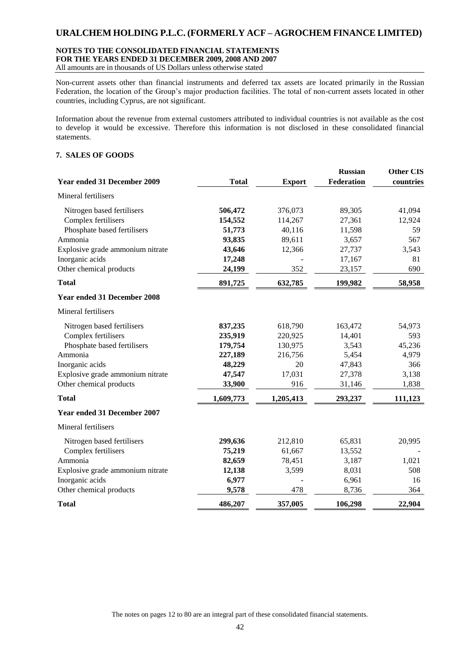### **NOTES TO THE CONSOLIDATED FINANCIAL STATEMENTS FOR THE YEARS ENDED 31 DECEMBER 2009, 2008 AND 2007**

All amounts are in thousands of US Dollars unless otherwise stated

Non-current assets other than financial instruments and deferred tax assets are located primarily in the Russian Federation, the location of the Group's major production facilities. The total of non-current assets located in other countries, including Cyprus, are not significant.

Information about the revenue from external customers attributed to individual countries is not available as the cost to develop it would be excessive. Therefore this information is not disclosed in these consolidated financial statements.

### **7. SALES OF GOODS**

| <b>Year ended 31 December 2009</b> | <b>Total</b> | <b>Export</b> | <b>Russian</b><br>Federation | <b>Other CIS</b><br>countries |
|------------------------------------|--------------|---------------|------------------------------|-------------------------------|
| Mineral fertilisers                |              |               |                              |                               |
| Nitrogen based fertilisers         | 506,472      | 376,073       | 89,305                       | 41,094                        |
| Complex fertilisers                | 154,552      | 114,267       | 27,361                       | 12,924                        |
| Phosphate based fertilisers        | 51,773       | 40,116        | 11,598                       | 59                            |
| Ammonia                            | 93,835       | 89,611        | 3,657                        | 567                           |
| Explosive grade ammonium nitrate   | 43,646       | 12,366        | 27,737                       | 3,543                         |
| Inorganic acids                    | 17,248       |               | 17,167                       | 81                            |
| Other chemical products            | 24,199       | 352           | 23,157                       | 690                           |
| <b>Total</b>                       | 891,725      | 632,785       | 199,982                      | 58,958                        |
| <b>Year ended 31 December 2008</b> |              |               |                              |                               |
| Mineral fertilisers                |              |               |                              |                               |
| Nitrogen based fertilisers         | 837,235      | 618,790       | 163,472                      | 54,973                        |
| Complex fertilisers                | 235,919      | 220,925       | 14,401                       | 593                           |
| Phosphate based fertilisers        | 179,754      | 130,975       | 3,543                        | 45,236                        |
| Ammonia                            | 227,189      | 216,756       | 5,454                        | 4,979                         |
| Inorganic acids                    | 48,229       | 20            | 47,843                       | 366                           |
| Explosive grade ammonium nitrate   | 47,547       | 17,031        | 27,378                       | 3,138                         |
| Other chemical products            | 33,900       | 916           | 31,146                       | 1,838                         |
| <b>Total</b>                       | 1,609,773    | 1,205,413     | 293,237                      | 111,123                       |
| <b>Year ended 31 December 2007</b> |              |               |                              |                               |
| Mineral fertilisers                |              |               |                              |                               |
| Nitrogen based fertilisers         | 299,636      | 212,810       | 65,831                       | 20,995                        |
| Complex fertilisers                | 75,219       | 61,667        | 13,552                       |                               |
| Ammonia                            | 82,659       | 78,451        | 3,187                        | 1,021                         |
| Explosive grade ammonium nitrate   | 12,138       | 3,599         | 8,031                        | 508                           |
| Inorganic acids                    | 6,977        |               | 6,961                        | 16                            |
| Other chemical products            | 9,578        | 478           | 8,736                        | 364                           |
| <b>Total</b>                       | 486,207      | 357,005       | 106,298                      | 22,904                        |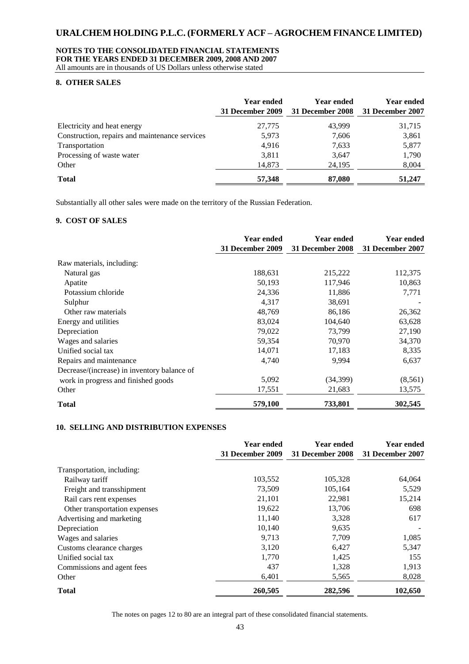#### **NOTES TO THE CONSOLIDATED FINANCIAL STATEMENTS FOR THE YEARS ENDED 31 DECEMBER 2009, 2008 AND 2007**

All amounts are in thousands of US Dollars unless otherwise stated

#### **8. OTHER SALES**

|                                                | <b>Year ended</b><br>31 December 2009 | <b>Year ended</b><br>31 December 2008 | Year ended<br>31 December 2007 |
|------------------------------------------------|---------------------------------------|---------------------------------------|--------------------------------|
| Electricity and heat energy                    | 27,775                                | 43.999                                | 31,715                         |
| Construction, repairs and maintenance services | 5,973                                 | 7,606                                 | 3,861                          |
| Transportation                                 | 4,916                                 | 7,633                                 | 5,877                          |
| Processing of waste water                      | 3,811                                 | 3,647                                 | 1,790                          |
| Other                                          | 14,873                                | 24,195                                | 8,004                          |
| <b>Total</b>                                   | 57,348                                | 87,080                                | 51,247                         |

Substantially all other sales were made on the territory of the Russian Federation.

### **9. COST OF SALES**

|                                             | <b>Year ended</b> | <b>Year ended</b> | <b>Year ended</b> |
|---------------------------------------------|-------------------|-------------------|-------------------|
|                                             | 31 December 2009  | 31 December 2008  | 31 December 2007  |
| Raw materials, including:                   |                   |                   |                   |
| Natural gas                                 | 188,631           | 215,222           | 112,375           |
| Apatite                                     | 50,193            | 117,946           | 10,863            |
| Potassium chloride                          | 24,336            | 11,886            | 7,771             |
| Sulphur                                     | 4,317             | 38,691            |                   |
| Other raw materials                         | 48,769            | 86,186            | 26,362            |
| Energy and utilities                        | 83,024            | 104,640           | 63,628            |
| Depreciation                                | 79,022            | 73,799            | 27,190            |
| Wages and salaries                          | 59,354            | 70,970            | 34,370            |
| Unified social tax                          | 14,071            | 17,183            | 8,335             |
| Repairs and maintenance                     | 4,740             | 9,994             | 6,637             |
| Decrease/(increase) in inventory balance of |                   |                   |                   |
| work in progress and finished goods         | 5,092             | (34, 399)         | (8, 561)          |
| Other                                       | 17,551            | 21,683            | 13,575            |
| <b>Total</b>                                | 579,100           | 733,801           | 302,545           |

#### **10. SELLING AND DISTRIBUTION EXPENSES**

|                               | <b>Year ended</b><br>31 December 2009 | <b>Year ended</b><br>31 December 2008 | <b>Year ended</b><br>31 December 2007 |
|-------------------------------|---------------------------------------|---------------------------------------|---------------------------------------|
| Transportation, including:    |                                       |                                       |                                       |
| Railway tariff                | 103,552                               | 105,328                               | 64,064                                |
| Freight and transshipment     | 73,509                                | 105,164                               | 5,529                                 |
| Rail cars rent expenses       | 21,101                                | 22,981                                | 15,214                                |
| Other transportation expenses | 19,622                                | 13,706                                | 698                                   |
| Advertising and marketing     | 11,140                                | 3,328                                 | 617                                   |
| Depreciation                  | 10,140                                | 9,635                                 |                                       |
| Wages and salaries            | 9.713                                 | 7,709                                 | 1,085                                 |
| Customs clearance charges     | 3,120                                 | 6,427                                 | 5,347                                 |
| Unified social tax            | 1,770                                 | 1,425                                 | 155                                   |
| Commissions and agent fees    | 437                                   | 1,328                                 | 1,913                                 |
| Other                         | 6,401                                 | 5,565                                 | 8,028                                 |
| <b>Total</b>                  | 260,505                               | 282,596                               | 102,650                               |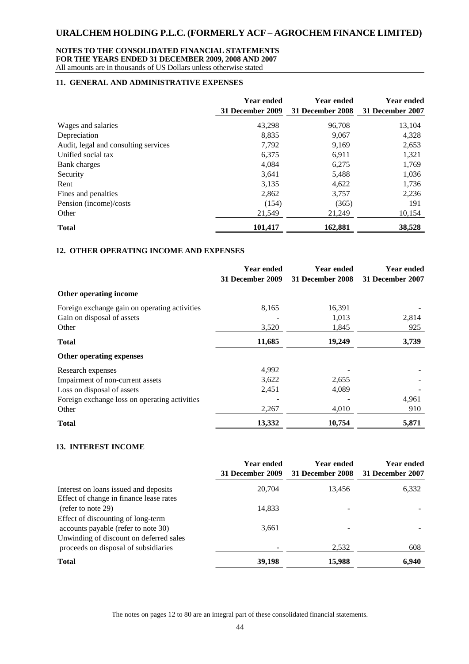### **NOTES TO THE CONSOLIDATED FINANCIAL STATEMENTS FOR THE YEARS ENDED 31 DECEMBER 2009, 2008 AND 2007**

All amounts are in thousands of US Dollars unless otherwise stated

### **11. GENERAL AND ADMINISTRATIVE EXPENSES**

|                                      | <b>Year ended</b> | <b>Year ended</b> | <b>Year ended</b> |
|--------------------------------------|-------------------|-------------------|-------------------|
|                                      | 31 December 2009  | 31 December 2008  | 31 December 2007  |
| Wages and salaries                   | 43,298            | 96,708            | 13,104            |
| Depreciation                         | 8,835             | 9,067             | 4,328             |
| Audit, legal and consulting services | 7,792             | 9,169             | 2,653             |
| Unified social tax                   | 6,375             | 6,911             | 1,321             |
| Bank charges                         | 4,084             | 6,275             | 1,769             |
| Security                             | 3,641             | 5,488             | 1,036             |
| Rent                                 | 3,135             | 4,622             | 1,736             |
| Fines and penalties                  | 2,862             | 3,757             | 2,236             |
| Pension (income)/costs               | (154)             | (365)             | 191               |
| Other                                | 21,549            | 21,249            | 10,154            |
| <b>Total</b>                         | 101,417           | 162,881           | 38,528            |

### **12. OTHER OPERATING INCOME AND EXPENSES**

|                                               | Year ended       | <b>Year ended</b>       | <b>Year ended</b> |
|-----------------------------------------------|------------------|-------------------------|-------------------|
|                                               | 31 December 2009 | <b>31 December 2008</b> | 31 December 2007  |
| Other operating income                        |                  |                         |                   |
| Foreign exchange gain on operating activities | 8,165            | 16,391                  |                   |
| Gain on disposal of assets                    |                  | 1,013                   | 2,814             |
| Other                                         | 3,520            | 1,845                   | 925               |
| <b>Total</b>                                  | 11,685           | 19,249                  | 3,739             |
| Other operating expenses                      |                  |                         |                   |
| Research expenses                             | 4,992            |                         |                   |
| Impairment of non-current assets              | 3,622            | 2,655                   |                   |
| Loss on disposal of assets                    | 2,451            | 4,089                   |                   |
| Foreign exchange loss on operating activities |                  |                         | 4,961             |
| Other                                         | 2,267            | 4,010                   | 910               |
| <b>Total</b>                                  | 13,332           | 10,754                  | 5,871             |

#### **13. INTEREST INCOME**

|                                                                                                                      | <b>Year ended</b><br>31 December 2009 | <b>Year ended</b><br>31 December 2008 | <b>Year ended</b><br>31 December 2007 |
|----------------------------------------------------------------------------------------------------------------------|---------------------------------------|---------------------------------------|---------------------------------------|
| Interest on loans issued and deposits<br>Effect of change in finance lease rates                                     | 20,704                                | 13,456                                | 6,332                                 |
| (refer to note 29)                                                                                                   | 14,833                                |                                       |                                       |
| Effect of discounting of long-term<br>accounts payable (refer to note 30)<br>Unwinding of discount on deferred sales | 3,661                                 |                                       |                                       |
| proceeds on disposal of subsidiaries                                                                                 |                                       | 2,532                                 | 608                                   |
| <b>Total</b>                                                                                                         | 39,198                                | 15,988                                | 6,940                                 |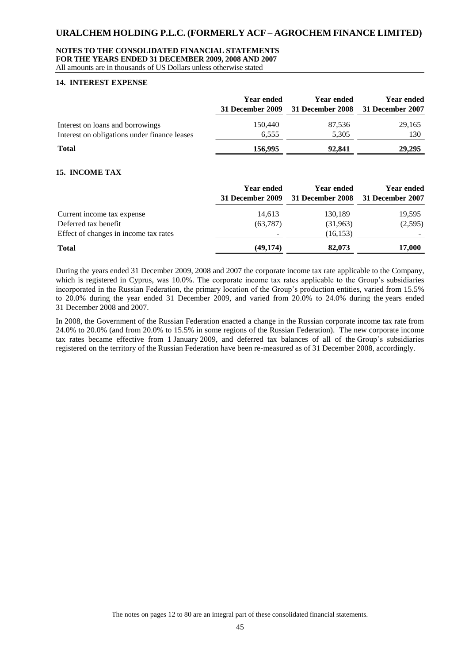#### **NOTES TO THE CONSOLIDATED FINANCIAL STATEMENTS FOR THE YEARS ENDED 31 DECEMBER 2009, 2008 AND 2007**

All amounts are in thousands of US Dollars unless otherwise stated

#### **14. INTEREST EXPENSE**

|                                              | <b>Year ended</b><br>31 December 2009 | Year ended<br>31 December 2008 31 December 2007 | <b>Year ended</b> |
|----------------------------------------------|---------------------------------------|-------------------------------------------------|-------------------|
| Interest on loans and borrowings             | 150,440                               | 87.536                                          | 29,165            |
| Interest on obligations under finance leases | 6,555                                 | 5,305                                           | 130               |
| <b>Total</b>                                 | 156,995                               | 92,841                                          | 29,295            |

#### **15. INCOME TAX**

|                                       | <b>Year ended</b><br>31 December 2009 | <b>Year ended</b><br>31 December 2008 31 December 2007 | <b>Year ended</b> |
|---------------------------------------|---------------------------------------|--------------------------------------------------------|-------------------|
| Current income tax expense            | 14,613                                | 130,189                                                | 19,595            |
| Deferred tax benefit                  | (63, 787)                             | (31,963)                                               | (2,595)           |
| Effect of changes in income tax rates |                                       | (16, 153)                                              |                   |
| <b>Total</b>                          | (49, 174)                             | 82,073                                                 | 17,000            |

During the years ended 31 December 2009, 2008 and 2007 the corporate income tax rate applicable to the Company, which is registered in Cyprus, was 10.0%. The corporate income tax rates applicable to the Group's subsidiaries incorporated in the Russian Federation, the primary location of the Group's production entities, varied from 15.5% to 20.0% during the year ended 31 December 2009, and varied from 20.0% to 24.0% during the years ended 31 December 2008 and 2007.

In 2008, the Government of the Russian Federation enacted a change in the Russian corporate income tax rate from 24.0% to 20.0% (and from 20.0% to 15.5% in some regions of the Russian Federation). The new corporate income tax rates became effective from 1 January 2009, and deferred tax balances of all of the Group's subsidiaries registered on the territory of the Russian Federation have been re-measured as of 31 December 2008, accordingly.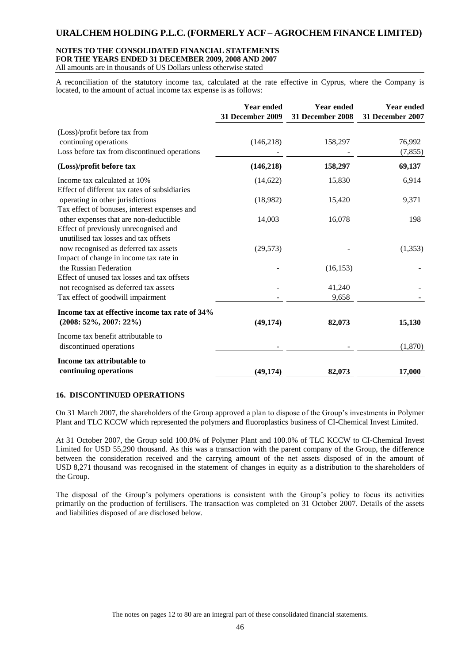### **NOTES TO THE CONSOLIDATED FINANCIAL STATEMENTS FOR THE YEARS ENDED 31 DECEMBER 2009, 2008 AND 2007**

All amounts are in thousands of US Dollars unless otherwise stated

A reconciliation of the statutory income tax, calculated at the rate effective in Cyprus, where the Company is located, to the amount of actual income tax expense is as follows:

|                                                                                                                          | <b>Year ended</b><br><b>31 December 2009</b> | <b>Year ended</b><br><b>31 December 2008</b> | <b>Year ended</b><br>31 December 2007 |
|--------------------------------------------------------------------------------------------------------------------------|----------------------------------------------|----------------------------------------------|---------------------------------------|
| (Loss)/profit before tax from<br>continuing operations<br>Loss before tax from discontinued operations                   | (146, 218)                                   | 158,297                                      | 76,992<br>(7, 855)                    |
| (Loss)/profit before tax                                                                                                 | (146,218)                                    | 158,297                                      | 69,137                                |
| Income tax calculated at 10%<br>Effect of different tax rates of subsidiaries                                            | (14,622)                                     | 15,830                                       | 6,914                                 |
| operating in other jurisdictions<br>Tax effect of bonuses, interest expenses and                                         | (18,982)                                     | 15,420                                       | 9,371                                 |
| other expenses that are non-deductible<br>Effect of previously unrecognised and<br>unutilised tax losses and tax offsets | 14,003                                       | 16,078                                       | 198                                   |
| now recognised as deferred tax assets<br>Impact of change in income tax rate in                                          | (29, 573)                                    |                                              | (1, 353)                              |
| the Russian Federation<br>Effect of unused tax losses and tax offsets                                                    |                                              | (16, 153)                                    |                                       |
| not recognised as deferred tax assets<br>Tax effect of goodwill impairment                                               |                                              | 41,240<br>9,658                              |                                       |
| Income tax at effective income tax rate of 34%<br>$(2008: 52\%, 2007: 22\%)$                                             | (49, 174)                                    | 82,073                                       | 15,130                                |
| Income tax benefit attributable to<br>discontinued operations                                                            |                                              |                                              | (1,870)                               |
| Income tax attributable to<br>continuing operations                                                                      | (49, 174)                                    | 82,073                                       | 17,000                                |

#### **16. DISCONTINUED OPERATIONS**

On 31 March 2007, the shareholders of the Group approved a plan to dispose of the Group's investments in Polymer Plant and TLC KCCW which represented the polymers and fluoroplastics business of CI-Chemical Invest Limited.

At 31 October 2007, the Group sold 100.0% of Polymer Plant and 100.0% of TLC KCCW to CI-Chemical Invest Limited for USD 55,290 thousand. As this was a transaction with the parent company of the Group, the difference between the consideration received and the carrying amount of the net assets disposed of in the amount of USD 8,271 thousand was recognised in the statement of changes in equity as a distribution to the shareholders of the Group.

The disposal of the Group's polymers operations is consistent with the Group's policy to focus its activities primarily on the production of fertilisers. The transaction was completed on 31 October 2007. Details of the assets and liabilities disposed of are disclosed below.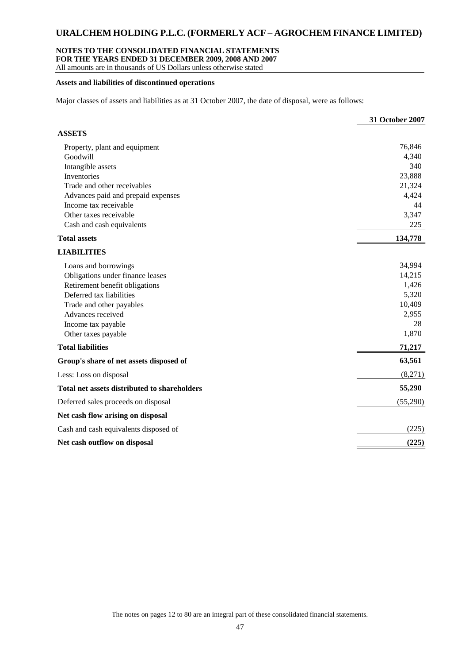#### **NOTES TO THE CONSOLIDATED FINANCIAL STATEMENTS**

**FOR THE YEARS ENDED 31 DECEMBER 2009, 2008 AND 2007**

All amounts are in thousands of US Dollars unless otherwise stated

#### **Assets and liabilities of discontinued operations**

Major classes of assets and liabilities as at 31 October 2007, the date of disposal, were as follows:

|                                              | 31 October 2007 |
|----------------------------------------------|-----------------|
| <b>ASSETS</b>                                |                 |
| Property, plant and equipment                | 76,846          |
| Goodwill                                     | 4,340           |
| Intangible assets                            | 340             |
| Inventories                                  | 23,888          |
| Trade and other receivables                  | 21,324          |
| Advances paid and prepaid expenses           | 4,424           |
| Income tax receivable                        | 44              |
| Other taxes receivable                       | 3,347           |
| Cash and cash equivalents                    | 225             |
| <b>Total assets</b>                          | 134,778         |
| <b>LIABILITIES</b>                           |                 |
| Loans and borrowings                         | 34,994          |
| Obligations under finance leases             | 14,215          |
| Retirement benefit obligations               | 1,426           |
| Deferred tax liabilities                     | 5,320           |
| Trade and other payables                     | 10,409          |
| Advances received                            | 2,955           |
| Income tax payable                           | 28              |
| Other taxes payable                          | 1,870           |
| <b>Total liabilities</b>                     | 71,217          |
| Group's share of net assets disposed of      | 63,561          |
| Less: Loss on disposal                       | (8,271)         |
| Total net assets distributed to shareholders | 55,290          |
| Deferred sales proceeds on disposal          | (55,290)        |
| Net cash flow arising on disposal            |                 |
| Cash and cash equivalents disposed of        | (225)           |
| Net cash outflow on disposal                 | (225)           |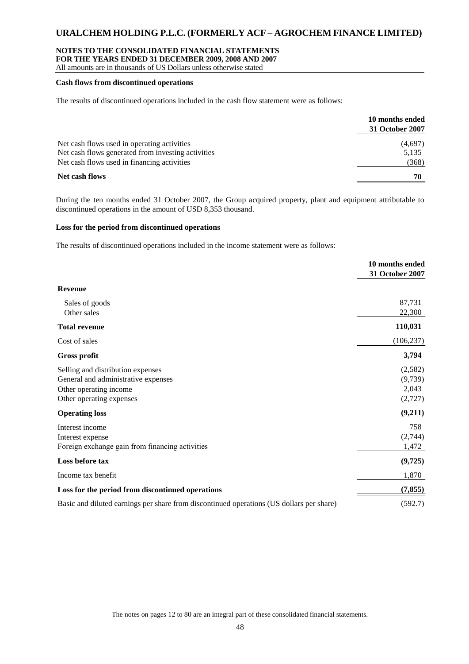#### **NOTES TO THE CONSOLIDATED FINANCIAL STATEMENTS**

**FOR THE YEARS ENDED 31 DECEMBER 2009, 2008 AND 2007**

All amounts are in thousands of US Dollars unless otherwise stated

#### **Cash flows from discontinued operations**

The results of discontinued operations included in the cash flow statement were as follows:

|                                                    | 10 months ended<br>31 October 2007 |
|----------------------------------------------------|------------------------------------|
| Net cash flows used in operating activities        | (4,697)                            |
| Net cash flows generated from investing activities | 5,135                              |
| Net cash flows used in financing activities        | (368)                              |
| Net cash flows                                     | 70                                 |

During the ten months ended 31 October 2007, the Group acquired property, plant and equipment attributable to discontinued operations in the amount of USD 8,353 thousand.

#### **Loss for the period from discontinued operations**

The results of discontinued operations included in the income statement were as follows:

|                                                                                                                                | 10 months ended<br>31 October 2007     |
|--------------------------------------------------------------------------------------------------------------------------------|----------------------------------------|
| <b>Revenue</b>                                                                                                                 |                                        |
| Sales of goods<br>Other sales                                                                                                  | 87,731<br>22,300                       |
| <b>Total revenue</b>                                                                                                           | 110,031                                |
| Cost of sales                                                                                                                  | (106, 237)                             |
| <b>Gross profit</b>                                                                                                            | 3,794                                  |
| Selling and distribution expenses<br>General and administrative expenses<br>Other operating income<br>Other operating expenses | (2,582)<br>(9,739)<br>2,043<br>(2,727) |
| <b>Operating loss</b>                                                                                                          | (9,211)                                |
| Interest income<br>Interest expense<br>Foreign exchange gain from financing activities                                         | 758<br>(2,744)<br>1,472                |
| Loss before tax                                                                                                                | (9,725)                                |
| Income tax benefit                                                                                                             | 1,870                                  |
| Loss for the period from discontinued operations                                                                               | (7, 855)                               |
| Basic and diluted earnings per share from discontinued operations (US dollars per share)                                       | (592.7)                                |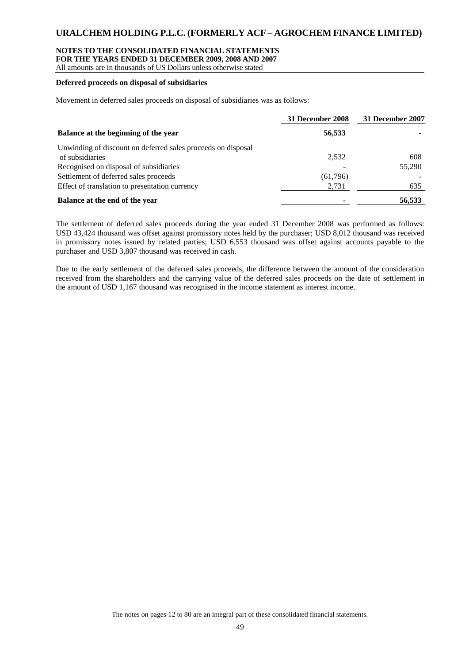#### **NOTES TO THE CONSOLIDATED FINANCIAL STATEMENTS**

**FOR THE YEARS ENDED 31 DECEMBER 2009, 2008 AND 2007**

All amounts are in thousands of US Dollars unless otherwise stated

#### **Deferred proceeds on disposal of subsidiaries**

Movement in deferred sales proceeds on disposal of subsidiaries was as follows:

|                                                              | 31 December 2008 | 31 December 2007 |
|--------------------------------------------------------------|------------------|------------------|
| Balance at the beginning of the year                         | 56,533           |                  |
| Unwinding of discount on deferred sales proceeds on disposal |                  |                  |
| of subsidiaries                                              | 2.532            | 608              |
| Recognised on disposal of subsidiaries                       | -                | 55,290           |
| Settlement of deferred sales proceeds                        | (61,796)         |                  |
| Effect of translation to presentation currency               | 2,731            | 635              |
| Balance at the end of the year                               | ۰                | 56,533           |

The settlement of deferred sales proceeds during the year ended 31 December 2008 was performed as follows: USD 43,424 thousand was offset against promissory notes held by the purchaser; USD 8,012 thousand was received in promissory notes issued by related parties; USD 6,553 thousand was offset against accounts payable to the purchaser and USD 3,807 thousand was received in cash.

Due to the early settlement of the deferred sales proceeds, the difference between the amount of the consideration received from the shareholders and the carrying value of the deferred sales proceeds on the date of settlement in the amount of USD 1,167 thousand was recognised in the income statement as interest income.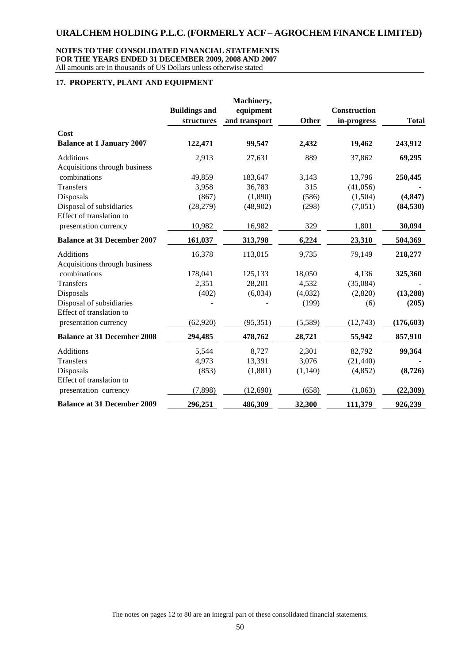#### **NOTES TO THE CONSOLIDATED FINANCIAL STATEMENTS FOR THE YEARS ENDED 31 DECEMBER 2009, 2008 AND 2007** All amounts are in thousands of US Dollars unless otherwise stated

#### **17. PROPERTY, PLANT AND EQUIPMENT**

|                                    |                      | Machinery,    |              |              |              |
|------------------------------------|----------------------|---------------|--------------|--------------|--------------|
|                                    | <b>Buildings and</b> | equipment     |              | Construction |              |
|                                    | structures           | and transport | <b>Other</b> | in-progress  | <b>Total</b> |
| Cost                               |                      |               |              |              |              |
| <b>Balance at 1 January 2007</b>   | 122,471              | 99,547        | 2,432        | 19,462       | 243,912      |
| <b>Additions</b>                   | 2,913                | 27,631        | 889          | 37,862       | 69,295       |
| Acquisitions through business      |                      |               |              |              |              |
| combinations                       | 49,859               | 183,647       | 3,143        | 13,796       | 250,445      |
| <b>Transfers</b>                   | 3,958                | 36,783        | 315          | (41,056)     |              |
| Disposals                          | (867)                | (1,890)       | (586)        | (1,504)      | (4, 847)     |
| Disposal of subsidiaries           | (28, 279)            | (48,902)      | (298)        | (7,051)      | (84, 530)    |
| Effect of translation to           |                      |               |              |              |              |
| presentation currency              | 10,982               | 16,982        | 329          | 1,801        | 30,094       |
| <b>Balance at 31 December 2007</b> | 161,037              | 313,798       | 6,224        | 23,310       | 504,369      |
| <b>Additions</b>                   | 16,378               | 113,015       | 9,735        | 79,149       | 218,277      |
| Acquisitions through business      |                      |               |              |              |              |
| combinations                       | 178,041              | 125,133       | 18,050       | 4,136        | 325,360      |
| Transfers                          | 2,351                | 28,201        | 4,532        | (35,084)     |              |
| Disposals                          | (402)                | (6,034)       | (4,032)      | (2,820)      | (13,288)     |
| Disposal of subsidiaries           |                      |               | (199)        | (6)          | (205)        |
| Effect of translation to           |                      |               |              |              |              |
| presentation currency              | (62, 920)            | (95, 351)     | (5,589)      | (12,743)     | (176, 603)   |
| <b>Balance at 31 December 2008</b> | 294,485              | 478,762       | 28,721       | 55,942       | 857,910      |
| <b>Additions</b>                   | 5,544                | 8,727         | 2,301        | 82,792       | 99,364       |
| Transfers                          | 4,973                | 13,391        | 3,076        | (21, 440)    |              |
| Disposals                          | (853)                | (1,881)       | (1,140)      | (4,852)      | (8, 726)     |
| Effect of translation to           |                      |               |              |              |              |
| presentation currency              | (7,898)              | (12,690)      | (658)        | (1,063)      | (22,309)     |
| <b>Balance at 31 December 2009</b> | 296,251              | 486,309       | 32,300       | 111,379      | 926,239      |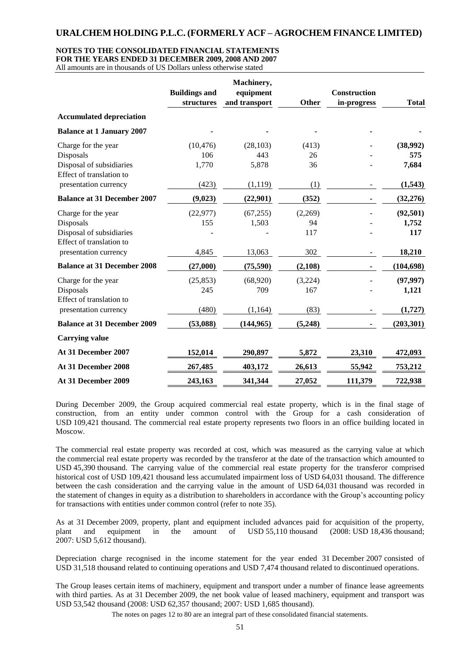#### **NOTES TO THE CONSOLIDATED FINANCIAL STATEMENTS**

**FOR THE YEARS ENDED 31 DECEMBER 2009, 2008 AND 2007**

All amounts are in thousands of US Dollars unless otherwise stated

|                                                      |                      | Machinery,    |         |                     |              |
|------------------------------------------------------|----------------------|---------------|---------|---------------------|--------------|
|                                                      | <b>Buildings and</b> | equipment     |         | <b>Construction</b> |              |
|                                                      | structures           | and transport | Other   | in-progress         | <b>Total</b> |
| <b>Accumulated depreciation</b>                      |                      |               |         |                     |              |
| <b>Balance at 1 January 2007</b>                     |                      |               |         |                     |              |
| Charge for the year                                  | (10, 476)            | (28, 103)     | (413)   |                     | (38,992)     |
| Disposals                                            | 106                  | 443           | 26      |                     | 575          |
| Disposal of subsidiaries<br>Effect of translation to | 1,770                | 5,878         | 36      |                     | 7,684        |
| presentation currency                                | (423)                | (1, 119)      | (1)     |                     | (1,543)      |
| <b>Balance at 31 December 2007</b>                   | (9,023)              | (22,901)      | (352)   |                     | (32, 276)    |
| Charge for the year                                  | (22, 977)            | (67, 255)     | (2,269) |                     | (92, 501)    |
| Disposals                                            | 155                  | 1,503         | 94      |                     | 1,752        |
| Disposal of subsidiaries<br>Effect of translation to |                      |               | 117     |                     | 117          |
| presentation currency                                | 4,845                | 13,063        | 302     |                     | 18,210       |
| <b>Balance at 31 December 2008</b>                   | (27,000)             | (75,590)      | (2,108) |                     | (104, 698)   |
| Charge for the year                                  | (25, 853)            | (68,920)      | (3,224) |                     | (97, 997)    |
| Disposals<br>Effect of translation to                | 245                  | 709           | 167     |                     | 1,121        |
| presentation currency                                | (480)                | (1, 164)      | (83)    |                     | (1,727)      |
| <b>Balance at 31 December 2009</b>                   | (53,088)             | (144, 965)    | (5,248) |                     | (203, 301)   |
| <b>Carrying value</b>                                |                      |               |         |                     |              |
| At 31 December 2007                                  | 152,014              | 290,897       | 5,872   | 23,310              | 472,093      |
| At 31 December 2008                                  | 267,485              | 403,172       | 26,613  | 55,942              | 753,212      |
| At 31 December 2009                                  | 243,163              | 341,344       | 27,052  | 111,379             | 722,938      |

During December 2009, the Group acquired commercial real estate property, which is in the final stage of construction, from an entity under common control with the Group for a cash consideration of USD 109,421 thousand. The commercial real estate property represents two floors in an office building located in Moscow.

The commercial real estate property was recorded at cost, which was measured as the carrying value at which the commercial real estate property was recorded by the transferor at the date of the transaction which amounted to USD 45,390 thousand. The carrying value of the commercial real estate property for the transferor comprised historical cost of USD 109,421 thousand less accumulated impairment loss of USD 64,031 thousand. The difference between the cash consideration and the carrying value in the amount of USD 64,031 thousand was recorded in the statement of changes in equity as a distribution to shareholders in accordance with the Group's accounting policy for transactions with entities under common control (refer to note 35).

As at 31 December 2009, property, plant and equipment included advances paid for acquisition of the property, plant and equipment in the amount of USD 55,110 thousand (2008: USD 18,436 thousand; 2007: USD 5,612 thousand).

Depreciation charge recognised in the income statement for the year ended 31 December 2007 consisted of USD 31,518 thousand related to continuing operations and USD 7,474 thousand related to discontinued operations.

The Group leases certain items of machinery, equipment and transport under a number of finance lease agreements with third parties. As at 31 December 2009, the net book value of leased machinery, equipment and transport was USD 53,542 thousand (2008: USD 62,357 thousand; 2007: USD 1,685 thousand).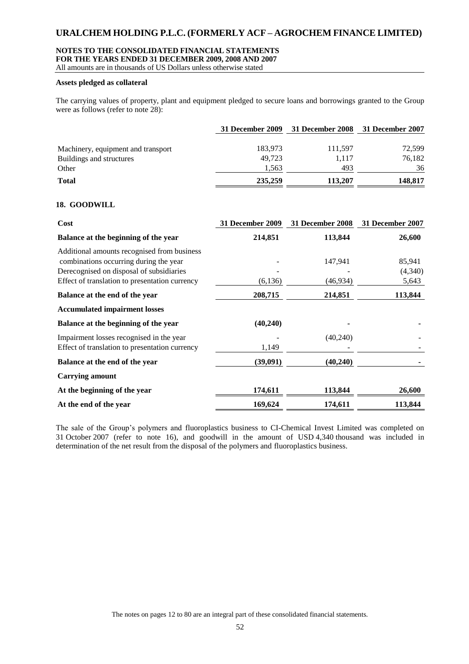#### **NOTES TO THE CONSOLIDATED FINANCIAL STATEMENTS**

**FOR THE YEARS ENDED 31 DECEMBER 2009, 2008 AND 2007**

All amounts are in thousands of US Dollars unless otherwise stated

#### **Assets pledged as collateral**

The carrying values of property, plant and equipment pledged to secure loans and borrowings granted to the Group were as follows (refer to note 28):

|                                    |         | 31 December 2009 31 December 2008 31 December 2007 |         |
|------------------------------------|---------|----------------------------------------------------|---------|
| Machinery, equipment and transport | 183,973 | 111,597                                            | 72.599  |
| Buildings and structures           | 49,723  | 1.117                                              | 76,182  |
| Other                              | 1,563   | 493                                                | 36      |
| <b>Total</b>                       | 235,259 | 113,207                                            | 148,817 |

#### **18. GOODWILL**

| Cost                                                                                                                              | <b>31 December 2009</b> | 31 December 2008    | 31 December 2007  |
|-----------------------------------------------------------------------------------------------------------------------------------|-------------------------|---------------------|-------------------|
| Balance at the beginning of the year                                                                                              | 214,851                 | 113,844             | 26,600            |
| Additional amounts recognised from business<br>combinations occurring during the year<br>Derecognised on disposal of subsidiaries |                         | 147.941             | 85,941<br>(4,340) |
| Effect of translation to presentation currency<br>Balance at the end of the year                                                  | (6,136)<br>208,715      | (46,934)<br>214,851 | 5,643<br>113,844  |
| <b>Accumulated impairment losses</b>                                                                                              |                         |                     |                   |
| Balance at the beginning of the year                                                                                              | (40,240)                |                     |                   |
| Impairment losses recognised in the year<br>Effect of translation to presentation currency                                        | 1,149                   | (40,240)            |                   |
| Balance at the end of the year                                                                                                    | (39,091)                | (40,240)            |                   |
| <b>Carrying amount</b>                                                                                                            |                         |                     |                   |
| At the beginning of the year                                                                                                      | 174,611                 | 113,844             | 26,600            |
| At the end of the year                                                                                                            | 169,624                 | 174,611             | 113,844           |

The sale of the Group's polymers and fluoroplastics business to CI-Chemical Invest Limited was completed on 31 October 2007 (refer to note 16), and goodwill in the amount of USD 4,340 thousand was included in determination of the net result from the disposal of the polymers and fluoroplastics business.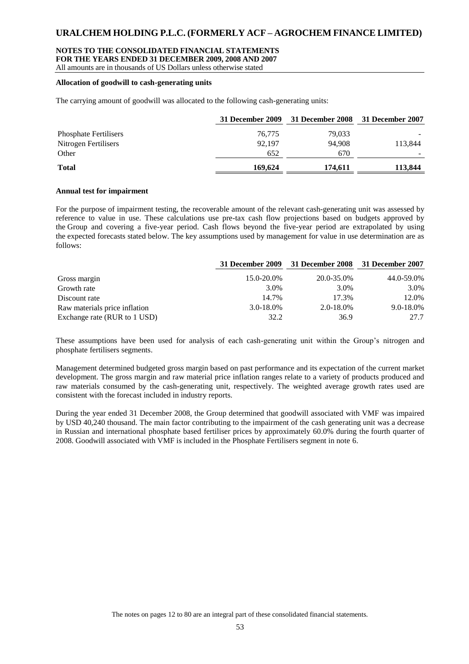#### **NOTES TO THE CONSOLIDATED FINANCIAL STATEMENTS**

**FOR THE YEARS ENDED 31 DECEMBER 2009, 2008 AND 2007**

All amounts are in thousands of US Dollars unless otherwise stated

#### **Allocation of goodwill to cash-generating units**

The carrying amount of goodwill was allocated to the following cash-generating units:

|                              | 31 December 2009 | 31 December 2008 31 December 2007 |         |
|------------------------------|------------------|-----------------------------------|---------|
| <b>Phosphate Fertilisers</b> | 76,775           | 79,033                            |         |
| Nitrogen Fertilisers         | 92.197           | 94.908                            | 113.844 |
| Other                        | 652              | 670                               |         |
| <b>Total</b>                 | 169.624          | 174,611                           | 113,844 |

#### **Annual test for impairment**

For the purpose of impairment testing, the recoverable amount of the relevant cash-generating unit was assessed by reference to value in use. These calculations use pre-tax cash flow projections based on budgets approved by the Group and covering a five-year period. Cash flows beyond the five-year period are extrapolated by using the expected forecasts stated below. The key assumptions used by management for value in use determination are as follows:

|                               |                | 31 December 2009 31 December 2008 31 December 2007 |            |
|-------------------------------|----------------|----------------------------------------------------|------------|
| Gross margin                  | 15.0-20.0%     | 20.0-35.0%                                         | 44.0-59.0% |
| Growth rate                   | 3.0%           | 3.0%                                               | 3.0%       |
| Discount rate                 | 14.7%          | 17.3%                                              | 12.0%      |
| Raw materials price inflation | $3.0 - 18.0\%$ | 2.0-18.0%                                          | 9.0-18.0%  |
| Exchange rate (RUR to 1 USD)  | 32.2           | 36.9                                               | 27.7       |

These assumptions have been used for analysis of each cash-generating unit within the Group's nitrogen and phosphate fertilisers segments.

Management determined budgeted gross margin based on past performance and its expectation of the current market development. The gross margin and raw material price inflation ranges relate to a variety of products produced and raw materials consumed by the cash-generating unit, respectively. The weighted average growth rates used are consistent with the forecast included in industry reports.

During the year ended 31 December 2008, the Group determined that goodwill associated with VMF was impaired by USD 40,240 thousand. The main factor contributing to the impairment of the cash generating unit was a decrease in Russian and international phosphate based fertiliser prices by approximately 60.0% during the fourth quarter of 2008. Goodwill associated with VMF is included in the Phosphate Fertilisers segment in note 6.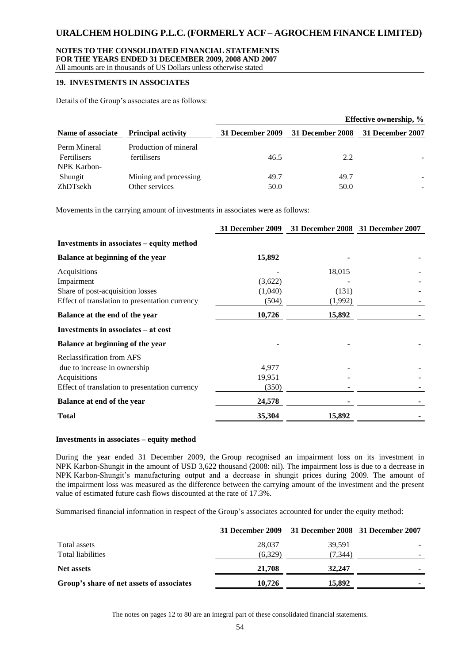# **NOTES TO THE CONSOLIDATED FINANCIAL STATEMENTS**

**FOR THE YEARS ENDED 31 DECEMBER 2009, 2008 AND 2007**

# All amounts are in thousands of US Dollars unless otherwise stated

### **19. INVESTMENTS IN ASSOCIATES**

Details of the Group's associates are as follows:

|                                                          |                                      |                  |                  | Effective ownership, % |
|----------------------------------------------------------|--------------------------------------|------------------|------------------|------------------------|
| <b>Principal activity</b><br>Name of associate           | 31 December 2009                     | 31 December 2008 | 31 December 2007 |                        |
| Perm Mineral<br><b>Fertilisers</b><br><b>NPK Karbon-</b> | Production of mineral<br>fertilisers | 46.5             | 2.2              |                        |
| Shungit                                                  | Mining and processing                | 49.7             | 49.7             |                        |
| ZhDTsekh                                                 | Other services                       | 50.0             | 50.0             | ۰                      |

Movements in the carrying amount of investments in associates were as follows:

|                                                |         | 31 December 2009 31 December 2008 31 December 2007 |  |
|------------------------------------------------|---------|----------------------------------------------------|--|
| Investments in associates – equity method      |         |                                                    |  |
| Balance at beginning of the year               | 15,892  |                                                    |  |
| Acquisitions                                   |         | 18,015                                             |  |
| Impairment                                     | (3,622) |                                                    |  |
| Share of post-acquisition losses               | (1,040) | (131)                                              |  |
| Effect of translation to presentation currency | (504)   | (1,992)                                            |  |
| Balance at the end of the year                 | 10,726  | 15,892                                             |  |
| Investments in associates – at cost            |         |                                                    |  |
| Balance at beginning of the year               |         |                                                    |  |
| Reclassification from AFS                      |         |                                                    |  |
| due to increase in ownership                   | 4.977   |                                                    |  |
| Acquisitions                                   | 19,951  |                                                    |  |
| Effect of translation to presentation currency | (350)   |                                                    |  |
| Balance at end of the year                     | 24,578  |                                                    |  |
| <b>Total</b>                                   | 35,304  | 15,892                                             |  |

#### **Investments in associates – equity method**

During the year ended 31 December 2009, the Group recognised an impairment loss on its investment in NPK Karbon-Shungit in the amount of USD 3,622 thousand (2008: nil). The impairment loss is due to a decrease in NPK Karbon-Shungit's manufacturing output and a decrease in shungit prices during 2009. The amount of the impairment loss was measured as the difference between the carrying amount of the investment and the present value of estimated future cash flows discounted at the rate of 17.3%.

Summarised financial information in respect of the Group's associates accounted for under the equity method:

|                                           | 31 December 2009 | 31 December 2008 31 December 2007 |  |
|-------------------------------------------|------------------|-----------------------------------|--|
| Total assets                              | 28,037           | 39.591                            |  |
| Total liabilities                         | (6,329)          | (7, 344)                          |  |
| <b>Net assets</b>                         | 21,708           | 32,247                            |  |
| Group's share of net assets of associates | 10.726           | 15,892                            |  |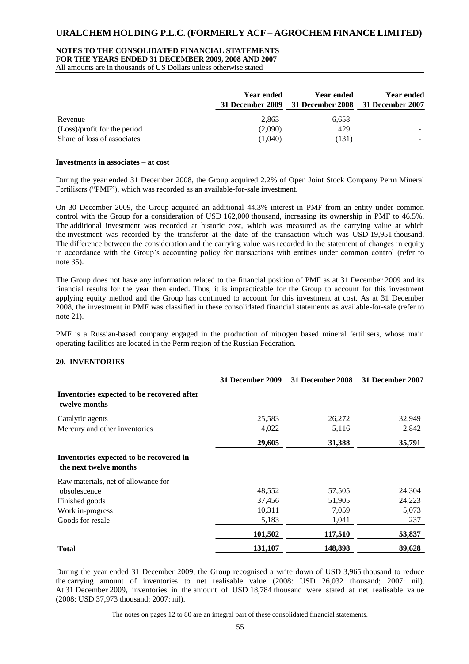#### **NOTES TO THE CONSOLIDATED FINANCIAL STATEMENTS**

**FOR THE YEARS ENDED 31 DECEMBER 2009, 2008 AND 2007**

All amounts are in thousands of US Dollars unless otherwise stated

|                              | <b>Year ended</b><br><b>31 December 2009</b> | Year ended<br>31 December 2008 31 December 2007 | <b>Year ended</b> |
|------------------------------|----------------------------------------------|-------------------------------------------------|-------------------|
| Revenue                      | 2.863                                        | 6,658                                           |                   |
| (Loss)/profit for the period | (2,090)                                      | 429                                             |                   |
| Share of loss of associates  | (1.040)                                      | (131)                                           |                   |

#### **Investments in associates – at cost**

During the year ended 31 December 2008, the Group acquired 2.2% of Open Joint Stock Company Perm Mineral Fertilisers ("PMF"), which was recorded as an available-for-sale investment.

On 30 December 2009, the Group acquired an additional 44.3% interest in PMF from an entity under common control with the Group for a consideration of USD 162,000 thousand, increasing its ownership in PMF to 46.5%. The additional investment was recorded at historic cost, which was measured as the carrying value at which the investment was recorded by the transferor at the date of the transaction which was USD 19,951 thousand. The difference between the consideration and the carrying value was recorded in the statement of changes in equity in accordance with the Group's accounting policy for transactions with entities under common control (refer to note 35).

The Group does not have any information related to the financial position of PMF as at 31 December 2009 and its financial results for the year then ended. Thus, it is impracticable for the Group to account for this investment applying equity method and the Group has continued to account for this investment at cost. As at 31 December 2008, the investment in PMF was classified in these consolidated financial statements as available-for-sale (refer to note 21).

PMF is a Russian-based company engaged in the production of nitrogen based mineral fertilisers, whose main operating facilities are located in the Perm region of the Russian Federation.

#### **20. INVENTORIES**

|                                                                   | <b>31 December 2009</b> | 31 December 2008 | 31 December 2007 |
|-------------------------------------------------------------------|-------------------------|------------------|------------------|
| Inventories expected to be recovered after<br>twelve months       |                         |                  |                  |
| Catalytic agents                                                  | 25,583                  | 26,272           | 32,949           |
| Mercury and other inventories                                     | 4,022                   | 5,116            | 2,842            |
|                                                                   | 29,605                  | 31,388           | 35,791           |
| Inventories expected to be recovered in<br>the next twelve months |                         |                  |                  |
| Raw materials, net of allowance for                               |                         |                  |                  |
| obsolescence                                                      | 48,552                  | 57,505           | 24,304           |
| Finished goods                                                    | 37,456                  | 51,905           | 24,223           |
| Work in-progress                                                  | 10,311                  | 7,059            | 5,073            |
| Goods for resale                                                  | 5,183                   | 1,041            | 237              |
|                                                                   | 101,502                 | 117,510          | 53,837           |
| <b>Total</b>                                                      | 131,107                 | 148,898          | 89,628           |

During the year ended 31 December 2009, the Group recognised a write down of USD 3,965 thousand to reduce the carrying amount of inventories to net realisable value (2008: USD 26,032 thousand; 2007: nil). At 31 December 2009, inventories in the amount of USD 18,784 thousand were stated at net realisable value (2008: USD 37,973 thousand; 2007: nil).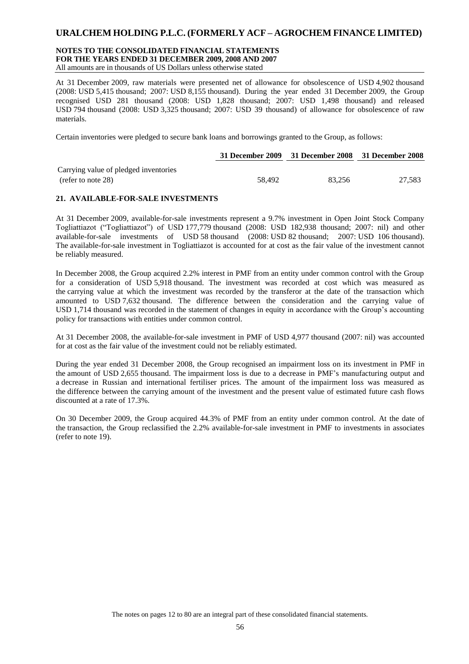#### **NOTES TO THE CONSOLIDATED FINANCIAL STATEMENTS FOR THE YEARS ENDED 31 DECEMBER 2009, 2008 AND 2007** All amounts are in thousands of US Dollars unless otherwise stated

At 31 December 2009, raw materials were presented net of allowance for obsolescence of USD 4,902 thousand (2008: USD 5,415 thousand; 2007: USD 8,155 thousand). During the year ended 31 December 2009, the Group recognised USD 281 thousand (2008: USD 1,828 thousand; 2007: USD 1,498 thousand) and released USD 794 thousand (2008: USD 3,325 thousand; 2007: USD 39 thousand) of allowance for obsolescence of raw materials.

Certain inventories were pledged to secure bank loans and borrowings granted to the Group, as follows:

|                                       |        | 31 December 2009 31 December 2008 31 December 2008 |        |
|---------------------------------------|--------|----------------------------------------------------|--------|
| Carrying value of pledged inventories |        |                                                    |        |
| (refer to note 28)                    | 58.492 | 83.256                                             | 27.583 |

#### **21. AVAILABLE-FOR-SALE INVESTMENTS**

At 31 December 2009, available-for-sale investments represent a 9.7% investment in Open Joint Stock Company Togliattiazot ("Togliattiazot") of USD 177,779 thousand (2008: USD 182,938 thousand; 2007: nil) and other available-for-sale investments of USD 58 thousand (2008: USD 82 thousand; 2007: USD 106 thousand). The available-for-sale investment in Togliattiazot is accounted for at cost as the fair value of the investment cannot be reliably measured.

In December 2008, the Group acquired 2.2% interest in PMF from an entity under common control with the Group for a consideration of USD 5,918 thousand. The investment was recorded at cost which was measured as the carrying value at which the investment was recorded by the transferor at the date of the transaction which amounted to USD 7,632 thousand. The difference between the consideration and the carrying value of USD 1,714 thousand was recorded in the statement of changes in equity in accordance with the Group's accounting policy for transactions with entities under common control.

At 31 December 2008, the available-for-sale investment in PMF of USD 4,977 thousand (2007: nil) was accounted for at cost as the fair value of the investment could not be reliably estimated.

During the year ended 31 December 2008, the Group recognised an impairment loss on its investment in PMF in the amount of USD 2,655 thousand. The impairment loss is due to a decrease in PMF's manufacturing output and a decrease in Russian and international fertiliser prices. The amount of the impairment loss was measured as the difference between the carrying amount of the investment and the present value of estimated future cash flows discounted at a rate of 17.3%.

On 30 December 2009, the Group acquired 44.3% of PMF from an entity under common control. At the date of the transaction, the Group reclassified the 2.2% available-for-sale investment in PMF to investments in associates (refer to note 19).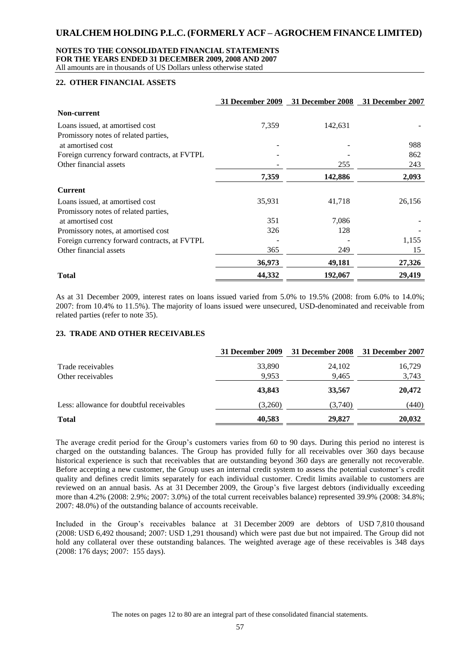### **NOTES TO THE CONSOLIDATED FINANCIAL STATEMENTS**

**FOR THE YEARS ENDED 31 DECEMBER 2009, 2008 AND 2007**

All amounts are in thousands of US Dollars unless otherwise stated

### **22. OTHER FINANCIAL ASSETS**

|                                              | 31 December 2009 |         | 31 December 2008 31 December 2007 |
|----------------------------------------------|------------------|---------|-----------------------------------|
| <b>Non-current</b>                           |                  |         |                                   |
| Loans issued, at amortised cost              | 7,359            | 142,631 |                                   |
| Promissory notes of related parties,         |                  |         |                                   |
| at amortised cost                            |                  |         | 988                               |
| Foreign currency forward contracts, at FVTPL |                  |         | 862                               |
| Other financial assets                       |                  | 255     | 243                               |
|                                              | 7,359            | 142,886 | 2,093                             |
| <b>Current</b>                               |                  |         |                                   |
| Loans issued, at amortised cost              | 35,931           | 41,718  | 26,156                            |
| Promissory notes of related parties,         |                  |         |                                   |
| at amortised cost                            | 351              | 7,086   |                                   |
| Promissory notes, at amortised cost          | 326              | 128     |                                   |
| Foreign currency forward contracts, at FVTPL |                  |         | 1,155                             |
| Other financial assets                       | 365              | 249     | 15                                |
|                                              | 36,973           | 49,181  | 27,326                            |
| <b>Total</b>                                 | 44,332           | 192,067 | 29,419                            |

As at 31 December 2009, interest rates on loans issued varied from 5.0% to 19.5% (2008: from 6.0% to 14.0%; 2007: from 10.4% to 11.5%). The majority of loans issued were unsecured, USD-denominated and receivable from related parties (refer to note 35).

#### **23. TRADE AND OTHER RECEIVABLES**

|                                          | 31 December 2009 | 31 December 2008 | 31 December 2007 |
|------------------------------------------|------------------|------------------|------------------|
| Trade receivables                        | 33,890           | 24,102           | 16,729           |
| Other receivables                        | 9,953            | 9,465            | 3,743            |
|                                          | 43,843           | 33,567           | 20,472           |
| Less: allowance for doubtful receivables | (3,260)          | (3,740)          | (440)            |
| <b>Total</b>                             | 40,583           | 29,827           | 20,032           |

The average credit period for the Group's customers varies from 60 to 90 days. During this period no interest is charged on the outstanding balances. The Group has provided fully for all receivables over 360 days because historical experience is such that receivables that are outstanding beyond 360 days are generally not recoverable. Before accepting a new customer, the Group uses an internal credit system to assess the potential customer's credit quality and defines credit limits separately for each individual customer. Credit limits available to customers are reviewed on an annual basis. As at 31 December 2009, the Group's five largest debtors (individually exceeding more than 4.2% (2008: 2.9%; 2007: 3.0%) of the total current receivables balance) represented 39.9% (2008: 34.8%; 2007: 48.0%) of the outstanding balance of accounts receivable.

Included in the Group's receivables balance at 31 December 2009 are debtors of USD 7,810 thousand (2008: USD 6,492 thousand; 2007: USD 1,291 thousand) which were past due but not impaired. The Group did not hold any collateral over these outstanding balances. The weighted average age of these receivables is 348 days (2008: 176 days; 2007: 155 days).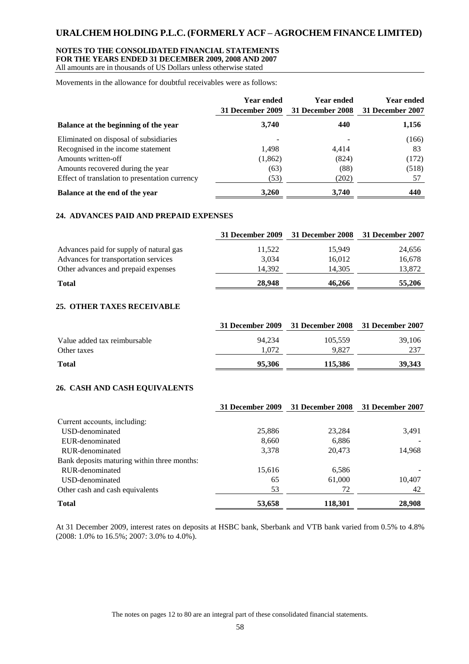#### **NOTES TO THE CONSOLIDATED FINANCIAL STATEMENTS FOR THE YEARS ENDED 31 DECEMBER 2009, 2008 AND 2007**

All amounts are in thousands of US Dollars unless otherwise stated

Movements in the allowance for doubtful receivables were as follows:

|                                                | <b>Year ended</b><br>31 December 2009 | <b>Year ended</b><br>31 December 2008 | <b>Year ended</b><br>31 December 2007 |
|------------------------------------------------|---------------------------------------|---------------------------------------|---------------------------------------|
| Balance at the beginning of the year           | 3,740                                 | 440                                   | 1,156                                 |
| Eliminated on disposal of subsidiaries         |                                       |                                       | (166)                                 |
| Recognised in the income statement             | 1,498                                 | 4.414                                 | 83                                    |
| Amounts written-off                            | (1,862)                               | (824)                                 | (172)                                 |
| Amounts recovered during the year              | (63)                                  | (88)                                  | (518)                                 |
| Effect of translation to presentation currency | (53)                                  | (202)                                 | 57                                    |
| Balance at the end of the year                 | 3,260                                 | 3,740                                 | 440                                   |

#### **24. ADVANCES PAID AND PREPAID EXPENSES**

|                                         | 31 December 2009 | 31 December 2008 31 December 2007 |        |
|-----------------------------------------|------------------|-----------------------------------|--------|
| Advances paid for supply of natural gas | 11,522           | 15.949                            | 24,656 |
| Advances for transportation services    | 3.034            | 16.012                            | 16,678 |
| Other advances and prepaid expenses     | 14.392           | 14.305                            | 13,872 |
| <b>Total</b>                            | 28,948           | 46.266                            | 55,206 |

### **25. OTHER TAXES RECEIVABLE**

|                              |        | 31 December 2009 31 December 2008 31 December 2007 |        |
|------------------------------|--------|----------------------------------------------------|--------|
| Value added tax reimbursable | 94.234 | 105.559                                            | 39,106 |
| Other taxes                  | 1.072  | 9.827                                              | 237    |
| <b>Total</b>                 | 95,306 | 115.386                                            | 39.343 |

#### **26. CASH AND CASH EQUIVALENTS**

|                                             | 31 December 2009 | 31 December 2008 | 31 December 2007 |
|---------------------------------------------|------------------|------------------|------------------|
| Current accounts, including:                |                  |                  |                  |
| USD-denominated                             | 25,886           | 23,284           | 3,491            |
| EUR-denominated                             | 8,660            | 6,886            |                  |
| RUR-denominated                             | 3,378            | 20.473           | 14,968           |
| Bank deposits maturing within three months: |                  |                  |                  |
| RUR-denominated                             | 15,616           | 6,586            |                  |
| USD-denominated                             | 65               | 61,000           | 10,407           |
| Other cash and cash equivalents             | 53               | 72               | 42               |
| <b>Total</b>                                | 53,658           | 118,301          | 28,908           |

At 31 December 2009, interest rates on deposits at HSBC bank, Sberbank and VTB bank varied from 0.5% to 4.8% (2008: 1.0% to 16.5%; 2007: 3.0% to 4.0%).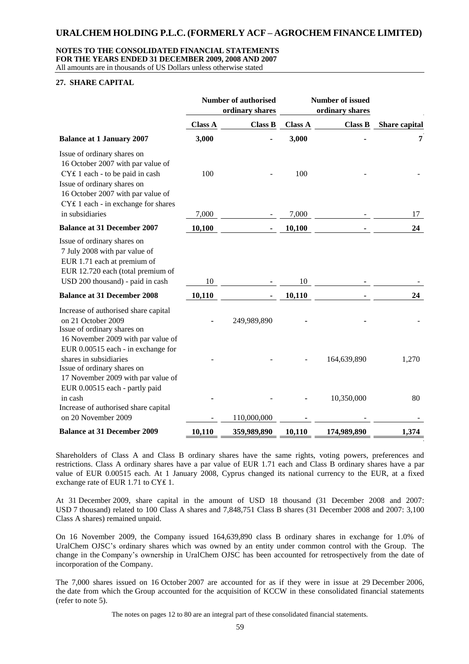#### **NOTES TO THE CONSOLIDATED FINANCIAL STATEMENTS FOR THE YEARS ENDED 31 DECEMBER 2009, 2008 AND 2007**

All amounts are in thousands of US Dollars unless otherwise stated

#### **27. SHARE CAPITAL**

|                                                                                                                                                                                                                |                | <b>Number of authorised</b><br>ordinary shares |                | <b>Number of issued</b><br>ordinary shares |               |
|----------------------------------------------------------------------------------------------------------------------------------------------------------------------------------------------------------------|----------------|------------------------------------------------|----------------|--------------------------------------------|---------------|
|                                                                                                                                                                                                                | <b>Class A</b> | <b>Class B</b>                                 | <b>Class A</b> | <b>Class B</b>                             | Share capital |
| <b>Balance at 1 January 2007</b>                                                                                                                                                                               | 3,000          |                                                | 3,000          |                                            | 7             |
| Issue of ordinary shares on<br>16 October 2007 with par value of<br>CY£ 1 each - to be paid in cash<br>Issue of ordinary shares on<br>16 October 2007 with par value of<br>CY£ 1 each - in exchange for shares | 100            |                                                | 100            |                                            |               |
| in subsidiaries                                                                                                                                                                                                | 7,000          |                                                | 7,000          |                                            | 17            |
| <b>Balance at 31 December 2007</b>                                                                                                                                                                             | 10,100         |                                                | 10,100         |                                            | 24            |
| Issue of ordinary shares on<br>7 July 2008 with par value of<br>EUR 1.71 each at premium of<br>EUR 12.720 each (total premium of<br>USD 200 thousand) - paid in cash                                           | 10             |                                                | 10             |                                            |               |
| <b>Balance at 31 December 2008</b>                                                                                                                                                                             | 10,110         |                                                | 10,110         |                                            | 24            |
| Increase of authorised share capital<br>on 21 October 2009<br>Issue of ordinary shares on<br>16 November 2009 with par value of                                                                                |                | 249,989,890                                    |                |                                            |               |
| EUR 0.00515 each - in exchange for<br>shares in subsidiaries<br>Issue of ordinary shares on<br>17 November 2009 with par value of                                                                              |                |                                                |                | 164,639,890                                | 1,270         |
| EUR 0.00515 each - partly paid<br>in cash<br>Increase of authorised share capital<br>on 20 November 2009                                                                                                       |                | 110,000,000                                    |                | 10,350,000                                 | 80            |
| <b>Balance at 31 December 2009</b>                                                                                                                                                                             | 10,110         | 359,989,890                                    | 10,110         | 174,989,890                                | 1,374         |
|                                                                                                                                                                                                                |                |                                                |                |                                            |               |

Shareholders of Class A and Class B ordinary shares have the same rights, voting powers, preferences and restrictions. Class A ordinary shares have a par value of EUR 1.71 each and Class B ordinary shares have a par value of EUR 0.00515 each. At 1 January 2008, Cyprus changed its national currency to the EUR, at a fixed exchange rate of EUR 1.71 to CY € 1.

At 31 December 2009, share capital in the amount of USD 18 thousand (31 December 2008 and 2007: USD 7 thousand) related to 100 Class A shares and 7,848,751 Class B shares (31 December 2008 and 2007: 3,100 Class A shares) remained unpaid.

On 16 November 2009, the Company issued 164,639,890 class B ordinary shares in exchange for 1.0% of UralChem OJSC's ordinary shares which was owned by an entity under common control with the Group. The change in the Company's ownership in UralChem OJSC has been accounted for retrospectively from the date of incorporation of the Company.

The 7,000 shares issued on 16 October 2007 are accounted for as if they were in issue at 29 December 2006, the date from which the Group accounted for the acquisition of KCCW in these consolidated financial statements (refer to note 5).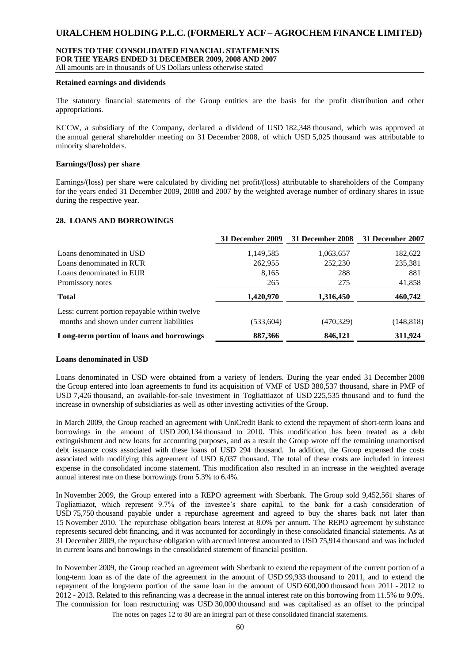#### **NOTES TO THE CONSOLIDATED FINANCIAL STATEMENTS FOR THE YEARS ENDED 31 DECEMBER 2009, 2008 AND 2007**

All amounts are in thousands of US Dollars unless otherwise stated

#### **Retained earnings and dividends**

The statutory financial statements of the Group entities are the basis for the profit distribution and other appropriations.

KCCW, a subsidiary of the Company, declared a dividend of USD 182,348 thousand, which was approved at the annual general shareholder meeting on 31 December 2008, of which USD 5,025 thousand was attributable to minority shareholders.

#### **Earnings/(loss) per share**

Earnings/(loss) per share were calculated by dividing net profit/(loss) attributable to shareholders of the Company for the years ended 31 December 2009, 2008 and 2007 by the weighted average number of ordinary shares in issue during the respective year.

#### **28. LOANS AND BORROWINGS**

|                                                                                             | 31 December 2009 | 31 December 2008 | 31 December 2007 |
|---------------------------------------------------------------------------------------------|------------------|------------------|------------------|
| Loans denominated in USD                                                                    | 1,149,585        | 1,063,657        | 182,622          |
| Loans denominated in RUR                                                                    | 262,955          | 252,230          | 235,381          |
| Loans denominated in EUR                                                                    | 8,165            | 288              | 881              |
| Promissory notes                                                                            | 265              | 275              | 41,858           |
| <b>Total</b>                                                                                | 1,420,970        | 1,316,450        | 460,742          |
| Less: current portion repayable within twelve<br>months and shown under current liabilities | (533,604)        | (470, 329)       | (148, 818)       |
| Long-term portion of loans and borrowings                                                   | 887,366          | 846,121          | 311,924          |

#### **Loans denominated in USD**

Loans denominated in USD were obtained from a variety of lenders. During the year ended 31 December 2008 the Group entered into loan agreements to fund its acquisition of VMF of USD 380,537 thousand, share in PMF of USD 7,426 thousand, an available-for-sale investment in Togliattiazot of USD 225,535 thousand and to fund the increase in ownership of subsidiaries as well as other investing activities of the Group.

In March 2009, the Group reached an agreement with UniCredit Bank to extend the repayment of short-term loans and borrowings in the amount of USD 200,134 thousand to 2010. This modification has been treated as a debt extinguishment and new loans for accounting purposes, and as a result the Group wrote off the remaining unamortised debt issuance costs associated with these loans of USD 294 thousand. In addition, the Group expensed the costs associated with modifying this agreement of USD 6,037 thousand. The total of these costs are included in interest expense in the consolidated income statement. This modification also resulted in an increase in the weighted average annual interest rate on these borrowings from 5.3% to 6.4%.

In November 2009, the Group entered into a REPO agreement with Sberbank. The Group sold 9,452,561 shares of Togliattiazot, which represent 9.7% of the investee's share capital, to the bank for a cash consideration of USD 75,750 thousand payable under a repurchase agreement and agreed to buy the shares back not later than 15 November 2010. The repurchase obligation bears interest at 8.0% per annum. The REPO agreement by substance represents secured debt financing, and it was accounted for accordingly in these consolidated financial statements. As at 31 December 2009, the repurchase obligation with accrued interest amounted to USD 75,914 thousand and was included in current loans and borrowings in the consolidated statement of financial position.

In November 2009, the Group reached an agreement with Sberbank to extend the repayment of the current portion of a long-term loan as of the date of the agreement in the amount of USD 99,933 thousand to 2011, and to extend the repayment of the long-term portion of the same loan in the amount of USD 600,000 thousand from 2011 - 2012 to 2012 - 2013. Related to this refinancing was a decrease in the annual interest rate on this borrowing from 11.5% to 9.0%. The commission for loan restructuring was USD 30,000 thousand and was capitalised as an offset to the principal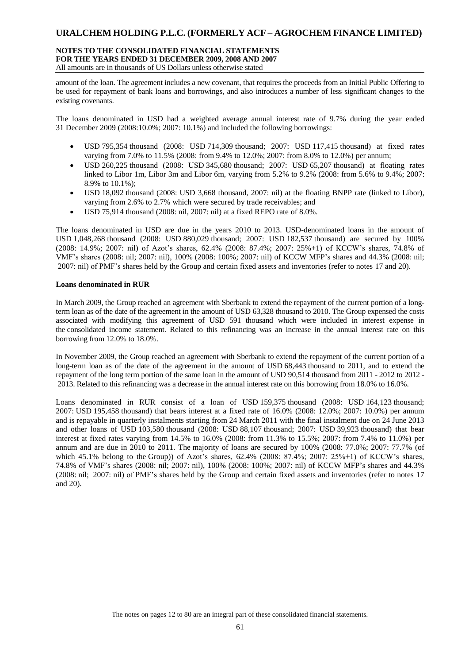#### **NOTES TO THE CONSOLIDATED FINANCIAL STATEMENTS FOR THE YEARS ENDED 31 DECEMBER 2009, 2008 AND 2007** All amounts are in thousands of US Dollars unless otherwise stated

amount of the loan. The agreement includes a new covenant, that requires the proceeds from an Initial Public Offering to be used for repayment of bank loans and borrowings, and also introduces a number of less significant changes to the existing covenants.

The loans denominated in USD had a weighted average annual interest rate of 9.7% during the year ended 31 December 2009 (2008:10.0%; 2007: 10.1%) and included the following borrowings:

- USD 795,354 thousand (2008: USD 714,309 thousand; 2007: USD 117,415 thousand) at fixed rates varying from 7.0% to 11.5% (2008: from 9.4% to 12.0%; 2007: from 8.0% to 12.0%) per annum;
- USD 260,225 thousand (2008: USD 345,680 thousand; 2007: USD 65,207 thousand) at floating rates linked to Libor 1m, Libor 3m and Libor 6m, varying from 5.2% to 9.2% (2008: from 5.6% to 9.4%; 2007: 8.9% to 10.1%);
- USD 18,092 thousand (2008: USD 3,668 thousand, 2007: nil) at the floating BNPP rate (linked to Libor), varying from 2.6% to 2.7% which were secured by trade receivables; and
- USD 75,914 thousand (2008: nil, 2007: nil) at a fixed REPO rate of 8.0%.

The loans denominated in USD are due in the years 2010 to 2013. USD-denominated loans in the amount of USD 1,048,268 thousand (2008: USD 880,029 thousand; 2007: USD 182,537 thousand) are secured by 100% (2008: 14.9%; 2007: nil) of Azot's shares, 62.4% (2008: 87.4%; 2007: 25%+1) of KCCW's shares, 74.8% of VMF's shares (2008: nil; 2007: nil), 100% (2008: 100%; 2007: nil) of KCCW MFP's shares and 44.3% (2008: nil; 2007: nil) of PMF's shares held by the Group and certain fixed assets and inventories (refer to notes 17 and 20).

#### **Loans denominated in RUR**

In March 2009, the Group reached an agreement with Sberbank to extend the repayment of the current portion of a longterm loan as of the date of the agreement in the amount of USD 63,328 thousand to 2010. The Group expensed the costs associated with modifying this agreement of USD 591 thousand which were included in interest expense in the consolidated income statement. Related to this refinancing was an increase in the annual interest rate on this borrowing from 12.0% to 18.0%.

In November 2009, the Group reached an agreement with Sberbank to extend the repayment of the current portion of a long-term loan as of the date of the agreement in the amount of USD 68,443 thousand to 2011, and to extend the repayment of the long term portion of the same loan in the amount of USD 90,514 thousand from 2011 - 2012 to 2012 - 2013. Related to this refinancing was a decrease in the annual interest rate on this borrowing from 18.0% to 16.0%.

Loans denominated in RUR consist of a loan of USD 159,375 thousand (2008: USD 164,123 thousand; 2007: USD 195,458 thousand) that bears interest at a fixed rate of 16.0% (2008: 12.0%; 2007: 10.0%) per annum and is repayable in quarterly instalments starting from 24 March 2011 with the final instalment due on 24 June 2013 and other loans of USD 103,580 thousand (2008: USD 88,107 thousand; 2007: USD 39,923 thousand) that bear interest at fixed rates varying from 14.5% to 16.0% (2008: from 11.3% to 15.5%; 2007: from 7.4% to 11.0%) per annum and are due in 2010 to 2011. The majority of loans are secured by 100% (2008: 77.0%; 2007: 77.7% (of which 45.1% belong to the Group)) of Azot's shares, 62.4% (2008: 87.4%; 2007: 25%+1) of KCCW's shares, 74.8% of VMF's shares (2008: nil; 2007: nil), 100% (2008: 100%; 2007: nil) of KCCW MFP's shares and 44.3% (2008: nil; 2007: nil) of PMF's shares held by the Group and certain fixed assets and inventories (refer to notes 17 and 20).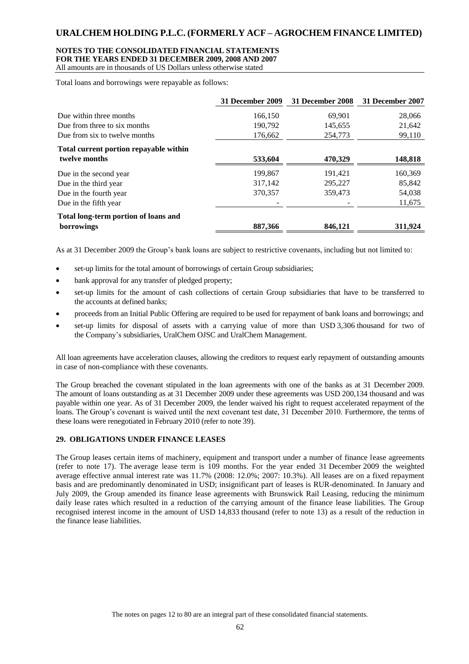### **NOTES TO THE CONSOLIDATED FINANCIAL STATEMENTS**

**FOR THE YEARS ENDED 31 DECEMBER 2009, 2008 AND 2007**

All amounts are in thousands of US Dollars unless otherwise stated

Total loans and borrowings were repayable as follows:

|                                                         | 31 December 2009 | 31 December 2008 | 31 December 2007 |
|---------------------------------------------------------|------------------|------------------|------------------|
| Due within three months                                 | 166,150          | 69,901           | 28,066           |
| Due from three to six months                            | 190.792          | 145,655          | 21,642           |
| Due from six to twelve months                           | 176,662          | 254,773          | 99,110           |
| Total current portion repayable within<br>twelve months | 533,604          | 470,329          | 148,818          |
| Due in the second year                                  | 199,867          | 191,421          | 160,369          |
| Due in the third year                                   | 317,142          | 295,227          | 85,842           |
| Due in the fourth year                                  | 370,357          | 359,473          | 54,038           |
| Due in the fifth year                                   |                  |                  | 11,675           |
| Total long-term portion of loans and                    |                  |                  |                  |
| borrowings                                              | 887,366          | 846,121          | 311,924          |

As at 31 December 2009 the Group's bank loans are subject to restrictive covenants, including but not limited to:

- set-up limits for the total amount of borrowings of certain Group subsidiaries;
- bank approval for any transfer of pledged property;
- set-up limits for the amount of cash collections of certain Group subsidiaries that have to be transferred to the accounts at defined banks;
- proceeds from an Initial Public Offering are required to be used for repayment of bank loans and borrowings; and
- set-up limits for disposal of assets with a carrying value of more than USD 3,306 thousand for two of the Company's subsidiaries, UralChem OJSC and UralChem Management.

All loan agreements have acceleration clauses, allowing the creditors to request early repayment of outstanding amounts in case of non-compliance with these covenants.

The Group breached the covenant stipulated in the loan agreements with one of the banks as at 31 December 2009. The amount of loans outstanding as at 31 December 2009 under these agreements was USD 200,134 thousand and was payable within one year. As of 31 December 2009, the lender waived his right to request accelerated repayment of the loans. The Group's covenant is waived until the next covenant test date, 31 December 2010. Furthermore, the terms of these loans were renegotiated in February 2010 (refer to note 39).

### **29. OBLIGATIONS UNDER FINANCE LEASES**

The Group leases certain items of machinery, equipment and transport under a number of finance lease agreements (refer to note 17). The average lease term is 109 months. For the year ended 31 December 2009 the weighted average effective annual interest rate was 11.7% (2008: 12.0%; 2007: 10.3%). All leases are on a fixed repayment basis and are predominantly denominated in USD; insignificant part of leases is RUR-denominated. In January and July 2009, the Group amended its finance lease agreements with Brunswick Rail Leasing, reducing the minimum daily lease rates which resulted in a reduction of the carrying amount of the finance lease liabilities. The Group recognised interest income in the amount of USD 14,833 thousand (refer to note 13) as a result of the reduction in the finance lease liabilities.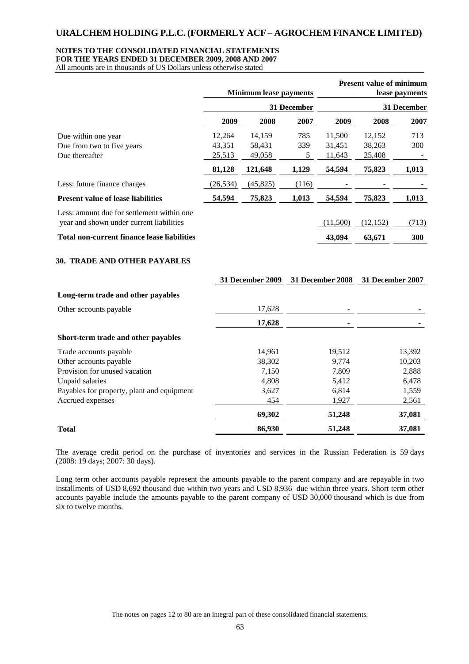#### **NOTES TO THE CONSOLIDATED FINANCIAL STATEMENTS**

**FOR THE YEARS ENDED 31 DECEMBER 2009, 2008 AND 2007**

All amounts are in thousands of US Dollars unless otherwise stated

|                                                                                        | <b>Minimum lease payments</b> |                  |             |                         | <b>Present value of minimum</b><br>lease payments |       |  |
|----------------------------------------------------------------------------------------|-------------------------------|------------------|-------------|-------------------------|---------------------------------------------------|-------|--|
|                                                                                        |                               |                  | 31 December | 31 December             |                                                   |       |  |
|                                                                                        | 2009                          | 2008             | 2007        | 2009                    | 2008                                              | 2007  |  |
| Due within one year                                                                    | 12,264                        | 14,159           | 785         | 11,500                  | 12,152                                            | 713   |  |
| Due from two to five years                                                             | 43,351                        | 58,431           | 339         | 31,451                  | 38,263                                            | 300   |  |
| Due thereafter                                                                         | 25,513                        | 49,058           | 5           | 11,643                  | 25,408                                            |       |  |
|                                                                                        | 81,128                        | 121,648          | 1,129       | 54,594                  | 75,823                                            | 1,013 |  |
| Less: future finance charges                                                           | (26, 534)                     | (45, 825)        | (116)       |                         |                                                   |       |  |
| <b>Present value of lease liabilities</b>                                              | 54,594                        | 75,823           | 1,013       | 54,594                  | 75,823                                            | 1,013 |  |
| Less: amount due for settlement within one<br>year and shown under current liabilities |                               |                  |             | (11,500)                | (12, 152)                                         | (713) |  |
| <b>Total non-current finance lease liabilities</b>                                     |                               |                  |             | 43,094                  | 63,671                                            | 300   |  |
| 30. TRADE AND OTHER PAYABLES                                                           |                               |                  |             |                         |                                                   |       |  |
|                                                                                        |                               | 31 December 2009 |             | <b>31 December 2008</b> | 31 December 2007                                  |       |  |
| Long-term trade and other payables                                                     |                               |                  |             |                         |                                                   |       |  |
| Other accounts payable                                                                 |                               | 17,628           |             |                         |                                                   |       |  |
|                                                                                        |                               | 17,628           |             |                         |                                                   |       |  |
| Short-term trade and other payables                                                    |                               |                  |             |                         |                                                   |       |  |

The average credit period on the purchase of inventories and services in the Russian Federation is 59 days (2008: 19 days; 2007: 30 days).

**Total 86,930 51,248 37,081**

**69,302 51,248 37,081**

Trade accounts payable 14,961 19,512 13,392 Other accounts payable 38,302 9,774 10,203 Provision for unused vacation and the contract of the contract of the contract of the contract of the contract of the contract of the contract of the contract of the contract of the contract of the contract of the contract Unpaid salaries 6,478 6,478 6,478 6,478 6,478 6,478 6,478 6,478 6,478 6,478 6,478 6,478 6,478 6,478 6,478 6,478 6,478 6,478 6,478 6,478 6,478 6,478 6,478 6,478 6,478 6,478 6,478 6,478 6,478 6,478 6,478 6,478 6,478 6,478 6, Payables for property, plant and equipment 3,627 6,814 1,559 Accrued expenses 454 1,927 2,561

Long term other accounts payable represent the amounts payable to the parent company and are repayable in two installments of USD 8,692 thousand due within two years and USD 8,936 due within three years. Short term other accounts payable include the amounts payable to the parent company of USD 30,000 thousand which is due from six to twelve months.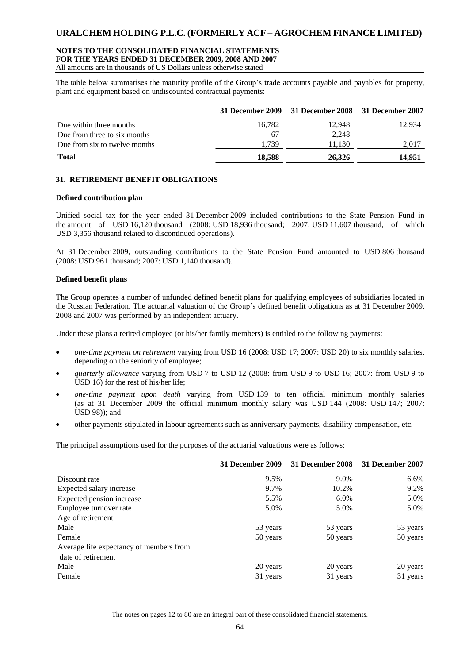#### **NOTES TO THE CONSOLIDATED FINANCIAL STATEMENTS FOR THE YEARS ENDED 31 DECEMBER 2009, 2008 AND 2007**

All amounts are in thousands of US Dollars unless otherwise stated

The table below summarises the maturity profile of the Group's trade accounts payable and payables for property, plant and equipment based on undiscounted contractual payments:

|                               | 31 December 2009 | 31 December 2008 31 December 2007 |        |
|-------------------------------|------------------|-----------------------------------|--------|
| Due within three months       | 16.782           | 12.948                            | 12.934 |
| Due from three to six months  | 67               | 2,248                             |        |
| Due from six to twelve months | 1.739            | 11.130                            | 2,017  |
| <b>Total</b>                  | 18.588           | 26.326                            | 14.951 |

#### **31. RETIREMENT BENEFIT OBLIGATIONS**

#### **Defined contribution plan**

Unified social tax for the year ended 31 December 2009 included contributions to the State Pension Fund in the amount of USD 16,120 thousand (2008: USD 18,936 thousand; 2007: USD 11,607 thousand, of which USD 3,356 thousand related to discontinued operations).

At 31 December 2009, outstanding contributions to the State Pension Fund amounted to USD 806 thousand (2008: USD 961 thousand; 2007: USD 1,140 thousand).

#### **Defined benefit plans**

The Group operates a number of unfunded defined benefit plans for qualifying employees of subsidiaries located in the Russian Federation. The actuarial valuation of the Group's defined benefit obligations as at 31 December 2009, 2008 and 2007 was performed by an independent actuary.

Under these plans a retired employee (or his/her family members) is entitled to the following payments:

- *one-time payment on retirement* varying from USD 16 (2008: USD 17; 2007: USD 20) to six monthly salaries, depending on the seniority of employee;
- *quarterly allowance* varying from USD 7 to USD 12 (2008: from USD 9 to USD 16; 2007: from USD 9 to USD 16) for the rest of his/her life;
- *one-time payment upon death* varying from USD 139 to ten official minimum monthly salaries (as at 31 December 2009 the official minimum monthly salary was USD 144 (2008: USD 147; 2007: USD 98)); and
- other payments stipulated in labour agreements such as anniversary payments, disability compensation, etc.

The principal assumptions used for the purposes of the actuarial valuations were as follows:

|                                         | <b>31 December 2009</b> | 31 December 2008 | 31 December 2007 |
|-----------------------------------------|-------------------------|------------------|------------------|
| Discount rate                           | 9.5%                    | 9.0%             | 6.6%             |
| Expected salary increase                | 9.7%                    | 10.2%            | 9.2%             |
| Expected pension increase               | 5.5%                    | $6.0\%$          | 5.0%             |
| Employee turnover rate                  | 5.0%                    | 5.0%             | 5.0%             |
| Age of retirement                       |                         |                  |                  |
| Male                                    | 53 years                | 53 years         | 53 years         |
| Female                                  | 50 years                | 50 years         | 50 years         |
| Average life expectancy of members from |                         |                  |                  |
| date of retirement                      |                         |                  |                  |
| Male                                    | 20 years                | 20 years         | 20 years         |
| Female                                  | 31 years                | 31 years         | 31 years         |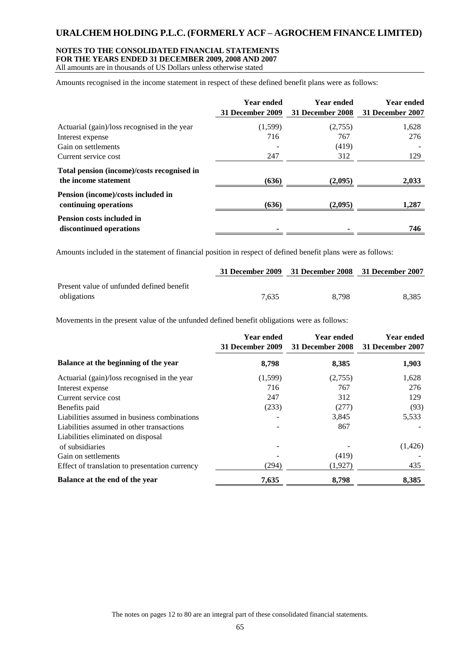#### **NOTES TO THE CONSOLIDATED FINANCIAL STATEMENTS FOR THE YEARS ENDED 31 DECEMBER 2009, 2008 AND 2007**

All amounts are in thousands of US Dollars unless otherwise stated

Amounts recognised in the income statement in respect of these defined benefit plans were as follows:

|                                                                    | <b>Year ended</b><br>31 December 2009 | <b>Year ended</b><br>31 December 2008 | <b>Year ended</b><br>31 December 2007 |
|--------------------------------------------------------------------|---------------------------------------|---------------------------------------|---------------------------------------|
| Actuarial (gain)/loss recognised in the year                       | (1,599)                               | (2,755)                               | 1,628                                 |
| Interest expense                                                   | 716                                   | 767                                   | 276                                   |
| Gain on settlements                                                |                                       | (419)                                 |                                       |
| Current service cost                                               | 247                                   | 312                                   | 129                                   |
| Total pension (income)/costs recognised in<br>the income statement | (636)                                 | (2,095)                               | 2,033                                 |
| Pension (income)/costs included in<br>continuing operations        | (636)                                 | (2,095)                               | 1,287                                 |
| <b>Pension costs included in</b><br>discontinued operations        |                                       |                                       | 746                                   |

Amounts included in the statement of financial position in respect of defined benefit plans were as follows:

|                                           |       | 31 December 2009 31 December 2008 31 December 2007 |       |
|-------------------------------------------|-------|----------------------------------------------------|-------|
| Present value of unfunded defined benefit |       |                                                    |       |
| obligations                               | 7.635 | 8.798                                              | 8.385 |

Movements in the present value of the unfunded defined benefit obligations were as follows:

|                                                | <b>Year ended</b><br>31 December 2009 | <b>Year ended</b><br>31 December 2008 | <b>Year ended</b><br>31 December 2007 |
|------------------------------------------------|---------------------------------------|---------------------------------------|---------------------------------------|
| Balance at the beginning of the year           | 8,798                                 | 8,385                                 | 1,903                                 |
| Actuarial (gain)/loss recognised in the year   | (1,599)                               | (2,755)                               | 1,628                                 |
| Interest expense                               | 716                                   | 767                                   | 276                                   |
| Current service cost                           | 247                                   | 312                                   | 129                                   |
| Benefits paid                                  | (233)                                 | (277)                                 | (93)                                  |
| Liabilities assumed in business combinations   |                                       | 3,845                                 | 5,533                                 |
| Liabilities assumed in other transactions      |                                       | 867                                   |                                       |
| Liabilities eliminated on disposal             |                                       |                                       |                                       |
| of subsidiaries                                |                                       |                                       | (1,426)                               |
| Gain on settlements                            |                                       | (419)                                 |                                       |
| Effect of translation to presentation currency | (294)                                 | (1,927)                               | 435                                   |
| Balance at the end of the year                 | 7,635                                 | 8,798                                 | 8,385                                 |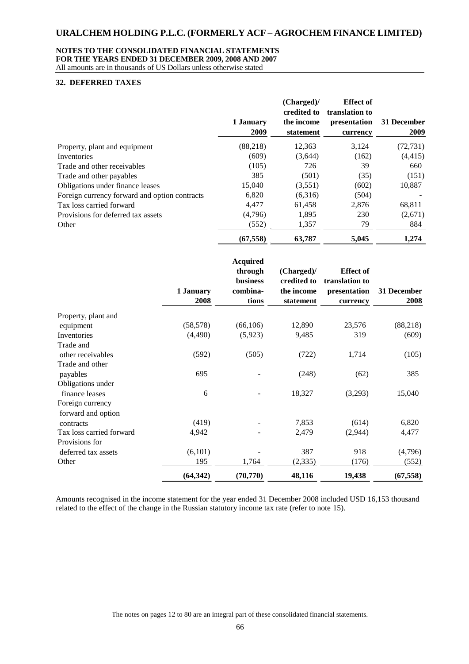#### **NOTES TO THE CONSOLIDATED FINANCIAL STATEMENTS FOR THE YEARS ENDED 31 DECEMBER 2009, 2008 AND 2007**

All amounts are in thousands of US Dollars unless otherwise stated

#### **32. DEFERRED TAXES**

|                                               | 1 January<br>2009 | (Charged)<br>credited to<br>the income<br>statement | <b>Effect of</b><br>translation to<br>presentation<br>currency | 31 December<br>2009 |
|-----------------------------------------------|-------------------|-----------------------------------------------------|----------------------------------------------------------------|---------------------|
| Property, plant and equipment                 | (88,218)          | 12,363                                              | 3,124                                                          | (72, 731)           |
| Inventories                                   | (609)             | (3,644)                                             | (162)                                                          | (4, 415)            |
| Trade and other receivables                   | (105)             | 726                                                 | 39                                                             | 660                 |
| Trade and other payables                      | 385               | (501)                                               | (35)                                                           | (151)               |
| Obligations under finance leases              | 15,040            | (3,551)                                             | (602)                                                          | 10,887              |
| Foreign currency forward and option contracts | 6,820             | (6,316)                                             | (504)                                                          |                     |
| Tax loss carried forward                      | 4.477             | 61,458                                              | 2,876                                                          | 68,811              |
| Provisions for deferred tax assets            | (4,796)           | 1,895                                               | 230                                                            | (2,671)             |
| Other                                         | (552)             | 1,357                                               | 79                                                             | 884                 |
|                                               | (67, 558)         | 63,787                                              | 5,045                                                          | 1,274               |

|                          | 1 January<br>2008 | <b>Acquired</b><br>through<br><b>business</b><br>combina-<br>tions | (Charged)/<br>credited to<br>the income<br>statement | <b>Effect of</b><br>translation to<br>presentation<br>currency | 31 December<br>2008 |
|--------------------------|-------------------|--------------------------------------------------------------------|------------------------------------------------------|----------------------------------------------------------------|---------------------|
| Property, plant and      |                   |                                                                    |                                                      |                                                                |                     |
| equipment                | (58, 578)         | (66, 106)                                                          | 12,890                                               | 23,576                                                         | (88, 218)           |
| Inventories              | (4,490)           | (5,923)                                                            | 9,485                                                | 319                                                            | (609)               |
| Trade and                |                   |                                                                    |                                                      |                                                                |                     |
| other receivables        | (592)             | (505)                                                              | (722)                                                | 1,714                                                          | (105)               |
| Trade and other          |                   |                                                                    |                                                      |                                                                |                     |
| payables                 | 695               |                                                                    | (248)                                                | (62)                                                           | 385                 |
| Obligations under        |                   |                                                                    |                                                      |                                                                |                     |
| finance leases           | 6                 |                                                                    | 18,327                                               | (3,293)                                                        | 15,040              |
| Foreign currency         |                   |                                                                    |                                                      |                                                                |                     |
| forward and option       |                   |                                                                    |                                                      |                                                                |                     |
| contracts                | (419)             |                                                                    | 7,853                                                | (614)                                                          | 6,820               |
| Tax loss carried forward | 4,942             |                                                                    | 2,479                                                | (2,944)                                                        | 4,477               |
| Provisions for           |                   |                                                                    |                                                      |                                                                |                     |
| deferred tax assets      | (6,101)           |                                                                    | 387                                                  | 918                                                            | (4,796)             |
| Other                    | 195               | 1,764                                                              | (2, 335)                                             | (176)                                                          | (552)               |
|                          | (64, 342)         | (70, 770)                                                          | 48,116                                               | 19,438                                                         | (67, 558)           |

Amounts recognised in the income statement for the year ended 31 December 2008 included USD 16,153 thousand related to the effect of the change in the Russian statutory income tax rate (refer to note 15).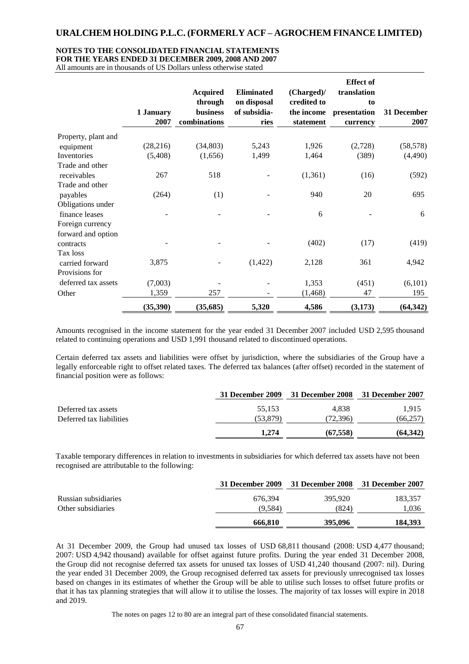#### **NOTES TO THE CONSOLIDATED FINANCIAL STATEMENTS**

**FOR THE YEARS ENDED 31 DECEMBER 2009, 2008 AND 2007**

All amounts are in thousands of US Dollars unless otherwise stated

|                     | 1 January | <b>Acquired</b><br>through<br>business | <b>Eliminated</b><br>on disposal<br>of subsidia- | (Charged)/<br>credited to<br>the income | <b>Effect of</b><br>translation<br>to<br>presentation | 31 December |
|---------------------|-----------|----------------------------------------|--------------------------------------------------|-----------------------------------------|-------------------------------------------------------|-------------|
|                     | 2007      | combinations                           | ries                                             | statement                               | currency                                              | 2007        |
| Property, plant and |           |                                        |                                                  |                                         |                                                       |             |
| equipment           | (28, 216) | (34, 803)                              | 5,243                                            | 1,926                                   | (2,728)                                               | (58, 578)   |
| Inventories         | (5,408)   | (1,656)                                | 1,499                                            | 1,464                                   | (389)                                                 | (4,490)     |
| Trade and other     |           |                                        |                                                  |                                         |                                                       |             |
| receivables         | 267       | 518                                    |                                                  | (1,361)                                 | (16)                                                  | (592)       |
| Trade and other     |           |                                        |                                                  |                                         |                                                       |             |
| payables            | (264)     | (1)                                    |                                                  | 940                                     | 20                                                    | 695         |
| Obligations under   |           |                                        |                                                  |                                         |                                                       |             |
| finance leases      |           |                                        |                                                  | 6                                       |                                                       | 6           |
| Foreign currency    |           |                                        |                                                  |                                         |                                                       |             |
| forward and option  |           |                                        |                                                  |                                         |                                                       |             |
| contracts           |           |                                        |                                                  | (402)                                   | (17)                                                  | (419)       |
| Tax loss            |           |                                        |                                                  |                                         |                                                       |             |
| carried forward     | 3,875     |                                        | (1, 422)                                         | 2,128                                   | 361                                                   | 4,942       |
| Provisions for      |           |                                        |                                                  |                                         |                                                       |             |
| deferred tax assets | (7,003)   |                                        |                                                  | 1,353                                   | (451)                                                 | (6,101)     |
| Other               | 1,359     | 257                                    |                                                  | (1, 468)                                | 47                                                    | 195         |
|                     | (35,390)  | (35, 685)                              | 5,320                                            | 4,586                                   | (3, 173)                                              | (64, 342)   |

Amounts recognised in the income statement for the year ended 31 December 2007 included USD 2,595 thousand related to continuing operations and USD 1,991 thousand related to discontinued operations.

Certain deferred tax assets and liabilities were offset by jurisdiction, where the subsidiaries of the Group have a legally enforceable right to offset related taxes. The deferred tax balances (after offset) recorded in the statement of financial position were as follows:

|                          |          | 31 December 2009 31 December 2008 31 December 2007 |          |
|--------------------------|----------|----------------------------------------------------|----------|
| Deferred tax assets      | 55.153   | 4.838                                              | 1.915    |
| Deferred tax liabilities | (53.879) | (72.396)                                           | (66,257) |
|                          | 1.274    | (67.558)                                           | (64,342) |

Taxable temporary differences in relation to investments in subsidiaries for which deferred tax assets have not been recognised are attributable to the following:

|                      |         | 31 December 2009 31 December 2008 31 December 2007 |         |
|----------------------|---------|----------------------------------------------------|---------|
| Russian subsidiaries | 676.394 | 395,920                                            | 183.357 |
| Other subsidiaries   | (9.584) | (824)                                              | l.036   |
|                      | 666,810 | 395,096                                            | 184,393 |

At 31 December 2009, the Group had unused tax losses of USD 68,811 thousand (2008: USD 4,477 thousand; 2007: USD 4,942 thousand) available for offset against future profits. During the year ended 31 December 2008, the Group did not recognise deferred tax assets for unused tax losses of USD 41,240 thousand (2007: nil). During the year ended 31 December 2009, the Group recognised deferred tax assets for previously unrecognised tax losses based on changes in its estimates of whether the Group will be able to utilise such losses to offset future profits or that it has tax planning strategies that will allow it to utilise the losses. The majority of tax losses will expire in 2018 and 2019.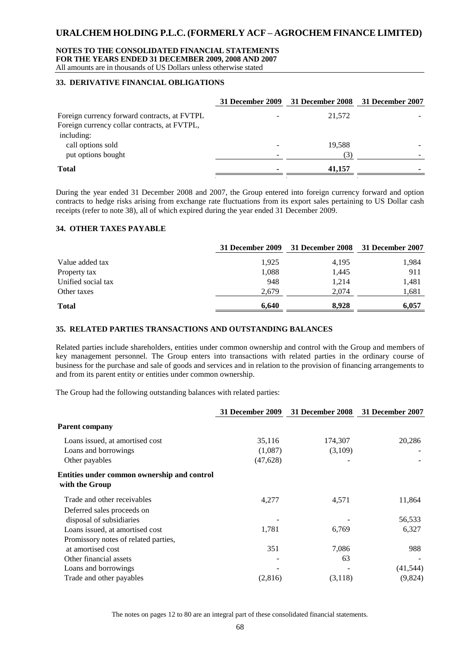#### **NOTES TO THE CONSOLIDATED FINANCIAL STATEMENTS FOR THE YEARS ENDED 31 DECEMBER 2009, 2008 AND 2007** All amounts are in thousands of US Dollars unless otherwise stated

#### **33. DERIVATIVE FINANCIAL OBLIGATIONS**

|                                                                                              | 31 December 2009 31 December 2008 | 31 December 2007 |
|----------------------------------------------------------------------------------------------|-----------------------------------|------------------|
| Foreign currency forward contracts, at FVTPL<br>Foreign currency collar contracts, at FVTPL, | 21.572                            |                  |
| including:                                                                                   |                                   |                  |
| call options sold<br>put options bought                                                      | 19.588                            |                  |
| <b>Total</b>                                                                                 | 41,157                            |                  |

During the year ended 31 December 2008 and 2007, the Group entered into foreign currency forward and option contracts to hedge risks arising from exchange rate fluctuations from its export sales pertaining to US Dollar cash receipts (refer to note 38), all of which expired during the year ended 31 December 2009.

#### **34. OTHER TAXES PAYABLE**

|                    | 31 December 2009 | <b>31 December 2008</b> | 31 December 2007 |
|--------------------|------------------|-------------------------|------------------|
| Value added tax    | 1.925            | 4,195                   | 1,984            |
| Property tax       | 1,088            | 1,445                   | 911              |
| Unified social tax | 948              | 1.214                   | 1,481            |
| Other taxes        | 2,679            | 2,074                   | 1,681            |
| <b>Total</b>       | 6,640            | 8.928                   | 6,057            |

### **35. RELATED PARTIES TRANSACTIONS AND OUTSTANDING BALANCES**

Related parties include shareholders, entities under common ownership and control with the Group and members of key management personnel. The Group enters into transactions with related parties in the ordinary course of business for the purchase and sale of goods and services and in relation to the provision of financing arrangements to and from its parent entity or entities under common ownership.

The Group had the following outstanding balances with related parties:

|                                                               | <b>31 December 2009</b> | <b>31 December 2008</b> | 31 December 2007 |
|---------------------------------------------------------------|-------------------------|-------------------------|------------------|
| <b>Parent company</b>                                         |                         |                         |                  |
| Loans issued, at amortised cost                               | 35,116                  | 174,307                 | 20,286           |
| Loans and borrowings                                          | (1,087)                 | (3,109)                 |                  |
| Other payables                                                | (47, 628)               |                         |                  |
| Entities under common ownership and control<br>with the Group |                         |                         |                  |
| Trade and other receivables                                   | 4,277                   | 4,571                   | 11,864           |
| Deferred sales proceeds on                                    |                         |                         |                  |
| disposal of subsidiaries                                      |                         |                         | 56,533           |
| Loans issued, at amortised cost                               | 1,781                   | 6,769                   | 6,327            |
| Promissory notes of related parties,                          |                         |                         |                  |
| at amortised cost                                             | 351                     | 7,086                   | 988              |
| Other financial assets                                        |                         | 63                      |                  |
| Loans and borrowings                                          |                         |                         | (41, 544)        |
| Trade and other payables                                      | (2,816)                 | (3,118)                 | (9,824)          |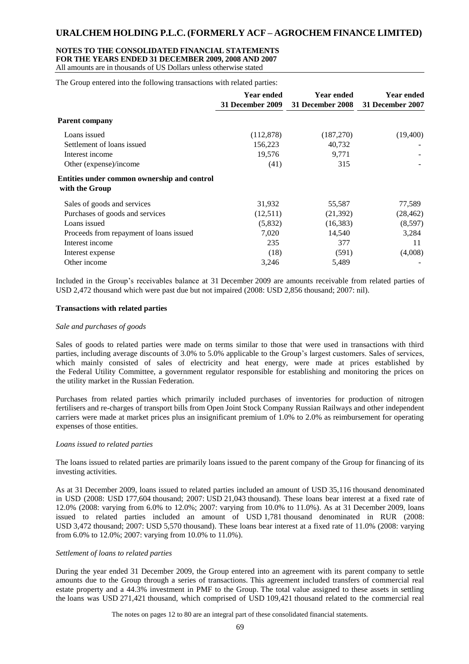### **NOTES TO THE CONSOLIDATED FINANCIAL STATEMENTS FOR THE YEARS ENDED 31 DECEMBER 2009, 2008 AND 2007**

All amounts are in thousands of US Dollars unless otherwise stated

The Group entered into the following transactions with related parties:

|                                                               | <b>Year ended</b><br>31 December 2009 | <b>Year ended</b><br>31 December 2008 | <b>Year ended</b><br>31 December 2007 |
|---------------------------------------------------------------|---------------------------------------|---------------------------------------|---------------------------------------|
| <b>Parent company</b>                                         |                                       |                                       |                                       |
| Loans issued                                                  | (112, 878)                            | (187,270)                             | (19,400)                              |
| Settlement of loans issued                                    | 156,223                               | 40,732                                |                                       |
| Interest income                                               | 19,576                                | 9,771                                 |                                       |
| Other (expense)/income                                        | (41)                                  | 315                                   |                                       |
| Entities under common ownership and control<br>with the Group |                                       |                                       |                                       |
| Sales of goods and services                                   | 31,932                                | 55,587                                | 77,589                                |
| Purchases of goods and services                               | (12,511)                              | (21, 392)                             | (28, 462)                             |
| Loans issued                                                  | (5,832)                               | (16, 383)                             | (8,597)                               |
| Proceeds from repayment of loans issued                       | 7,020                                 | 14,540                                | 3,284                                 |
| Interest income                                               | 235                                   | 377                                   | 11                                    |
| Interest expense                                              | (18)                                  | (591)                                 | (4,008)                               |
| Other income                                                  | 3,246                                 | 5,489                                 |                                       |

Included in the Group's receivables balance at 31 December 2009 are amounts receivable from related parties of USD 2,472 thousand which were past due but not impaired (2008: USD 2,856 thousand; 2007: nil).

#### **Transactions with related parties**

#### *Sale and purchases of goods*

Sales of goods to related parties were made on terms similar to those that were used in transactions with third parties, including average discounts of 3.0% to 5.0% applicable to the Group's largest customers. Sales of services, which mainly consisted of sales of electricity and heat energy, were made at prices established by the Federal Utility Committee, a government regulator responsible for establishing and monitoring the prices on the utility market in the Russian Federation.

Purchases from related parties which primarily included purchases of inventories for production of nitrogen fertilisers and re-charges of transport bills from Open Joint Stock Company Russian Railways and other independent carriers were made at market prices plus an insignificant premium of 1.0% to 2.0% as reimbursement for operating expenses of those entities.

#### *Loans issued to related parties*

The loans issued to related parties are primarily loans issued to the parent company of the Group for financing of its investing activities.

As at 31 December 2009, loans issued to related parties included an amount of USD 35,116 thousand denominated in USD (2008: USD 177,604 thousand; 2007: USD 21,043 thousand). These loans bear interest at a fixed rate of 12.0% (2008: varying from 6.0% to 12.0%; 2007: varying from 10.0% to 11.0%). As at 31 December 2009, loans issued to related parties included an amount of USD 1,781 thousand denominated in RUR (2008: USD 3,472 thousand; 2007: USD 5,570 thousand). These loans bear interest at a fixed rate of 11.0% (2008: varying from 6.0% to 12.0%; 2007: varying from 10.0% to 11.0%).

#### *Settlement of loans to related parties*

During the year ended 31 December 2009, the Group entered into an agreement with its parent company to settle amounts due to the Group through a series of transactions. This agreement included transfers of commercial real estate property and a 44.3% investment in PMF to the Group. The total value assigned to these assets in settling the loans was USD 271,421 thousand, which comprised of USD 109,421 thousand related to the commercial real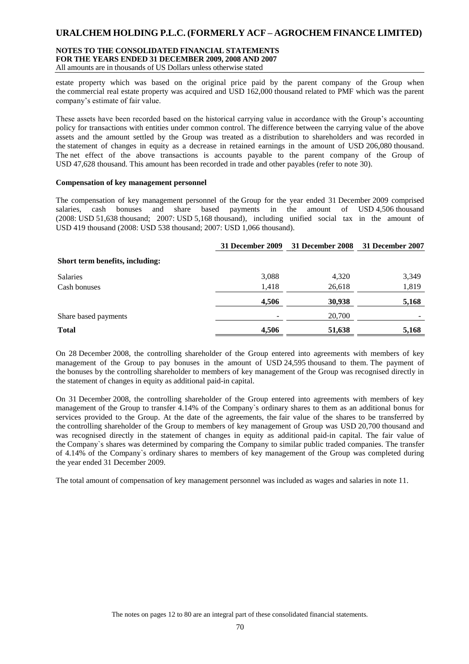#### **NOTES TO THE CONSOLIDATED FINANCIAL STATEMENTS FOR THE YEARS ENDED 31 DECEMBER 2009, 2008 AND 2007** All amounts are in thousands of US Dollars unless otherwise stated

estate property which was based on the original price paid by the parent company of the Group when the commercial real estate property was acquired and USD 162,000 thousand related to PMF which was the parent company's estimate of fair value.

These assets have been recorded based on the historical carrying value in accordance with the Group's accounting policy for transactions with entities under common control. The difference between the carrying value of the above assets and the amount settled by the Group was treated as a distribution to shareholders and was recorded in the statement of changes in equity as a decrease in retained earnings in the amount of USD 206,080 thousand. The net effect of the above transactions is accounts payable to the parent company of the Group of USD 47,628 thousand. This amount has been recorded in trade and other payables (refer to note 30).

#### **Compensation of key management personnel**

The compensation of key management personnel of the Group for the year ended 31 December 2009 comprised salaries, cash bonuses and share based payments in the amount of USD 4,506 thousand (2008: USD 51,638 thousand; 2007: USD 5,168 thousand), including unified social tax in the amount of USD 419 thousand (2008: USD 538 thousand; 2007: USD 1,066 thousand).

|                                 | 31 December 2009 | 31 December 2008 | 31 December 2007 |
|---------------------------------|------------------|------------------|------------------|
| Short term benefits, including: |                  |                  |                  |
| Salaries                        | 3,088            | 4,320            | 3,349            |
| Cash bonuses                    | 1,418            | 26,618           | 1,819            |
|                                 | 4,506            | 30,938           | 5,168            |
| Share based payments            |                  | 20,700           |                  |
| <b>Total</b>                    | 4,506            | 51,638           | 5,168            |

On 28 December 2008, the controlling shareholder of the Group entered into agreements with members of key management of the Group to pay bonuses in the amount of USD 24,595 thousand to them. The payment of the bonuses by the controlling shareholder to members of key management of the Group was recognised directly in the statement of changes in equity as additional paid-in capital.

On 31 December 2008, the controlling shareholder of the Group entered into agreements with members of key management of the Group to transfer 4.14% of the Company`s ordinary shares to them as an additional bonus for services provided to the Group. At the date of the agreements, the fair value of the shares to be transferred by the controlling shareholder of the Group to members of key management of Group was USD 20,700 thousand and was recognised directly in the statement of changes in equity as additional paid-in capital. The fair value of the Company`s shares was determined by comparing the Company to similar public traded companies. The transfer of 4.14% of the Company`s ordinary shares to members of key management of the Group was completed during the year ended 31 December 2009.

The total amount of compensation of key management personnel was included as wages and salaries in note 11.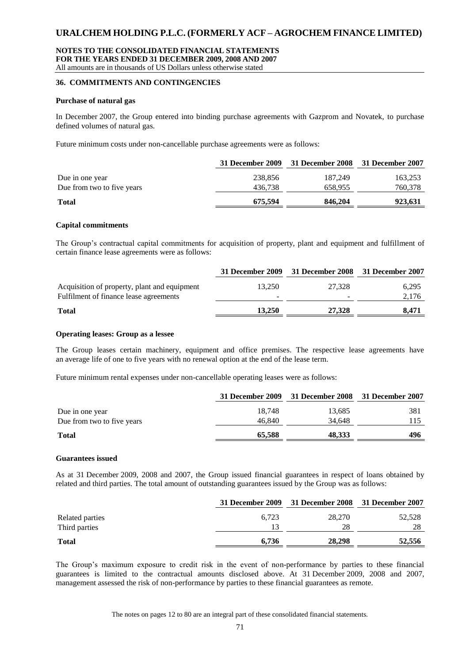### **NOTES TO THE CONSOLIDATED FINANCIAL STATEMENTS FOR THE YEARS ENDED 31 DECEMBER 2009, 2008 AND 2007** All amounts are in thousands of US Dollars unless otherwise stated

**36. COMMITMENTS AND CONTINGENCIES**

**Purchase of natural gas**

In December 2007, the Group entered into binding purchase agreements with Gazprom and Novatek, to purchase defined volumes of natural gas.

Future minimum costs under non-cancellable purchase agreements were as follows:

|                            | 31 December 2009 | 31 December 2008 31 December 2007 |         |
|----------------------------|------------------|-----------------------------------|---------|
| Due in one year            | 238,856          | 187.249                           | 163,253 |
| Due from two to five years | 436.738          | 658.955                           | 760,378 |
| <b>Total</b>               | 675,594          | 846,204                           | 923,631 |

#### **Capital commitments**

The Group's contractual capital commitments for acquisition of property, plant and equipment and fulfillment of certain finance lease agreements were as follows:

|                                              |        | 31 December 2009 31 December 2008 31 December 2007 |       |
|----------------------------------------------|--------|----------------------------------------------------|-------|
| Acquisition of property, plant and equipment | 13.250 | 27.328                                             | 6,295 |
| Fulfilment of finance lease agreements       |        | -                                                  | 2,176 |
| <b>Total</b>                                 | 13.250 | 27,328                                             | 8.471 |

## **Operating leases: Group as a lessee**

The Group leases certain machinery, equipment and office premises. The respective lease agreements have an average life of one to five years with no renewal option at the end of the lease term.

Future minimum rental expenses under non-cancellable operating leases were as follows:

|                            |        | 31 December 2009 31 December 2008 31 December 2007 |     |
|----------------------------|--------|----------------------------------------------------|-----|
| Due in one year            | 18.748 | 13,685                                             | 381 |
| Due from two to five years | 46,840 | 34.648                                             |     |
| <b>Total</b>               | 65,588 | 48,333                                             | 496 |

#### **Guarantees issued**

As at 31 December 2009, 2008 and 2007, the Group issued financial guarantees in respect of loans obtained by related and third parties. The total amount of outstanding guarantees issued by the Group was as follows:

|                 |       | 31 December 2009 31 December 2008 31 December 2007 |        |
|-----------------|-------|----------------------------------------------------|--------|
| Related parties | 6.723 | 28.270                                             | 52,528 |
| Third parties   | 13    | 28                                                 | 28     |
| <b>Total</b>    | 6.736 | 28,298                                             | 52,556 |

The Group's maximum exposure to credit risk in the event of non-performance by parties to these financial guarantees is limited to the contractual amounts disclosed above. At 31 December 2009, 2008 and 2007, management assessed the risk of non-performance by parties to these financial guarantees as remote.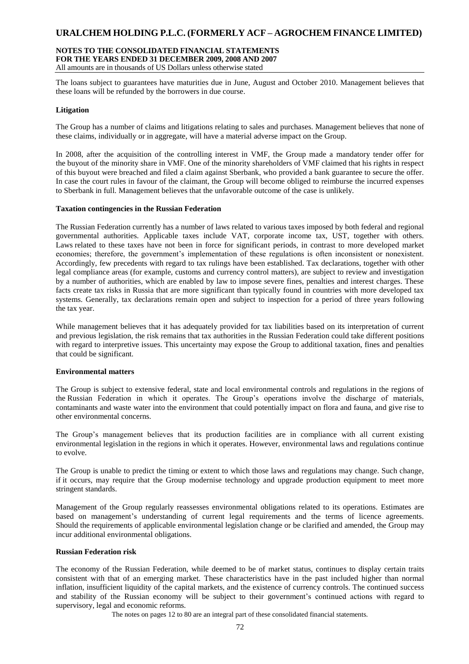### **NOTES TO THE CONSOLIDATED FINANCIAL STATEMENTS FOR THE YEARS ENDED 31 DECEMBER 2009, 2008 AND 2007** All amounts are in thousands of US Dollars unless otherwise stated

The loans subject to guarantees have maturities due in June, August and October 2010. Management believes that these loans will be refunded by the borrowers in due course.

## **Litigation**

The Group has a number of claims and litigations relating to sales and purchases. Management believes that none of these claims, individually or in aggregate, will have a material adverse impact on the Group.

In 2008, after the acquisition of the controlling interest in VMF, the Group made a mandatory tender offer for the buyout of the minority share in VMF. One of the minority shareholders of VMF claimed that his rights in respect of this buyout were breached and filed a claim against Sberbank, who provided a bank guarantee to secure the offer. In case the court rules in favour of the claimant, the Group will become obliged to reimburse the incurred expenses to Sberbank in full. Management believes that the unfavorable outcome of the case is unlikely.

#### **Taxation contingencies in the Russian Federation**

The Russian Federation currently has a number of laws related to various taxes imposed by both federal and regional governmental authorities. Applicable taxes include VAT, corporate income tax, UST, together with others. Laws related to these taxes have not been in force for significant periods, in contrast to more developed market economies; therefore, the government's implementation of these regulations is often inconsistent or nonexistent. Accordingly, few precedents with regard to tax rulings have been established. Tax declarations, together with other legal compliance areas (for example, customs and currency control matters), are subject to review and investigation by a number of authorities, which are enabled by law to impose severe fines, penalties and interest charges. These facts create tax risks in Russia that are more significant than typically found in countries with more developed tax systems. Generally, tax declarations remain open and subject to inspection for a period of three years following the tax year.

While management believes that it has adequately provided for tax liabilities based on its interpretation of current and previous legislation, the risk remains that tax authorities in the Russian Federation could take different positions with regard to interpretive issues. This uncertainty may expose the Group to additional taxation, fines and penalties that could be significant.

#### **Environmental matters**

The Group is subject to extensive federal, state and local environmental controls and regulations in the regions of the Russian Federation in which it operates. The Group's operations involve the discharge of materials, contaminants and waste water into the environment that could potentially impact on flora and fauna, and give rise to other environmental concerns.

The Group's management believes that its production facilities are in compliance with all current existing environmental legislation in the regions in which it operates. However, environmental laws and regulations continue to evolve.

The Group is unable to predict the timing or extent to which those laws and regulations may change. Such change, if it occurs, may require that the Group modernise technology and upgrade production equipment to meet more stringent standards.

Management of the Group regularly reassesses environmental obligations related to its operations. Estimates are based on management's understanding of current legal requirements and the terms of licence agreements. Should the requirements of applicable environmental legislation change or be clarified and amended, the Group may incur additional environmental obligations.

# **Russian Federation risk**

The economy of the Russian Federation, while deemed to be of market status, continues to display certain traits consistent with that of an emerging market. These characteristics have in the past included higher than normal inflation, insufficient liquidity of the capital markets, and the existence of currency controls. The continued success and stability of the Russian economy will be subject to their government's continued actions with regard to supervisory, legal and economic reforms.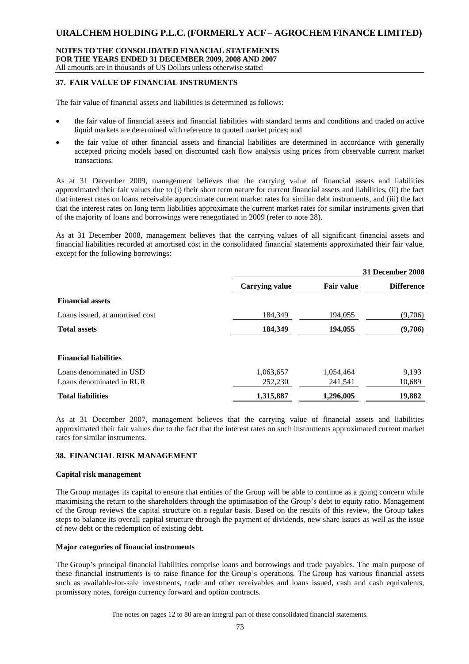### **NOTES TO THE CONSOLIDATED FINANCIAL STATEMENTS FOR THE YEARS ENDED 31 DECEMBER 2009, 2008 AND 2007** All amounts are in thousands of US Dollars unless otherwise stated

# **37. FAIR VALUE OF FINANCIAL INSTRUMENTS**

The fair value of financial assets and liabilities is determined as follows:

- the fair value of financial assets and financial liabilities with standard terms and conditions and traded on active liquid markets are determined with reference to quoted market prices; and
- the fair value of other financial assets and financial liabilities are determined in accordance with generally accepted pricing models based on discounted cash flow analysis using prices from observable current market transactions.

As at 31 December 2009, management believes that the carrying value of financial assets and liabilities approximated their fair values due to (i) their short term nature for current financial assets and liabilities, (ii) the fact that interest rates on loans receivable approximate current market rates for similar debt instruments, and (iii) the fact that the interest rates on long term liabilities approximate the current market rates for similar instruments given that of the majority of loans and borrowings were renegotiated in 2009 (refer to note 28).

As at 31 December 2008, management believes that the carrying values of all significant financial assets and financial liabilities recorded at amortised cost in the consolidated financial statements approximated their fair value, except for the following borrowings:

|                                 |                       |                   | 31 December 2008  |
|---------------------------------|-----------------------|-------------------|-------------------|
|                                 | <b>Carrying value</b> | <b>Fair value</b> | <b>Difference</b> |
| <b>Financial assets</b>         |                       |                   |                   |
| Loans issued, at amortised cost | 184,349               | 194,055           | (9,706)           |
| <b>Total assets</b>             | 184,349               | 194,055           | (9,706)           |
| <b>Financial liabilities</b>    |                       |                   |                   |
| Loans denominated in USD        | 1,063,657             | 1,054,464         | 9,193             |
| Loans denominated in RUR        | 252,230               | 241,541           | 10,689            |
| <b>Total liabilities</b>        | 1,315,887             | 1,296,005         | 19,882            |

As at 31 December 2007, management believes that the carrying value of financial assets and liabilities approximated their fair values due to the fact that the interest rates on such instruments approximated current market rates for similar instruments.

# **38. FINANCIAL RISK MANAGEMENT**

#### **Capital risk management**

The Group manages its capital to ensure that entities of the Group will be able to continue as a going concern while maximising the return to the shareholders through the optimisation of the Group's debt to equity ratio. Management of the Group reviews the capital structure on a regular basis. Based on the results of this review, the Group takes steps to balance its overall capital structure through the payment of dividends, new share issues as well as the issue of new debt or the redemption of existing debt.

### **Major categories of financial instruments**

The Group's principal financial liabilities comprise loans and borrowings and trade payables. The main purpose of these financial instruments is to raise finance for the Group's operations. The Group has various financial assets such as available-for-sale investments, trade and other receivables and loans issued, cash and cash equivalents, promissory notes, foreign currency forward and option contracts.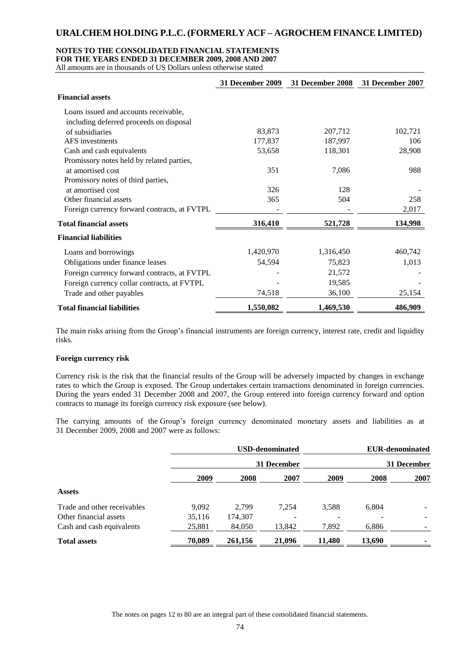# **NOTES TO THE CONSOLIDATED FINANCIAL STATEMENTS**

**FOR THE YEARS ENDED 31 DECEMBER 2009, 2008 AND 2007**

All amounts are in thousands of US Dollars unless otherwise stated

|                                              | <b>31 December 2009</b> | 31 December 2008 | 31 December 2007 |
|----------------------------------------------|-------------------------|------------------|------------------|
| <b>Financial assets</b>                      |                         |                  |                  |
| Loans issued and accounts receivable,        |                         |                  |                  |
| including deferred proceeds on disposal      |                         |                  |                  |
| of subsidiaries                              | 83,873                  | 207,712          | 102,721          |
| AFS investments                              | 177,837                 | 187,997          | 106              |
| Cash and cash equivalents                    | 53,658                  | 118,301          | 28,908           |
| Promissory notes held by related parties,    |                         |                  |                  |
| at amortised cost                            | 351                     | 7,086            | 988              |
| Promissory notes of third parties,           |                         |                  |                  |
| at amortised cost                            | 326                     | 128              |                  |
| Other financial assets                       | 365                     | 504              | 258              |
| Foreign currency forward contracts, at FVTPL |                         |                  | 2,017            |
| <b>Total financial assets</b>                | 316,410                 | 521,728          | 134,998          |
| <b>Financial liabilities</b>                 |                         |                  |                  |
| Loans and borrowings                         | 1,420,970               | 1,316,450        | 460,742          |
| Obligations under finance leases             | 54,594                  | 75,823           | 1,013            |
| Foreign currency forward contracts, at FVTPL |                         | 21,572           |                  |
| Foreign currency collar contracts, at FVTPL  |                         | 19,585           |                  |
| Trade and other payables                     | 74,518                  | 36,100           | 25,154           |
| <b>Total financial liabilities</b>           | 1,550,082               | 1,469,530        | 486,909          |

The main risks arising from the Group's financial instruments are foreign currency, interest rate, credit and liquidity risks.

# **Foreign currency risk**

Currency risk is the risk that the financial results of the Group will be adversely impacted by changes in exchange rates to which the Group is exposed. The Group undertakes certain transactions denominated in foreign currencies. During the years ended 31 December 2008 and 2007, the Group entered into foreign currency forward and option contracts to manage its foreign currency risk exposure (see below).

The carrying amounts of the Group's foreign currency denominated monetary assets and liabilities as at 31 December 2009, 2008 and 2007 were as follows:

|                             |             |         | <b>USD-denominated</b> |        | <b>EUR-denominated</b> |      |  |
|-----------------------------|-------------|---------|------------------------|--------|------------------------|------|--|
|                             | 31 December |         |                        |        | 31 December            |      |  |
|                             | 2009        | 2008    | 2007                   | 2009   | 2008                   | 2007 |  |
| <b>Assets</b>               |             |         |                        |        |                        |      |  |
| Trade and other receivables | 9.092       | 2.799   | 7.254                  | 3,588  | 6,804                  |      |  |
| Other financial assets      | 35,116      | 174,307 |                        |        |                        |      |  |
| Cash and cash equivalents   | 25,881      | 84,050  | 13,842                 | 7,892  | 6,886                  |      |  |
| <b>Total assets</b>         | 70,089      | 261,156 | 21,096                 | 11,480 | 13,690                 |      |  |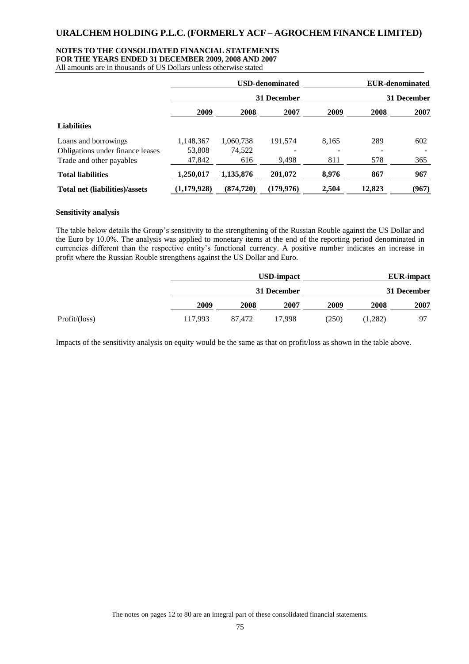# **NOTES TO THE CONSOLIDATED FINANCIAL STATEMENTS**

**FOR THE YEARS ENDED 31 DECEMBER 2009, 2008 AND 2007**

All amounts are in thousands of US Dollars unless otherwise stated

|                                                                                                                                                                                                                                                                                                                                                                                                                                             |                     |                     | <b>USD-denominated</b> |       | <b>EUR-denominated</b> |                   |  |
|---------------------------------------------------------------------------------------------------------------------------------------------------------------------------------------------------------------------------------------------------------------------------------------------------------------------------------------------------------------------------------------------------------------------------------------------|---------------------|---------------------|------------------------|-------|------------------------|-------------------|--|
|                                                                                                                                                                                                                                                                                                                                                                                                                                             |                     |                     | 31 December            |       |                        | 31 December       |  |
|                                                                                                                                                                                                                                                                                                                                                                                                                                             | 2009                | 2008                | 2007                   | 2009  | 2008                   | 2007              |  |
| <b>Liabilities</b>                                                                                                                                                                                                                                                                                                                                                                                                                          |                     |                     |                        |       |                        |                   |  |
| Loans and borrowings<br>Obligations under finance leases                                                                                                                                                                                                                                                                                                                                                                                    | 1,148,367<br>53,808 | 1,060,738<br>74,522 | 191,574                | 8,165 | 289                    | 602               |  |
| Trade and other payables                                                                                                                                                                                                                                                                                                                                                                                                                    | 47,842              | 616                 | 9,498                  | 811   | 578                    | 365               |  |
| <b>Total liabilities</b>                                                                                                                                                                                                                                                                                                                                                                                                                    | 1,250,017           | 1,135,876           | 201,072                | 8,976 | 867                    | 967               |  |
| Total net (liabilities)/assets                                                                                                                                                                                                                                                                                                                                                                                                              | (1,179,928)         | (874, 720)          | (179, 976)             | 2,504 | 12,823                 | (967)             |  |
| <b>Sensitivity analysis</b>                                                                                                                                                                                                                                                                                                                                                                                                                 |                     |                     |                        |       |                        |                   |  |
| The table below details the Group's sensitivity to the strengthening of the Russian Rouble against the US Dollar and<br>the Euro by 10.0%. The analysis was applied to monetary items at the end of the reporting period denominated in<br>currencies different than the respective entity's functional currency. A positive number indicates an increase in<br>profit where the Russian Rouble strengthens against the US Dollar and Euro. |                     |                     | <b>USD-impact</b>      |       |                        | <b>EUR-impact</b> |  |
|                                                                                                                                                                                                                                                                                                                                                                                                                                             |                     |                     | 31 December            |       |                        | 31 December       |  |
|                                                                                                                                                                                                                                                                                                                                                                                                                                             | 2009                | 2008                | 2007                   | 2009  | 2008                   | 2007              |  |
| Profit/(loss)                                                                                                                                                                                                                                                                                                                                                                                                                               | 117,993             | 87,472              | 17,998                 | (250) | (1,282)                | 97                |  |
|                                                                                                                                                                                                                                                                                                                                                                                                                                             |                     |                     |                        |       |                        |                   |  |
|                                                                                                                                                                                                                                                                                                                                                                                                                                             |                     |                     |                        |       |                        |                   |  |
| The notes on pages 12 to 80 are an integral part of these consolidated financial statements.                                                                                                                                                                                                                                                                                                                                                |                     | 75                  |                        |       |                        |                   |  |

#### **Sensitivity analysis**

|                 |             |        | <b>USD-impact</b> |       |         | <b>EUR-impact</b> |
|-----------------|-------------|--------|-------------------|-------|---------|-------------------|
|                 | 31 December |        |                   |       |         | 31 December       |
|                 | 2009        | 2008   | 2007              | 2009  | 2008    | 2007              |
| Profit / (loss) | 117.993     | 87,472 | 17.998            | (250) | (1,282) | 97                |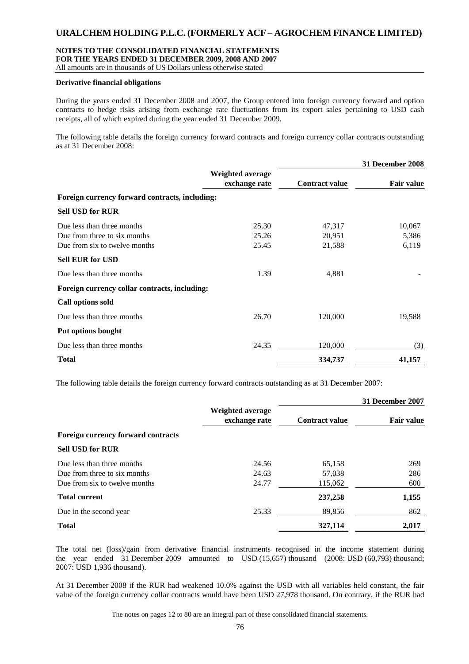#### **NOTES TO THE CONSOLIDATED FINANCIAL STATEMENTS FOR THE YEARS ENDED 31 DECEMBER 2009, 2008 AND 2007**

All amounts are in thousands of US Dollars unless otherwise stated

# **Derivative financial obligations**

During the years ended 31 December 2008 and 2007, the Group entered into foreign currency forward and option contracts to hedge risks arising from exchange rate fluctuations from its export sales pertaining to USD cash receipts, all of which expired during the year ended 31 December 2009.

The following table details the foreign currency forward contracts and foreign currency collar contracts outstanding as at 31 December 2008:

|                                                |                                   |                       | 31 December 2008  |
|------------------------------------------------|-----------------------------------|-----------------------|-------------------|
|                                                | Weighted average<br>exchange rate | <b>Contract value</b> | <b>Fair value</b> |
| Foreign currency forward contracts, including: |                                   |                       |                   |
| <b>Sell USD for RUR</b>                        |                                   |                       |                   |
| Due less than three months                     | 25.30                             | 47,317                | 10,067            |
| Due from three to six months                   | 25.26                             | 20,951                | 5,386             |
| Due from six to twelve months                  | 25.45                             | 21,588                | 6,119             |
| <b>Sell EUR for USD</b>                        |                                   |                       |                   |
| Due less than three months                     | 1.39                              | 4,881                 |                   |
| Foreign currency collar contracts, including:  |                                   |                       |                   |
| <b>Call options sold</b>                       |                                   |                       |                   |
| Due less than three months                     | 26.70                             | 120,000               | 19,588            |
| Put options bought                             |                                   |                       |                   |
| Due less than three months                     | 24.35                             | 120,000               | (3)               |
| <b>Total</b>                                   |                                   | 334,737               | 41,157            |

The following table details the foreign currency forward contracts outstanding as at 31 December 2007:

|                                           |                                   |                       | 31 December 2007  |
|-------------------------------------------|-----------------------------------|-----------------------|-------------------|
|                                           | Weighted average<br>exchange rate | <b>Contract value</b> | <b>Fair value</b> |
| <b>Foreign currency forward contracts</b> |                                   |                       |                   |
| <b>Sell USD for RUR</b>                   |                                   |                       |                   |
| Due less than three months                | 24.56                             | 65,158                | 269               |
| Due from three to six months              | 24.63                             | 57,038                | 286               |
| Due from six to twelve months             | 24.77                             | 115,062               | 600               |
| <b>Total current</b>                      |                                   | 237,258               | 1,155             |
| Due in the second year                    | 25.33                             | 89,856                | 862               |
| <b>Total</b>                              |                                   | 327,114               | 2,017             |

The total net (loss)/gain from derivative financial instruments recognised in the income statement during the year ended 31 December 2009 amounted to USD (15,657) thousand (2008: USD (60,793) thousand; 2007: USD 1,936 thousand).

At 31 December 2008 if the RUR had weakened 10.0% against the USD with all variables held constant, the fair value of the foreign currency collar contracts would have been USD 27,978 thousand. On contrary, if the RUR had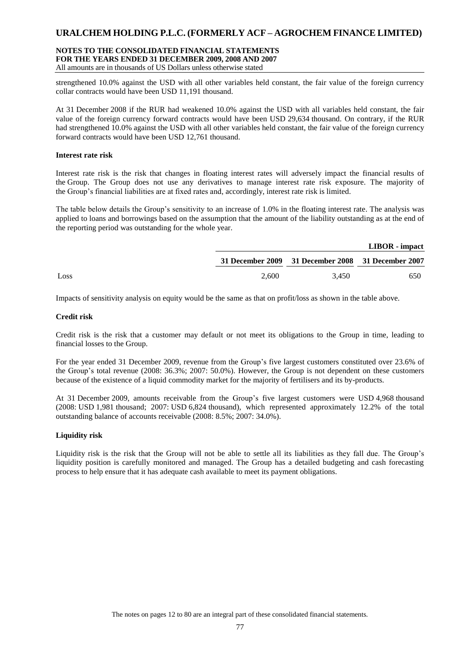### **NOTES TO THE CONSOLIDATED FINANCIAL STATEMENTS FOR THE YEARS ENDED 31 DECEMBER 2009, 2008 AND 2007** All amounts are in thousands of US Dollars unless otherwise stated

strengthened 10.0% against the USD with all other variables held constant, the fair value of the foreign currency collar contracts would have been USD 11,191 thousand.

At 31 December 2008 if the RUR had weakened 10.0% against the USD with all variables held constant, the fair value of the foreign currency forward contracts would have been USD 29,634 thousand. On contrary, if the RUR had strengthened 10.0% against the USD with all other variables held constant, the fair value of the foreign currency forward contracts would have been USD 12,761 thousand.

## **Interest rate risk**

Interest rate risk is the risk that changes in floating interest rates will adversely impact the financial results of the Group. The Group does not use any derivatives to manage interest rate risk exposure. The majority of the Group's financial liabilities are at fixed rates and, accordingly, interest rate risk is limited.

The table below details the Group's sensitivity to an increase of 1.0% in the floating interest rate. The analysis was applied to loans and borrowings based on the assumption that the amount of the liability outstanding as at the end of the reporting period was outstanding for the whole year.

|      |       |                                                    | LIBOR - impact |
|------|-------|----------------------------------------------------|----------------|
|      |       | 31 December 2009 31 December 2008 31 December 2007 |                |
| Loss | 2.600 | 3.450                                              | 650            |

Impacts of sensitivity analysis on equity would be the same as that on profit/loss as shown in the table above.

## **Credit risk**

Credit risk is the risk that a customer may default or not meet its obligations to the Group in time, leading to financial losses to the Group.

For the year ended 31 December 2009, revenue from the Group's five largest customers constituted over 23.6% of the Group's total revenue (2008: 36.3%; 2007: 50.0%). However, the Group is not dependent on these customers because of the existence of a liquid commodity market for the majority of fertilisers and its by-products.

At 31 December 2009, amounts receivable from the Group's five largest customers were USD 4,968 thousand (2008: USD 1,981 thousand; 2007: USD 6,824 thousand), which represented approximately 12.2% of the total outstanding balance of accounts receivable (2008: 8.5%; 2007: 34.0%).

# **Liquidity risk**

Liquidity risk is the risk that the Group will not be able to settle all its liabilities as they fall due. The Group's liquidity position is carefully monitored and managed. The Group has a detailed budgeting and cash forecasting process to help ensure that it has adequate cash available to meet its payment obligations.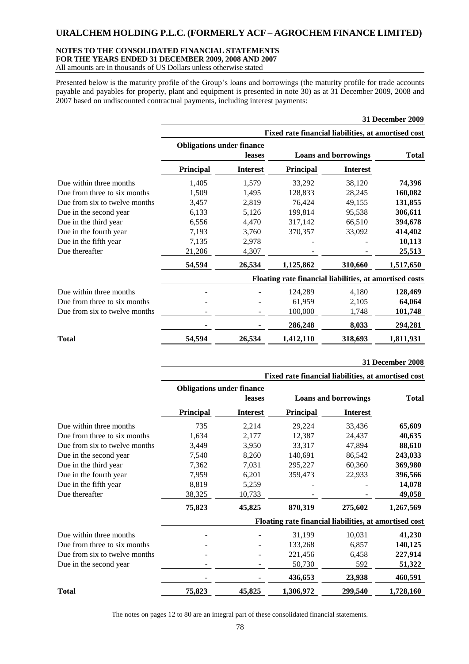# **NOTES TO THE CONSOLIDATED FINANCIAL STATEMENTS FOR THE YEARS ENDED 31 DECEMBER 2009, 2008 AND 2007**

All amounts are in thousands of US Dollars unless otherwise stated

Presented below is the maturity profile of the Group's loans and borrowings (the maturity profile for trade accounts payable and payables for property, plant and equipment is presented in note 30) as at 31 December 2009, 2008 and 2007 based on undiscounted contractual payments, including interest payments:

|                               | <b>31 December 2009</b>                                 |                 |                                                     |                 |           |  |
|-------------------------------|---------------------------------------------------------|-----------------|-----------------------------------------------------|-----------------|-----------|--|
|                               |                                                         |                 | Fixed rate financial liabilities, at amortised cost |                 |           |  |
|                               | <b>Obligations under finance</b>                        |                 |                                                     |                 |           |  |
|                               | leases                                                  |                 | <b>Loans and borrowings</b>                         | <b>Total</b>    |           |  |
|                               | <b>Principal</b>                                        | <b>Interest</b> | Principal                                           | <b>Interest</b> |           |  |
| Due within three months       | 1,405                                                   | 1,579           | 33,292                                              | 38,120          | 74,396    |  |
| Due from three to six months  | 1,509                                                   | 1,495           | 128,833                                             | 28,245          | 160,082   |  |
| Due from six to twelve months | 3,457                                                   | 2,819           | 76,424                                              | 49,155          | 131,855   |  |
| Due in the second year        | 6,133                                                   | 5,126           | 199,814                                             | 95,538          | 306,611   |  |
| Due in the third year         | 6,556                                                   | 4,470           | 317,142                                             | 66,510          | 394,678   |  |
| Due in the fourth year        | 7,193                                                   | 3,760           | 370,357                                             | 33,092          | 414,402   |  |
| Due in the fifth year         | 7,135                                                   | 2,978           |                                                     |                 | 10,113    |  |
| Due thereafter                | 21,206                                                  | 4,307           |                                                     |                 | 25,513    |  |
|                               | 54,594                                                  | 26,534          | 1,125,862                                           | 310,660         | 1,517,650 |  |
|                               | Floating rate financial liabilities, at amortised costs |                 |                                                     |                 |           |  |
| Due within three months       |                                                         |                 | 124,289                                             | 4,180           | 128,469   |  |
| Due from three to six months  |                                                         |                 | 61,959                                              | 2,105           | 64,064    |  |
| Due from six to twelve months |                                                         |                 | 100,000                                             | 1,748           | 101,748   |  |
|                               |                                                         |                 | 286,248                                             | 8,033           | 294,281   |  |
| <b>Total</b>                  | 54,594                                                  | 26,534          | 1,412,110                                           | 318,693         | 1,811,931 |  |
|                               |                                                         |                 |                                                     |                 |           |  |

**31 December 2008**

|                               | Fixed rate financial liabilities, at amortised cost    |                 |                             |                 |              |  |
|-------------------------------|--------------------------------------------------------|-----------------|-----------------------------|-----------------|--------------|--|
|                               | <b>Obligations under finance</b>                       | leases          | <b>Loans and borrowings</b> |                 | <b>Total</b> |  |
|                               | Principal                                              | <b>Interest</b> | Principal                   | <b>Interest</b> |              |  |
| Due within three months       | 735                                                    | 2,214           | 29,224                      | 33,436          | 65,609       |  |
| Due from three to six months  | 1,634                                                  | 2,177           | 12,387                      | 24,437          | 40,635       |  |
| Due from six to twelve months | 3,449                                                  | 3,950           | 33,317                      | 47,894          | 88,610       |  |
| Due in the second year        | 7,540                                                  | 8,260           | 140,691                     | 86,542          | 243,033      |  |
| Due in the third year         | 7,362                                                  | 7,031           | 295,227                     | 60,360          | 369,980      |  |
| Due in the fourth year        | 7,959                                                  | 6,201           | 359,473                     | 22,933          | 396,566      |  |
| Due in the fifth year         | 8,819                                                  | 5,259           |                             |                 | 14,078       |  |
| Due thereafter                | 38,325                                                 | 10,733          |                             |                 | 49,058       |  |
|                               | 75,823                                                 | 45,825          | 870,319                     | 275,602         | 1,267,569    |  |
|                               | Floating rate financial liabilities, at amortised cost |                 |                             |                 |              |  |
| Due within three months       |                                                        |                 | 31,199                      | 10,031          | 41,230       |  |
| Due from three to six months  |                                                        |                 | 133,268                     | 6,857           | 140,125      |  |
| Due from six to twelve months |                                                        |                 | 221,456                     | 6,458           | 227,914      |  |
| Due in the second year        |                                                        |                 | 50,730                      | 592             | 51,322       |  |
|                               |                                                        |                 | 436,653                     | 23,938          | 460,591      |  |
| <b>Total</b>                  | 75,823                                                 | 45,825          | 1,306,972                   | 299,540         | 1,728,160    |  |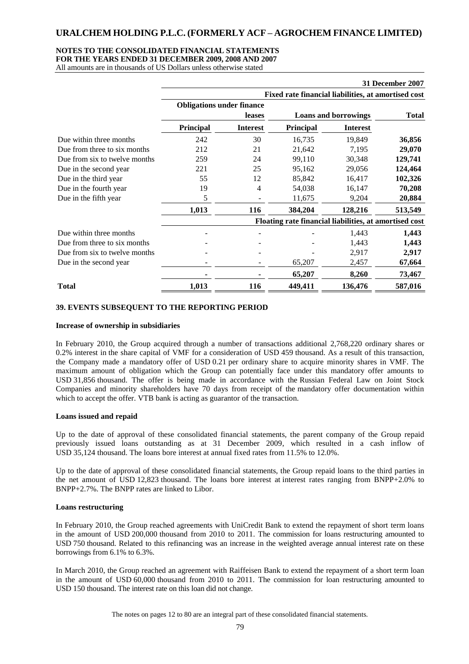# **NOTES TO THE CONSOLIDATED FINANCIAL STATEMENTS**

**FOR THE YEARS ENDED 31 DECEMBER 2009, 2008 AND 2007**

All amounts are in thousands of US Dollars unless otherwise stated

|                               |                                                        |                 |                                                     |                 | <b>31 December 2007</b> |
|-------------------------------|--------------------------------------------------------|-----------------|-----------------------------------------------------|-----------------|-------------------------|
|                               |                                                        |                 | Fixed rate financial liabilities, at amortised cost |                 |                         |
|                               | <b>Obligations under finance</b>                       |                 |                                                     |                 |                         |
|                               |                                                        | leases          | <b>Loans and borrowings</b>                         |                 | <b>Total</b>            |
|                               | Principal                                              | <b>Interest</b> | <b>Principal</b>                                    | <b>Interest</b> |                         |
| Due within three months       | 242                                                    | 30              | 16,735                                              | 19,849          | 36,856                  |
| Due from three to six months  | 212                                                    | 21              | 21,642                                              | 7,195           | 29,070                  |
| Due from six to twelve months | 259                                                    | 24              | 99,110                                              | 30,348          | 129,741                 |
| Due in the second year        | 221                                                    | 25              | 95,162                                              | 29,056          | 124,464                 |
| Due in the third year         | 55                                                     | 12              | 85,842                                              | 16,417          | 102,326                 |
| Due in the fourth year        | 19                                                     | 4               | 54,038                                              | 16,147          | 70,208                  |
| Due in the fifth year         | 5                                                      |                 | 11,675                                              | 9,204           | 20,884                  |
|                               | 1,013                                                  | 116             | 384,204                                             | 128,216         | 513,549                 |
|                               | Floating rate financial liabilities, at amortised cost |                 |                                                     |                 |                         |
| Due within three months       |                                                        |                 |                                                     | 1,443           | 1,443                   |
| Due from three to six months  |                                                        |                 |                                                     | 1,443           | 1,443                   |
| Due from six to twelve months |                                                        |                 |                                                     | 2,917           | 2,917                   |
| Due in the second year        | -                                                      |                 | 65,207                                              | 2,457           | 67,664                  |
|                               |                                                        |                 | 65,207                                              | 8,260           | 73,467                  |
| <b>Total</b>                  | 1,013                                                  | 116             | 449,411                                             | 136,476         | 587,016                 |

## **39. EVENTS SUBSEQUENT TO THE REPORTING PERIOD**

#### **Increase of ownership in subsidiaries**

In February 2010, the Group acquired through a number of transactions additional 2,768,220 ordinary shares or 0.2% interest in the share capital of VMF for a consideration of USD 459 thousand. As a result of this transaction, the Company made a mandatory offer of USD 0.21 per ordinary share to acquire minority shares in VMF. The maximum amount of obligation which the Group can potentially face under this mandatory offer amounts to USD 31,856 thousand. The offer is being made in accordance with the Russian Federal Law on Joint Stock Companies and minority shareholders have 70 days from receipt of the mandatory offer documentation within which to accept the offer. VTB bank is acting as guarantor of the transaction.

#### **Loans issued and repaid**

Up to the date of approval of these consolidated financial statements, the parent company of the Group repaid previously issued loans outstanding as at 31 December 2009, which resulted in a cash inflow of USD 35,124 thousand. The loans bore interest at annual fixed rates from 11.5% to 12.0%.

Up to the date of approval of these consolidated financial statements, the Group repaid loans to the third parties in the net amount of USD 12,823 thousand. The loans bore interest at interest rates ranging from BNPP+2.0% to BNPP+2.7%. The BNPP rates are linked to Libor.

#### **Loans restructuring**

In February 2010, the Group reached agreements with UniCredit Bank to extend the repayment of short term loans in the amount of USD 200,000 thousand from 2010 to 2011. The commission for loans restructuring amounted to USD 750 thousand. Related to this refinancing was an increase in the weighted average annual interest rate on these borrowings from 6.1% to 6.3%.

In March 2010, the Group reached an agreement with Raiffeisen Bank to extend the repayment of a short term loan in the amount of USD 60,000 thousand from 2010 to 2011. The commission for loan restructuring amounted to USD 150 thousand. The interest rate on this loan did not change.